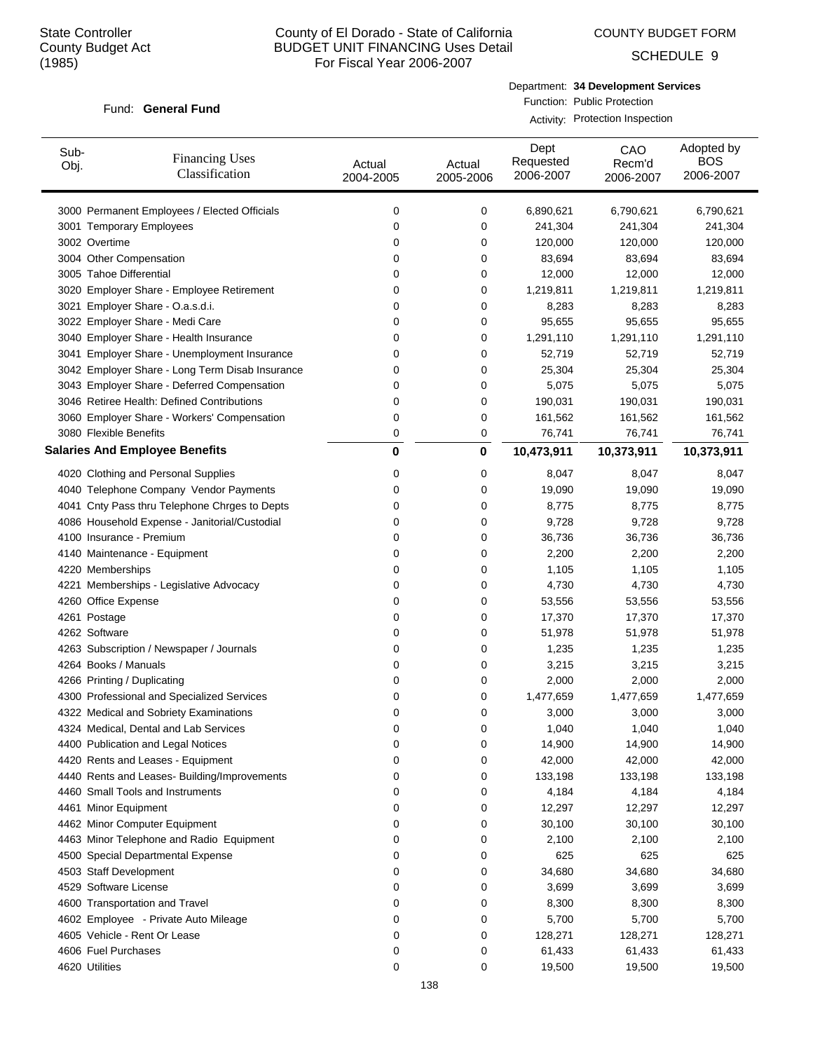COUNTY BUDGET FORM

SCHEDULE 9

#### Fund: General Fund

Department: **34 Development Services** Function: Public Protection

Activity: Protection Inspection

| Sub-<br>Obj. | <b>Financing Uses</b><br>Classification         | Actual<br>2004-2005 | Actual<br>2005-2006 | Dept<br>Requested<br>2006-2007 | CAO<br>Recm'd<br>2006-2007 | Adopted by<br><b>BOS</b><br>2006-2007 |
|--------------|-------------------------------------------------|---------------------|---------------------|--------------------------------|----------------------------|---------------------------------------|
|              | 3000 Permanent Employees / Elected Officials    | 0                   | 0                   | 6,890,621                      | 6,790,621                  | 6,790,621                             |
|              | 3001 Temporary Employees                        | 0                   | 0                   | 241,304                        | 241,304                    | 241,304                               |
|              | 3002 Overtime                                   | 0                   | 0                   | 120,000                        | 120,000                    | 120,000                               |
|              | 3004 Other Compensation                         | 0                   | 0                   | 83,694                         | 83,694                     | 83,694                                |
|              | 3005 Tahoe Differential                         | 0                   | 0                   | 12,000                         | 12,000                     | 12,000                                |
|              | 3020 Employer Share - Employee Retirement       | 0                   | 0                   | 1,219,811                      | 1,219,811                  | 1,219,811                             |
|              | 3021 Employer Share - O.a.s.d.i.                | 0                   | 0                   | 8,283                          | 8,283                      | 8,283                                 |
|              | 3022 Employer Share - Medi Care                 | 0                   | 0                   | 95,655                         | 95,655                     | 95,655                                |
|              | 3040 Employer Share - Health Insurance          | 0                   | 0                   | 1,291,110                      | 1,291,110                  | 1,291,110                             |
|              | 3041 Employer Share - Unemployment Insurance    | 0                   | 0                   | 52,719                         | 52,719                     | 52,719                                |
|              | 3042 Employer Share - Long Term Disab Insurance | 0                   | 0                   | 25,304                         | 25,304                     | 25,304                                |
|              | 3043 Employer Share - Deferred Compensation     | 0                   | 0                   | 5,075                          | 5,075                      | 5,075                                 |
|              | 3046 Retiree Health: Defined Contributions      | 0                   | 0                   | 190,031                        | 190,031                    | 190,031                               |
|              | 3060 Employer Share - Workers' Compensation     | 0                   | 0                   | 161,562                        | 161,562                    | 161,562                               |
|              | 3080 Flexible Benefits                          | 0                   | 0                   | 76,741                         | 76,741                     | 76,741                                |
|              | <b>Salaries And Employee Benefits</b>           | $\bf{0}$            | 0                   | 10,473,911                     | 10,373,911                 | 10,373,911                            |
|              | 4020 Clothing and Personal Supplies             | 0                   | 0                   | 8,047                          | 8,047                      | 8,047                                 |
|              | 4040 Telephone Company Vendor Payments          | 0                   | 0                   | 19,090                         | 19,090                     | 19,090                                |
|              | 4041 Cnty Pass thru Telephone Chrges to Depts   | 0                   | 0                   | 8,775                          | 8,775                      | 8,775                                 |
|              | 4086 Household Expense - Janitorial/Custodial   | 0                   | 0                   | 9,728                          | 9,728                      | 9,728                                 |
|              | 4100 Insurance - Premium                        | 0                   | 0                   | 36,736                         | 36,736                     | 36,736                                |
|              | 4140 Maintenance - Equipment                    | 0                   | 0                   | 2,200                          | 2,200                      | 2,200                                 |
|              | 4220 Memberships                                | 0                   | 0                   | 1,105                          | 1,105                      | 1,105                                 |
|              | 4221 Memberships - Legislative Advocacy         | 0                   | 0                   | 4,730                          | 4,730                      | 4,730                                 |
|              | 4260 Office Expense                             | 0                   | 0                   | 53,556                         | 53,556                     | 53,556                                |
|              | 4261 Postage                                    | 0                   | 0                   | 17,370                         | 17,370                     | 17,370                                |
|              | 4262 Software                                   | 0                   | 0                   | 51,978                         | 51,978                     | 51,978                                |
|              | 4263 Subscription / Newspaper / Journals        | 0                   | 0                   | 1,235                          | 1,235                      | 1,235                                 |
|              | 4264 Books / Manuals                            | 0                   | 0                   | 3,215                          | 3,215                      | 3,215                                 |
|              | 4266 Printing / Duplicating                     | 0                   | 0                   | 2,000                          | 2,000                      | 2,000                                 |
|              | 4300 Professional and Specialized Services      | 0                   | 0                   | 1,477,659                      | 1,477,659                  | 1,477,659                             |
|              | 4322 Medical and Sobriety Examinations          | 0                   | 0                   | 3,000                          | 3,000                      | 3,000                                 |
|              | 4324 Medical, Dental and Lab Services           | 0                   | 0                   | 1,040                          | 1,040                      | 1,040                                 |
|              | 4400 Publication and Legal Notices              | 0                   | 0                   | 14,900                         | 14,900                     | 14,900                                |
|              | 4420 Rents and Leases - Equipment               | 0                   | 0                   | 42,000                         | 42,000                     | 42,000                                |
|              | 4440 Rents and Leases- Building/Improvements    | 0                   | 0                   | 133,198                        | 133,198                    | 133,198                               |
|              | 4460 Small Tools and Instruments                | 0                   | 0                   | 4,184                          | 4,184                      | 4,184                                 |
|              | 4461 Minor Equipment                            | 0                   | 0                   | 12,297                         | 12,297                     | 12,297                                |
|              | 4462 Minor Computer Equipment                   | 0                   | 0                   | 30,100                         | 30,100                     | 30,100                                |
|              | 4463 Minor Telephone and Radio Equipment        | 0                   | 0                   | 2,100                          | 2,100                      | 2,100                                 |
|              | 4500 Special Departmental Expense               | 0                   | 0                   | 625                            | 625                        | 625                                   |
|              | 4503 Staff Development                          | 0                   | 0                   | 34,680                         | 34,680                     | 34,680                                |
|              | 4529 Software License                           | 0                   | 0                   | 3,699                          | 3,699                      | 3,699                                 |
|              | 4600 Transportation and Travel                  | 0                   | 0                   | 8,300                          | 8,300                      | 8,300                                 |
|              | 4602 Employee - Private Auto Mileage            | 0                   | 0                   | 5,700                          | 5,700                      | 5,700                                 |
|              | 4605 Vehicle - Rent Or Lease                    | 0                   | 0                   | 128,271                        | 128,271                    | 128,271                               |
|              | 4606 Fuel Purchases                             | 0                   | 0                   | 61,433                         | 61,433                     | 61,433                                |
|              | 4620 Utilities                                  | 0                   | 0                   | 19,500                         | 19,500                     | 19,500                                |
|              |                                                 |                     |                     |                                |                            |                                       |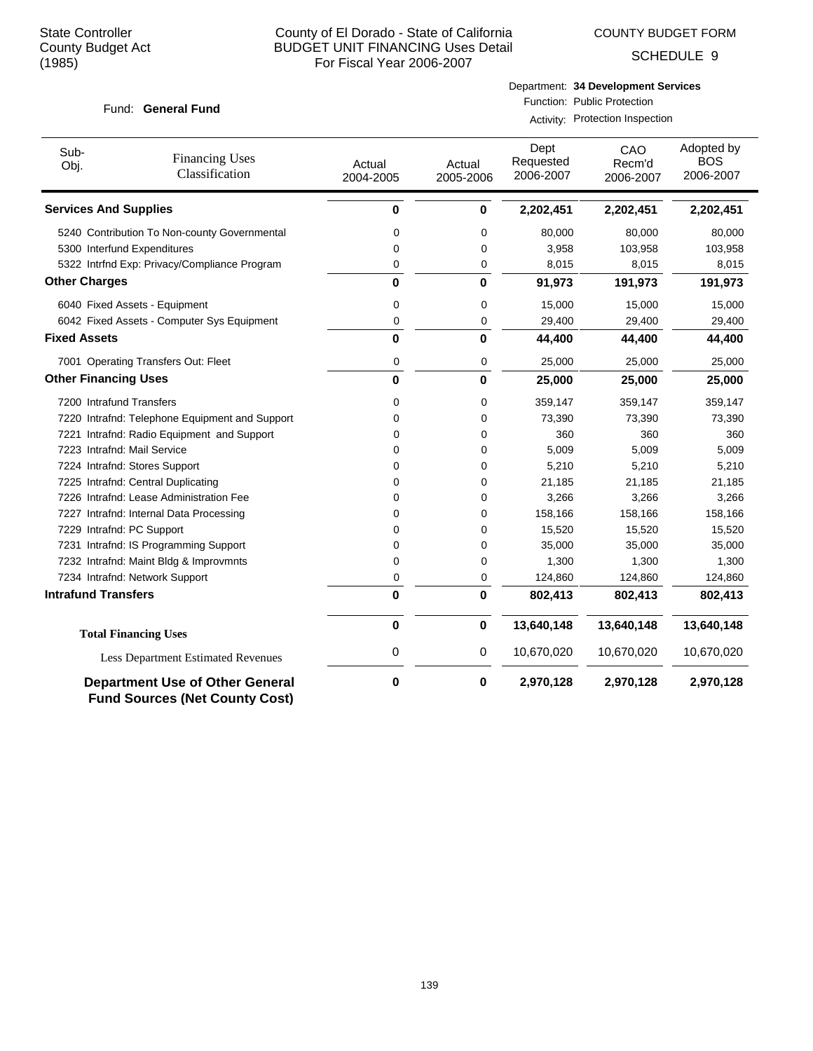COUNTY BUDGET FORM

SCHEDULE 9

#### Fund: General Fund

#### Department: **34 Development Services**

Function: Public Protection

Activity: Protection Inspection

| Sub-<br>Obj.                 | <b>Financing Uses</b><br>Classification                                         | Actual<br>2004-2005 | Actual<br>2005-2006 | Dept<br>Requested<br>2006-2007 | CAO<br>Recm'd<br>2006-2007 | Adopted by<br><b>BOS</b><br>2006-2007 |
|------------------------------|---------------------------------------------------------------------------------|---------------------|---------------------|--------------------------------|----------------------------|---------------------------------------|
| <b>Services And Supplies</b> |                                                                                 | 0                   | 0                   | 2,202,451                      | 2,202,451                  | 2,202,451                             |
|                              | 5240 Contribution To Non-county Governmental                                    | 0                   | 0                   | 80,000                         | 80,000                     | 80,000                                |
| 5300 Interfund Expenditures  |                                                                                 | 0                   | 0                   | 3,958                          | 103,958                    | 103,958                               |
|                              | 5322 Intrfnd Exp: Privacy/Compliance Program                                    | 0                   | 0                   | 8,015                          | 8,015                      | 8,015                                 |
| <b>Other Charges</b>         |                                                                                 | 0                   | 0                   | 91,973                         | 191,973                    | 191,973                               |
|                              | 6040 Fixed Assets - Equipment                                                   | 0                   | 0                   | 15,000                         | 15,000                     | 15,000                                |
|                              | 6042 Fixed Assets - Computer Sys Equipment                                      | 0                   | 0                   | 29,400                         | 29,400                     | 29,400                                |
| <b>Fixed Assets</b>          |                                                                                 | 0                   | 0                   | 44,400                         | 44,400                     | 44,400                                |
|                              | 7001 Operating Transfers Out: Fleet                                             | 0                   | 0                   | 25,000                         | 25,000                     | 25,000                                |
| <b>Other Financing Uses</b>  |                                                                                 | 0                   | 0                   | 25,000                         | 25,000                     | 25,000                                |
| 7200 Intrafund Transfers     |                                                                                 | 0                   | 0                   | 359,147                        | 359,147                    | 359,147                               |
|                              | 7220 Intrafnd: Telephone Equipment and Support                                  | 0                   | 0                   | 73,390                         | 73,390                     | 73,390                                |
|                              | 7221 Intrafnd: Radio Equipment and Support                                      | 0                   | 0                   | 360                            | 360                        | 360                                   |
| 7223 Intrafnd: Mail Service  |                                                                                 | $\mathbf 0$         | 0                   | 5,009                          | 5,009                      | 5,009                                 |
|                              | 7224 Intrafnd: Stores Support                                                   | $\mathbf 0$         | 0                   | 5,210                          | 5,210                      | 5,210                                 |
|                              | 7225 Intrafnd: Central Duplicating                                              | 0                   | 0                   | 21,185                         | 21,185                     | 21,185                                |
|                              | 7226 Intrafnd: Lease Administration Fee                                         | 0                   | 0                   | 3,266                          | 3,266                      | 3,266                                 |
|                              | 7227 Intrafnd: Internal Data Processing                                         | $\mathbf 0$         | 0                   | 158,166                        | 158,166                    | 158,166                               |
| 7229 Intrafnd: PC Support    |                                                                                 | $\mathbf 0$         | 0                   | 15,520                         | 15,520                     | 15,520                                |
|                              | 7231 Intrafnd: IS Programming Support                                           | $\mathbf 0$         | 0                   | 35,000                         | 35,000                     | 35,000                                |
|                              | 7232 Intrafnd: Maint Bldg & Improvmnts                                          | 0                   | 0                   | 1,300                          | 1,300                      | 1,300                                 |
|                              | 7234 Intrafnd: Network Support                                                  | 0                   | 0                   | 124,860                        | 124,860                    | 124,860                               |
| <b>Intrafund Transfers</b>   |                                                                                 | 0                   | 0                   | 802,413                        | 802,413                    | 802,413                               |
|                              | <b>Total Financing Uses</b>                                                     | 0                   | 0                   | 13,640,148                     | 13,640,148                 | 13,640,148                            |
|                              | <b>Less Department Estimated Revenues</b>                                       | 0                   | 0                   | 10,670,020                     | 10,670,020                 | 10,670,020                            |
|                              | <b>Department Use of Other General</b><br><b>Fund Sources (Net County Cost)</b> | 0                   | 0                   | 2,970,128                      | 2,970,128                  | 2,970,128                             |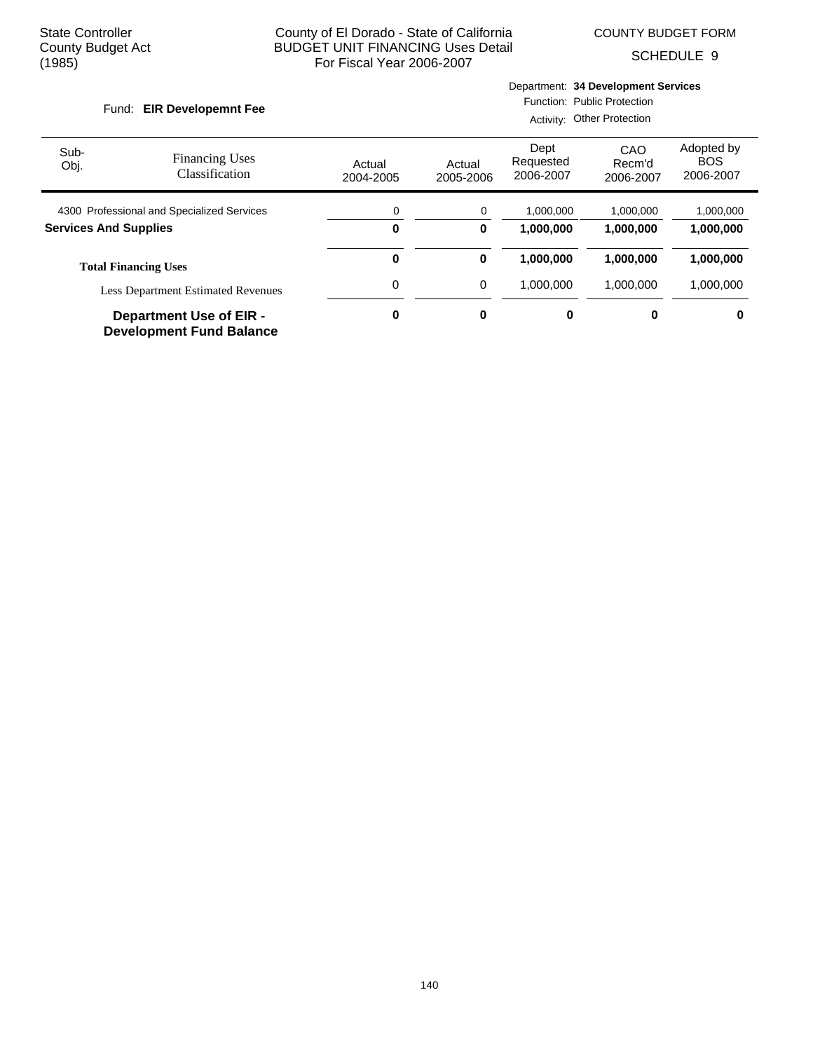COUNTY BUDGET FORM

SCHEDULE 9

#### Fund: EIR Developemnt Fee

Department: **34 Development Services**

Function: Public Protection

|                                            |                                                                   |                     | Activity: Other Protection |                                |                            |                                       |  |
|--------------------------------------------|-------------------------------------------------------------------|---------------------|----------------------------|--------------------------------|----------------------------|---------------------------------------|--|
| Sub-<br>Obj.                               | <b>Financing Uses</b><br>Classification                           | Actual<br>2004-2005 | Actual<br>2005-2006        | Dept<br>Requested<br>2006-2007 | CAO<br>Recm'd<br>2006-2007 | Adopted by<br><b>BOS</b><br>2006-2007 |  |
| 4300 Professional and Specialized Services |                                                                   | 0                   | 0                          | 1.000.000                      | 1.000.000                  | 1,000,000                             |  |
| <b>Services And Supplies</b>               |                                                                   | 0                   | 0                          | 1,000,000                      | 1,000,000                  | 1,000,000                             |  |
|                                            | <b>Total Financing Uses</b>                                       | 0                   | 0                          | 1,000,000                      | 1.000.000                  | 1,000,000                             |  |
| <b>Less Department Estimated Revenues</b>  |                                                                   | 0                   | 0                          | 1,000,000                      | 1.000.000                  | 1,000,000                             |  |
|                                            | <b>Department Use of EIR -</b><br><b>Development Fund Balance</b> | 0                   | $\mathbf 0$                | 0                              | 0                          | 0                                     |  |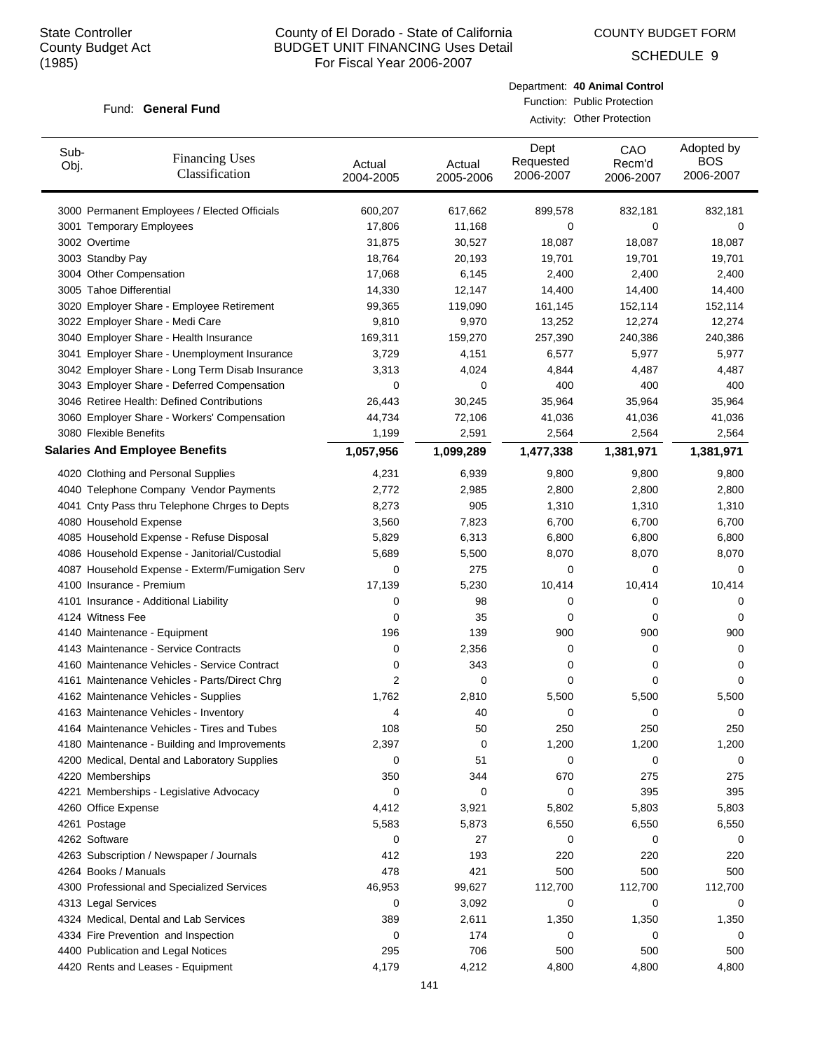COUNTY BUDGET FORM

SCHEDULE 9

#### Fund: General Fund

Department: **40 Animal Control** Function: Public Protection

Activity: Other Protection

| Sub-<br>Obj. | <b>Financing Uses</b><br>Classification         | Actual<br>2004-2005 | Actual<br>2005-2006 | Dept<br>Requested<br>2006-2007 | CAO<br>Recm'd<br>2006-2007 | Adopted by<br><b>BOS</b><br>2006-2007 |
|--------------|-------------------------------------------------|---------------------|---------------------|--------------------------------|----------------------------|---------------------------------------|
|              | 3000 Permanent Employees / Elected Officials    | 600,207             | 617,662             | 899,578                        | 832,181                    | 832,181                               |
|              | 3001 Temporary Employees                        | 17,806              | 11,168              | 0                              | 0                          | 0                                     |
|              | 3002 Overtime                                   | 31,875              | 30,527              | 18,087                         | 18,087                     | 18,087                                |
|              | 3003 Standby Pay                                | 18,764              | 20,193              | 19,701                         | 19,701                     | 19,701                                |
|              | 3004 Other Compensation                         | 17,068              | 6,145               | 2,400                          | 2,400                      | 2,400                                 |
|              | 3005 Tahoe Differential                         | 14,330              | 12,147              | 14,400                         | 14,400                     | 14,400                                |
|              | 3020 Employer Share - Employee Retirement       | 99,365              | 119,090             | 161,145                        | 152,114                    | 152,114                               |
|              | 3022 Employer Share - Medi Care                 | 9,810               | 9,970               | 13,252                         | 12,274                     | 12,274                                |
|              | 3040 Employer Share - Health Insurance          | 169,311             | 159,270             | 257,390                        | 240,386                    | 240,386                               |
|              | 3041 Employer Share - Unemployment Insurance    | 3,729               | 4,151               | 6,577                          | 5,977                      | 5,977                                 |
|              | 3042 Employer Share - Long Term Disab Insurance | 3,313               | 4,024               | 4,844                          | 4,487                      | 4,487                                 |
|              | 3043 Employer Share - Deferred Compensation     | 0                   | 0                   | 400                            | 400                        | 400                                   |
|              | 3046 Retiree Health: Defined Contributions      | 26,443              | 30,245              | 35,964                         | 35,964                     | 35,964                                |
|              | 3060 Employer Share - Workers' Compensation     | 44,734              | 72,106              | 41,036                         | 41,036                     | 41,036                                |
|              | 3080 Flexible Benefits                          | 1,199               | 2,591               | 2,564                          | 2,564                      | 2,564                                 |
|              | <b>Salaries And Employee Benefits</b>           | 1,057,956           | 1,099,289           | 1,477,338                      | 1,381,971                  | 1,381,971                             |
|              | 4020 Clothing and Personal Supplies             | 4,231               | 6,939               | 9,800                          | 9,800                      | 9,800                                 |
|              | 4040 Telephone Company Vendor Payments          | 2,772               | 2,985               | 2,800                          | 2,800                      | 2,800                                 |
|              | 4041 Cnty Pass thru Telephone Chrges to Depts   | 8,273               | 905                 | 1,310                          | 1,310                      | 1,310                                 |
|              | 4080 Household Expense                          | 3,560               | 7,823               | 6,700                          | 6,700                      | 6,700                                 |
|              | 4085 Household Expense - Refuse Disposal        | 5,829               | 6,313               | 6,800                          | 6,800                      | 6,800                                 |
|              | 4086 Household Expense - Janitorial/Custodial   | 5,689               | 5,500               | 8,070                          | 8,070                      | 8,070                                 |
|              | 4087 Household Expense - Exterm/Fumigation Serv | 0                   | 275                 | 0                              | 0                          | 0                                     |
|              | 4100 Insurance - Premium                        | 17,139              | 5,230               | 10,414                         | 10,414                     | 10,414                                |
|              | 4101 Insurance - Additional Liability           | 0                   | 98                  | 0                              | 0                          | 0                                     |
|              | 4124 Witness Fee                                | 0                   | 35                  | 0                              | 0                          | 0                                     |
|              | 4140 Maintenance - Equipment                    | 196                 | 139                 | 900                            | 900                        | 900                                   |
|              | 4143 Maintenance - Service Contracts            | 0                   | 2,356               | 0                              | 0                          | 0                                     |
|              | 4160 Maintenance Vehicles - Service Contract    | 0                   | 343                 | 0                              | 0                          | 0                                     |
|              | 4161 Maintenance Vehicles - Parts/Direct Chrg   | 2                   | 0                   | 0                              | 0                          | 0                                     |
|              | 4162 Maintenance Vehicles - Supplies            | 1,762               | 2,810               | 5,500                          | 5,500                      | 5,500                                 |
|              | 4163 Maintenance Vehicles - Inventory           | 4                   | 40                  | 0                              | 0                          | 0                                     |
|              | 4164 Maintenance Vehicles - Tires and Tubes     | 108                 | 50                  | 250                            | 250                        | 250                                   |
|              | 4180 Maintenance - Building and Improvements    | 2,397               | 0                   | 1,200                          | 1,200                      | 1,200                                 |
|              | 4200 Medical, Dental and Laboratory Supplies    | 0                   | 51                  | 0                              | 0                          | 0                                     |
|              | 4220 Memberships                                | 350                 | 344                 | 670                            | 275                        | 275                                   |
|              | 4221 Memberships - Legislative Advocacy         | 0                   | 0                   | 0                              | 395                        | 395                                   |
|              | 4260 Office Expense                             | 4,412               | 3,921               | 5,802                          | 5,803                      | 5,803                                 |
|              | 4261 Postage                                    | 5,583               | 5,873               | 6,550                          | 6,550                      | 6,550                                 |
|              | 4262 Software                                   | 0                   | 27                  | 0                              | 0                          | 0                                     |
|              | 4263 Subscription / Newspaper / Journals        | 412                 | 193                 | 220                            | 220                        | 220                                   |
|              | 4264 Books / Manuals                            | 478                 | 421                 | 500                            | 500                        | 500                                   |
|              | 4300 Professional and Specialized Services      | 46,953              | 99,627              | 112,700                        | 112,700                    | 112,700                               |
|              | 4313 Legal Services                             | 0                   | 3,092               | 0                              | 0                          | 0                                     |
|              | 4324 Medical, Dental and Lab Services           | 389                 | 2,611               | 1,350                          | 1,350                      | 1,350                                 |
|              | 4334 Fire Prevention and Inspection             | 0                   | 174                 | 0                              | 0                          | 0                                     |
|              | 4400 Publication and Legal Notices              | 295                 | 706                 | 500                            | 500                        | 500                                   |
|              | 4420 Rents and Leases - Equipment               | 4,179               | 4,212               | 4,800                          | 4,800                      | 4,800                                 |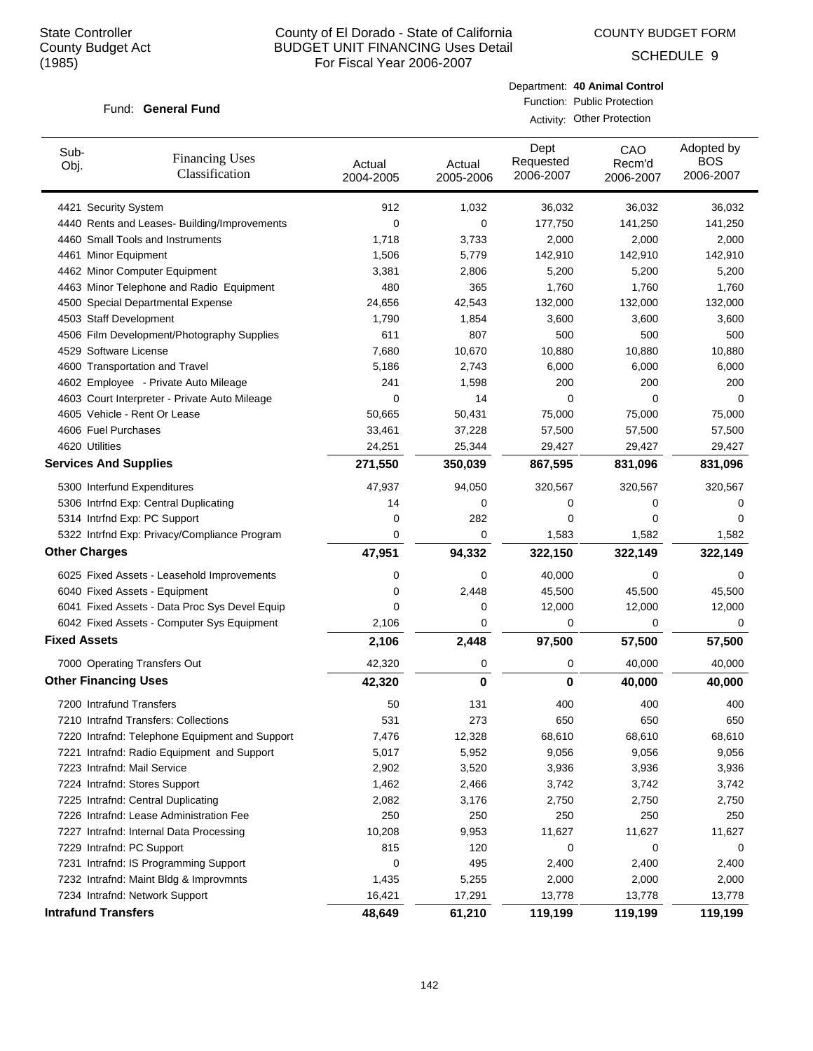COUNTY BUDGET FORM

SCHEDULE 9

#### Fund: General Fund

Department: **40 Animal Control** Function: Public Protection

| Activity: Other Protection |  |  |
|----------------------------|--|--|
|----------------------------|--|--|

| Sub-<br>Obj.        | <b>Financing Uses</b><br>Classification        | Actual<br>2004-2005 | Actual<br>2005-2006 | Dept<br>Requested<br>2006-2007 | CAO<br>Recm'd<br>2006-2007 | Adopted by<br><b>BOS</b><br>2006-2007 |
|---------------------|------------------------------------------------|---------------------|---------------------|--------------------------------|----------------------------|---------------------------------------|
|                     | 4421 Security System                           | 912                 | 1,032               | 36,032                         | 36,032                     | 36,032                                |
|                     | 4440 Rents and Leases- Building/Improvements   | 0                   | 0                   | 177,750                        | 141,250                    | 141,250                               |
|                     | 4460 Small Tools and Instruments               | 1,718               | 3,733               | 2,000                          | 2,000                      | 2,000                                 |
|                     | 4461 Minor Equipment                           | 1,506               | 5,779               | 142,910                        | 142,910                    | 142,910                               |
|                     | 4462 Minor Computer Equipment                  | 3,381               | 2,806               | 5,200                          | 5,200                      | 5,200                                 |
|                     | 4463 Minor Telephone and Radio Equipment       | 480                 | 365                 | 1,760                          | 1,760                      | 1,760                                 |
|                     | 4500 Special Departmental Expense              | 24,656              | 42,543              | 132,000                        | 132,000                    | 132,000                               |
|                     | 4503 Staff Development                         | 1,790               | 1,854               | 3,600                          | 3,600                      | 3,600                                 |
|                     | 4506 Film Development/Photography Supplies     | 611                 | 807                 | 500                            | 500                        | 500                                   |
|                     | 4529 Software License                          | 7,680               | 10,670              | 10,880                         | 10,880                     | 10,880                                |
|                     | 4600 Transportation and Travel                 | 5,186               | 2,743               | 6,000                          | 6,000                      | 6,000                                 |
|                     | 4602 Employee - Private Auto Mileage           | 241                 | 1,598               | 200                            | 200                        | 200                                   |
|                     | 4603 Court Interpreter - Private Auto Mileage  | 0                   | 14                  | 0                              | 0                          | 0                                     |
|                     | 4605 Vehicle - Rent Or Lease                   | 50,665              | 50,431              | 75,000                         | 75,000                     | 75,000                                |
|                     | 4606 Fuel Purchases                            | 33,461              | 37,228              | 57,500                         | 57,500                     | 57,500                                |
|                     | 4620 Utilities                                 | 24,251              | 25,344              | 29,427                         | 29,427                     | 29,427                                |
|                     | <b>Services And Supplies</b>                   | 271,550             | 350,039             | 867,595                        | 831,096                    | 831,096                               |
|                     | 5300 Interfund Expenditures                    | 47,937              | 94,050              | 320,567                        | 320,567                    | 320,567                               |
|                     | 5306 Intrfnd Exp: Central Duplicating          | 14                  | 0                   | 0                              | 0                          | 0                                     |
|                     | 5314 Intrfnd Exp: PC Support                   | 0                   | 282                 | 0                              | 0                          | 0                                     |
|                     | 5322 Intrfnd Exp: Privacy/Compliance Program   | 0                   | 0                   | 1,583                          | 1,582                      | 1,582                                 |
|                     | <b>Other Charges</b>                           | 47,951              | 94,332              | 322,150                        | 322,149                    | 322,149                               |
|                     | 6025 Fixed Assets - Leasehold Improvements     | 0                   | 0                   | 40,000                         | 0                          | 0                                     |
|                     | 6040 Fixed Assets - Equipment                  | 0                   | 2,448               | 45,500                         | 45,500                     | 45,500                                |
|                     | 6041 Fixed Assets - Data Proc Sys Devel Equip  | 0                   | 0                   | 12,000                         | 12,000                     | 12,000                                |
|                     | 6042 Fixed Assets - Computer Sys Equipment     | 2,106               | 0                   | 0                              | 0                          | 0                                     |
| <b>Fixed Assets</b> |                                                | 2,106               | 2,448               | 97,500                         | 57,500                     | 57,500                                |
|                     | 7000 Operating Transfers Out                   | 42,320              | 0                   | 0                              | 40,000                     | 40,000                                |
|                     | <b>Other Financing Uses</b>                    | 42,320              | 0                   | 0                              | 40,000                     | 40,000                                |
|                     | 7200 Intrafund Transfers                       | 50                  | 131                 | 400                            | 400                        | 400                                   |
|                     | 7210 Intrafnd Transfers: Collections           | 531                 | 273                 | 650                            | 650                        | 650                                   |
|                     | 7220 Intrafnd: Telephone Equipment and Support | 7,476               | 12,328              | 68,610                         | 68,610                     | 68,610                                |
|                     | 7221 Intrafnd: Radio Equipment and Support     | 5,017               | 5,952               | 9,056                          | 9,056                      | 9,056                                 |
|                     | 7223 Intrafnd: Mail Service                    | 2,902               | 3,520               | 3,936                          | 3,936                      | 3,936                                 |
|                     | 7224 Intrafnd: Stores Support                  | 1,462               | 2,466               | 3,742                          | 3,742                      | 3,742                                 |
|                     | 7225 Intrafnd: Central Duplicating             | 2,082               | 3,176               | 2,750                          | 2,750                      | 2,750                                 |
|                     | 7226 Intrafnd: Lease Administration Fee        | 250                 | 250                 | 250                            | 250                        | 250                                   |
|                     | 7227 Intrafnd: Internal Data Processing        | 10,208              | 9,953               | 11,627                         | 11,627                     | 11,627                                |
|                     | 7229 Intrafnd: PC Support                      | 815                 | 120                 | 0                              | 0                          | 0                                     |
|                     | 7231 Intrafnd: IS Programming Support          | 0                   | 495                 | 2,400                          | 2,400                      | 2,400                                 |
|                     | 7232 Intrafnd: Maint Bldg & Improvmnts         | 1,435               | 5,255               | 2,000                          | 2,000                      | 2,000                                 |
|                     | 7234 Intrafnd: Network Support                 | 16,421              | 17,291              | 13,778                         | 13,778                     | 13,778                                |
|                     | <b>Intrafund Transfers</b>                     | 48,649              | 61,210              | 119,199                        | 119,199                    | 119,199                               |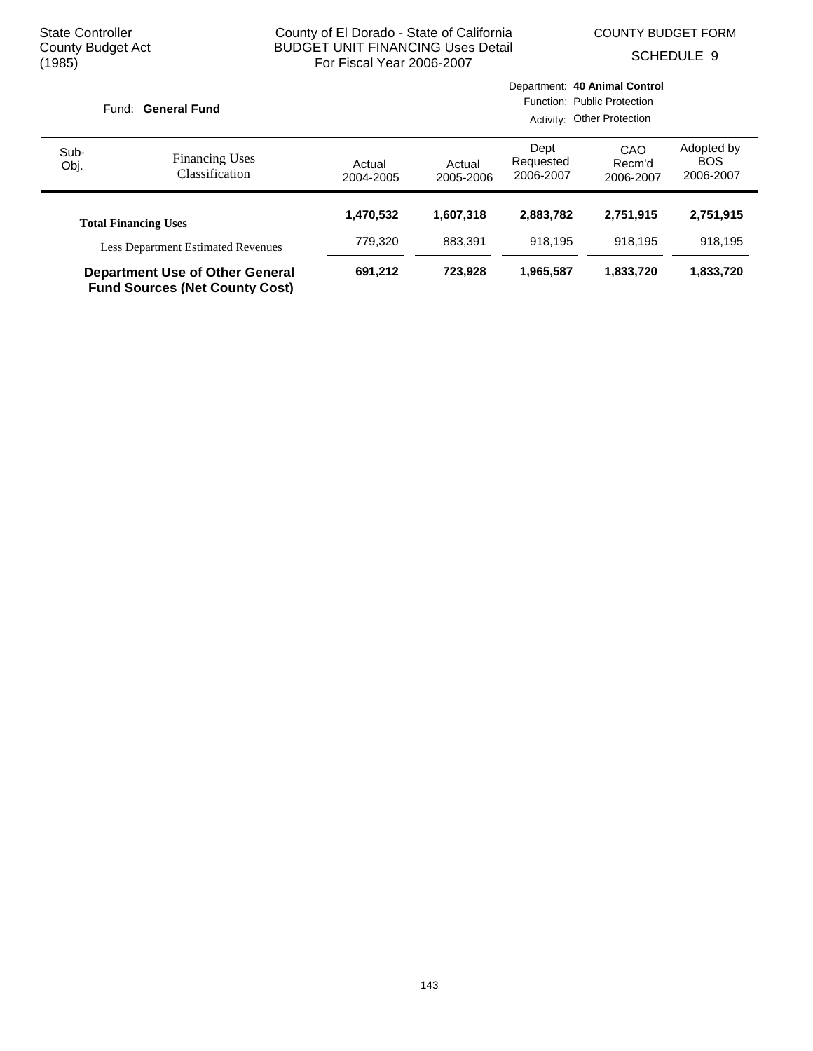COUNTY BUDGET FORM

SCHEDULE 9

|              | Fund: General Fund                                                              |                     | Department: 40 Animal Control<br>Function: Public Protection<br>Activity: Other Protection |                                |                            |                                       |  |
|--------------|---------------------------------------------------------------------------------|---------------------|--------------------------------------------------------------------------------------------|--------------------------------|----------------------------|---------------------------------------|--|
| Sub-<br>Obj. | <b>Financing Uses</b><br>Classification                                         | Actual<br>2004-2005 | Actual<br>2005-2006                                                                        | Dept<br>Requested<br>2006-2007 | CAO<br>Recm'd<br>2006-2007 | Adopted by<br><b>BOS</b><br>2006-2007 |  |
|              | <b>Total Financing Uses</b>                                                     | 1,470,532           | 1,607,318                                                                                  | 2,883,782                      | 2,751,915                  | 2,751,915                             |  |
|              | <b>Less Department Estimated Revenues</b>                                       | 779.320             | 883.391                                                                                    | 918.195                        | 918.195                    | 918.195                               |  |
|              | <b>Department Use of Other General</b><br><b>Fund Sources (Net County Cost)</b> | 691,212             | 723.928                                                                                    | 1,965,587                      | 1,833,720                  | 1,833,720                             |  |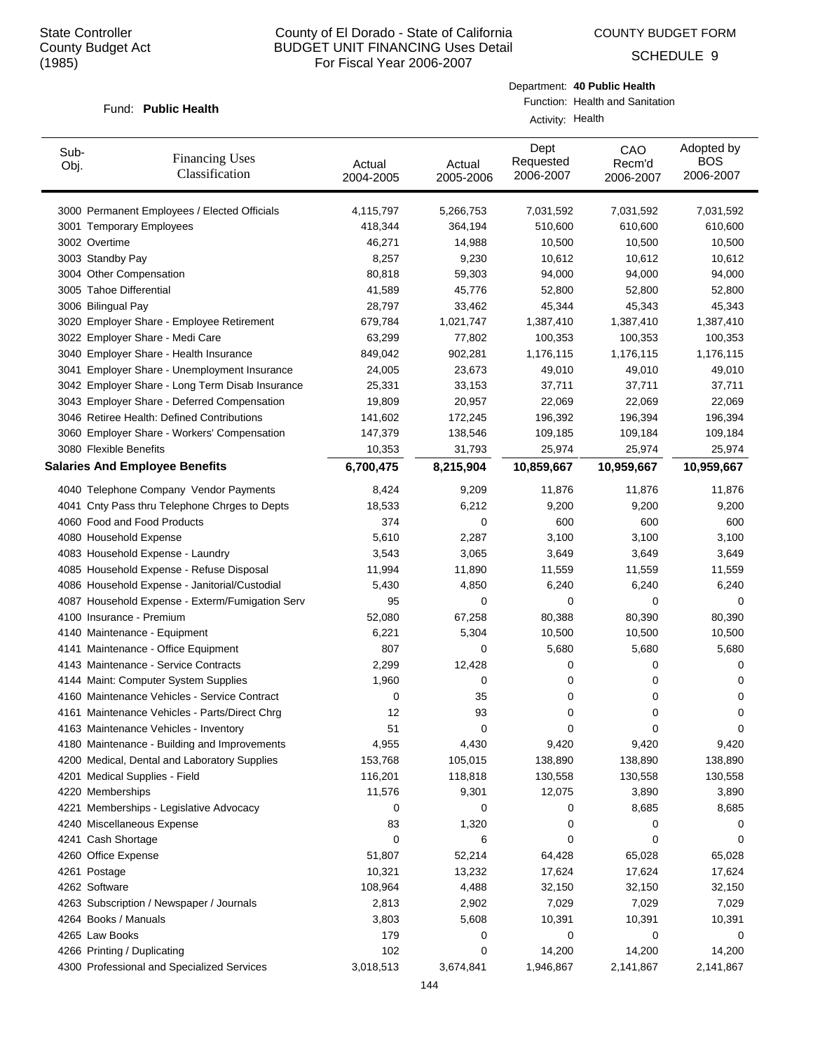COUNTY BUDGET FORM

SCHEDULE 9

#### Fund: Public Health

Department: **40 Public Health** Function: Health and Sanitation

Activity: Health

| Sub-<br>Obj. | <b>Financing Uses</b><br>Classification         | Actual<br>2004-2005 | Actual<br>2005-2006 | Dept<br>Requested<br>2006-2007 | CAO<br>Recm'd<br>2006-2007 | Adopted by<br><b>BOS</b><br>2006-2007 |
|--------------|-------------------------------------------------|---------------------|---------------------|--------------------------------|----------------------------|---------------------------------------|
|              | 3000 Permanent Employees / Elected Officials    | 4,115,797           | 5,266,753           | 7,031,592                      | 7,031,592                  | 7,031,592                             |
|              | 3001 Temporary Employees                        | 418,344             | 364,194             | 510,600                        | 610,600                    | 610,600                               |
|              | 3002 Overtime                                   | 46,271              | 14,988              | 10,500                         | 10,500                     | 10,500                                |
|              | 3003 Standby Pay                                | 8,257               | 9,230               | 10,612                         | 10,612                     | 10,612                                |
|              | 3004 Other Compensation                         | 80,818              | 59,303              | 94,000                         | 94,000                     | 94,000                                |
|              | 3005 Tahoe Differential                         | 41,589              | 45,776              | 52,800                         | 52,800                     | 52,800                                |
|              | 3006 Bilingual Pay                              | 28,797              | 33,462              | 45,344                         | 45,343                     | 45,343                                |
|              | 3020 Employer Share - Employee Retirement       | 679,784             | 1,021,747           | 1,387,410                      | 1,387,410                  | 1,387,410                             |
|              | 3022 Employer Share - Medi Care                 | 63,299              | 77,802              | 100,353                        | 100,353                    | 100,353                               |
|              | 3040 Employer Share - Health Insurance          | 849,042             | 902,281             | 1,176,115                      | 1,176,115                  | 1,176,115                             |
|              | 3041 Employer Share - Unemployment Insurance    | 24,005              | 23,673              | 49,010                         | 49,010                     | 49,010                                |
|              | 3042 Employer Share - Long Term Disab Insurance | 25,331              | 33,153              | 37,711                         | 37,711                     | 37,711                                |
|              | 3043 Employer Share - Deferred Compensation     | 19,809              | 20,957              | 22,069                         | 22,069                     | 22,069                                |
|              | 3046 Retiree Health: Defined Contributions      | 141,602             | 172,245             | 196,392                        | 196,394                    | 196,394                               |
|              | 3060 Employer Share - Workers' Compensation     | 147,379             | 138,546             | 109,185                        | 109,184                    | 109,184                               |
|              | 3080 Flexible Benefits                          | 10,353              | 31,793              | 25,974                         | 25,974                     | 25,974                                |
|              | <b>Salaries And Employee Benefits</b>           | 6,700,475           | 8,215,904           | 10,859,667                     | 10,959,667                 | 10,959,667                            |
|              | 4040 Telephone Company Vendor Payments          | 8,424               | 9,209               | 11,876                         | 11,876                     | 11,876                                |
|              | 4041 Cnty Pass thru Telephone Chrges to Depts   | 18,533              | 6,212               | 9,200                          | 9,200                      | 9,200                                 |
|              | 4060 Food and Food Products                     | 374                 | 0                   | 600                            | 600                        | 600                                   |
|              | 4080 Household Expense                          | 5,610               | 2,287               | 3,100                          | 3,100                      | 3,100                                 |
|              | 4083 Household Expense - Laundry                | 3,543               | 3,065               | 3,649                          | 3,649                      | 3,649                                 |
|              | 4085 Household Expense - Refuse Disposal        | 11,994              | 11,890              | 11,559                         | 11,559                     | 11,559                                |
|              | 4086 Household Expense - Janitorial/Custodial   | 5,430               | 4,850               | 6,240                          | 6,240                      | 6,240                                 |
|              | 4087 Household Expense - Exterm/Fumigation Serv | 95                  | 0                   | 0                              | 0                          | 0                                     |
|              | 4100 Insurance - Premium                        | 52,080              | 67,258              | 80,388                         | 80,390                     | 80,390                                |
|              | 4140 Maintenance - Equipment                    | 6,221               | 5,304               | 10,500                         | 10,500                     | 10,500                                |
|              | 4141 Maintenance - Office Equipment             | 807                 | 0                   | 5,680                          | 5,680                      | 5,680                                 |
|              | 4143 Maintenance - Service Contracts            | 2,299               | 12,428              | 0                              | 0                          | 0                                     |
|              | 4144 Maint: Computer System Supplies            | 1,960               | 0                   | 0                              | 0                          | 0                                     |
|              | 4160 Maintenance Vehicles - Service Contract    | 0                   | 35                  | 0                              | 0                          | 0                                     |
|              | 4161 Maintenance Vehicles - Parts/Direct Chrg   | 12                  | 93                  | 0                              | 0                          | 0                                     |
|              | 4163 Maintenance Vehicles - Inventory           | 51                  | 0                   | 0                              | 0                          | 0                                     |
|              | 4180 Maintenance - Building and Improvements    | 4,955               | 4,430               | 9,420                          | 9,420                      | 9,420                                 |
|              | 4200 Medical, Dental and Laboratory Supplies    | 153,768             | 105,015             | 138,890                        | 138,890                    | 138,890                               |
|              | 4201 Medical Supplies - Field                   | 116,201             | 118,818             | 130,558                        | 130,558                    | 130,558                               |
|              | 4220 Memberships                                | 11,576              | 9,301               | 12,075                         | 3,890                      | 3,890                                 |
|              | 4221 Memberships - Legislative Advocacy         | 0                   | 0                   | 0                              | 8,685                      | 8,685                                 |
|              | 4240 Miscellaneous Expense                      | 83                  | 1,320               | 0                              | 0                          | 0                                     |
|              | 4241 Cash Shortage                              | 0                   | 6                   | 0                              | 0                          | 0                                     |
|              | 4260 Office Expense                             | 51,807              | 52,214              | 64,428                         | 65,028                     | 65,028                                |
|              | 4261 Postage                                    | 10,321              | 13,232              | 17,624                         | 17,624                     | 17,624                                |
|              | 4262 Software                                   | 108,964             | 4,488               | 32,150                         | 32,150                     | 32,150                                |
|              | 4263 Subscription / Newspaper / Journals        | 2,813               | 2,902               | 7,029                          | 7,029                      | 7,029                                 |
|              | 4264 Books / Manuals                            | 3,803               | 5,608               | 10,391                         | 10,391                     | 10,391                                |
|              | 4265 Law Books                                  | 179                 | 0                   | 0                              | 0                          | 0                                     |
|              | 4266 Printing / Duplicating                     | 102                 | 0                   | 14,200                         | 14,200                     | 14,200                                |
|              | 4300 Professional and Specialized Services      | 3,018,513           | 3,674,841           | 1,946,867                      | 2,141,867                  | 2,141,867                             |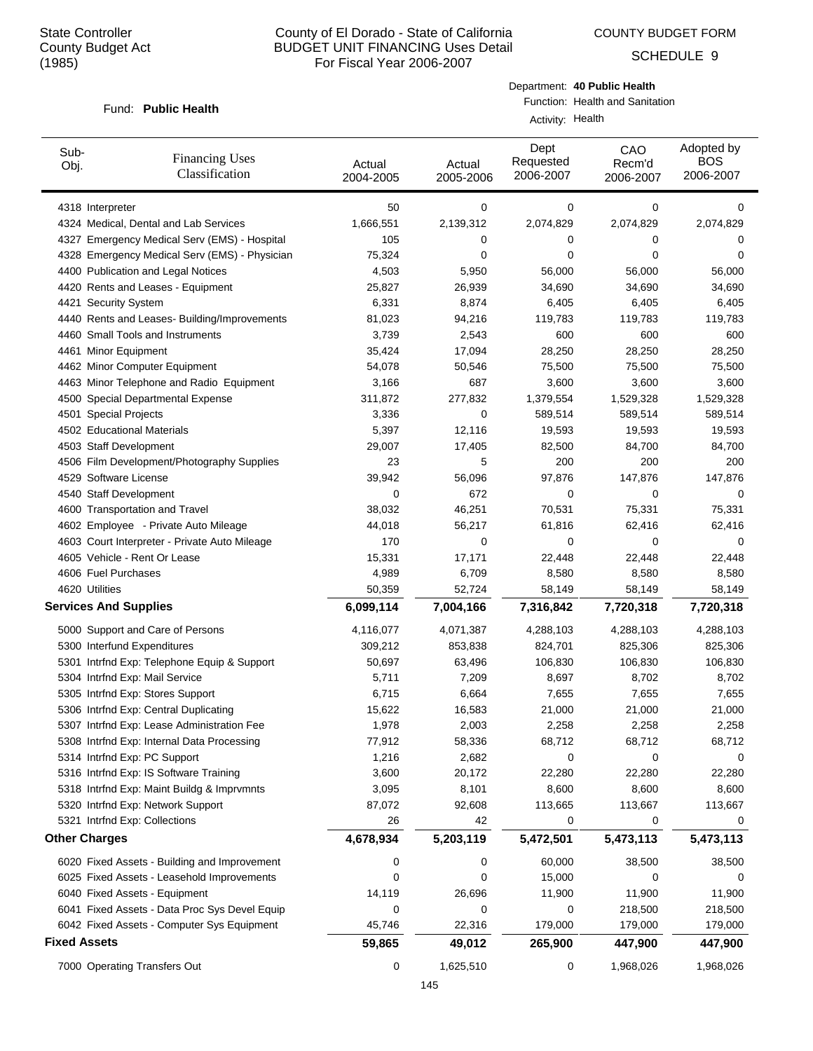COUNTY BUDGET FORM

SCHEDULE 9

#### Fund: Public Health

Department: **40 Public Health** Function: Health and Sanitation

Activity: Health

| Sub-<br>Obj.                 | <b>Financing Uses</b><br>Classification       | Actual<br>2004-2005 | Actual<br>2005-2006 | Dept<br>Requested<br>2006-2007 | CAO<br>Recm'd<br>2006-2007 | Adopted by<br><b>BOS</b><br>2006-2007 |
|------------------------------|-----------------------------------------------|---------------------|---------------------|--------------------------------|----------------------------|---------------------------------------|
| 4318 Interpreter             |                                               | 50                  | 0                   | 0                              | 0                          | 0                                     |
|                              | 4324 Medical, Dental and Lab Services         | 1,666,551           | 2,139,312           | 2,074,829                      | 2,074,829                  | 2,074,829                             |
|                              | 4327 Emergency Medical Serv (EMS) - Hospital  | 105                 | 0                   | 0                              | 0                          | 0                                     |
|                              | 4328 Emergency Medical Serv (EMS) - Physician | 75,324              | 0                   | 0                              | 0                          | 0                                     |
|                              | 4400 Publication and Legal Notices            | 4,503               | 5,950               | 56,000                         | 56,000                     | 56,000                                |
|                              | 4420 Rents and Leases - Equipment             | 25,827              | 26,939              | 34,690                         | 34,690                     | 34,690                                |
| 4421 Security System         |                                               | 6,331               | 8,874               | 6,405                          | 6,405                      | 6,405                                 |
|                              | 4440 Rents and Leases- Building/Improvements  | 81,023              | 94,216              | 119,783                        | 119,783                    | 119,783                               |
|                              | 4460 Small Tools and Instruments              | 3,739               | 2,543               | 600                            | 600                        | 600                                   |
| 4461 Minor Equipment         |                                               | 35,424              | 17,094              | 28,250                         | 28,250                     | 28,250                                |
|                              | 4462 Minor Computer Equipment                 | 54,078              | 50,546              | 75,500                         | 75,500                     | 75,500                                |
|                              | 4463 Minor Telephone and Radio Equipment      | 3,166               | 687                 | 3,600                          | 3,600                      | 3,600                                 |
|                              | 4500 Special Departmental Expense             | 311,872             | 277,832             | 1,379,554                      | 1,529,328                  | 1,529,328                             |
| 4501 Special Projects        |                                               | 3,336               | 0                   | 589,514                        | 589,514                    | 589,514                               |
|                              | 4502 Educational Materials                    | 5,397               | 12,116              | 19,593                         | 19,593                     | 19,593                                |
| 4503 Staff Development       |                                               | 29,007              | 17,405              | 82,500                         | 84,700                     | 84,700                                |
|                              | 4506 Film Development/Photography Supplies    | 23                  | 5                   | 200                            | 200                        | 200                                   |
| 4529 Software License        |                                               | 39,942              | 56,096              | 97,876                         | 147,876                    | 147,876                               |
| 4540 Staff Development       |                                               | 0                   | 672                 | 0                              | 0                          | 0                                     |
|                              | 4600 Transportation and Travel                | 38,032              | 46,251              | 70,531                         | 75,331                     | 75,331                                |
|                              | 4602 Employee - Private Auto Mileage          | 44,018              | 56,217              | 61,816                         | 62,416                     | 62,416                                |
|                              | 4603 Court Interpreter - Private Auto Mileage | 170                 | 0                   | 0                              | $\mathbf 0$                | 0                                     |
|                              | 4605 Vehicle - Rent Or Lease                  | 15,331              | 17,171              | 22,448                         | 22,448                     | 22,448                                |
| 4606 Fuel Purchases          |                                               | 4,989               | 6,709               | 8,580                          | 8,580                      | 8,580                                 |
| 4620 Utilities               |                                               | 50,359              | 52,724              | 58,149                         | 58,149                     | 58,149                                |
| <b>Services And Supplies</b> |                                               | 6,099,114           | 7,004,166           | 7,316,842                      | 7,720,318                  | 7,720,318                             |
|                              | 5000 Support and Care of Persons              | 4,116,077           | 4,071,387           | 4,288,103                      | 4,288,103                  | 4,288,103                             |
|                              | 5300 Interfund Expenditures                   | 309,212             | 853,838             | 824,701                        | 825,306                    | 825,306                               |
|                              | 5301 Intrfnd Exp: Telephone Equip & Support   | 50,697              | 63,496              | 106,830                        | 106,830                    | 106,830                               |
|                              | 5304 Intrfnd Exp: Mail Service                | 5,711               | 7,209               | 8,697                          | 8,702                      | 8,702                                 |
|                              | 5305 Intrfnd Exp: Stores Support              | 6,715               | 6,664               | 7,655                          | 7,655                      | 7,655                                 |
|                              | 5306 Intrfnd Exp: Central Duplicating         | 15,622              | 16,583              | 21,000                         | 21,000                     | 21,000                                |
|                              | 5307 Intrfnd Exp: Lease Administration Fee    | 1,978               | 2,003               | 2,258                          | 2,258                      | 2,258                                 |
|                              | 5308 Intrfnd Exp: Internal Data Processing    | 77,912              | 58,336              | 68,712                         | 68,712                     | 68,712                                |
|                              | 5314 Intrfnd Exp: PC Support                  | 1,216               | 2,682               | 0                              | 0                          | 0                                     |
|                              | 5316 Intrfnd Exp: IS Software Training        | 3,600               | 20,172              | 22,280                         | 22,280                     | 22,280                                |
|                              | 5318 Intrfnd Exp: Maint Buildg & Imprvmnts    | 3,095               | 8,101               | 8,600                          | 8,600                      | 8,600                                 |
|                              | 5320 Intrfnd Exp: Network Support             | 87,072              | 92,608              | 113,665                        | 113,667                    | 113,667                               |
|                              | 5321 Intrfnd Exp: Collections                 | 26                  | 42                  | 0                              | 0                          | 0                                     |
| <b>Other Charges</b>         |                                               | 4,678,934           | 5,203,119           | 5,472,501                      | 5,473,113                  | 5,473,113                             |
|                              | 6020 Fixed Assets - Building and Improvement  | 0                   | 0                   | 60,000                         | 38,500                     | 38,500                                |
|                              | 6025 Fixed Assets - Leasehold Improvements    | 0                   | 0                   | 15,000                         | $\Omega$                   | 0                                     |
|                              | 6040 Fixed Assets - Equipment                 | 14,119              | 26,696              | 11,900                         | 11,900                     | 11,900                                |
|                              | 6041 Fixed Assets - Data Proc Sys Devel Equip | 0                   | 0                   | 0                              | 218,500                    | 218,500                               |
|                              | 6042 Fixed Assets - Computer Sys Equipment    | 45,746              | 22,316              | 179,000                        | 179,000                    | 179,000                               |
| <b>Fixed Assets</b>          |                                               | 59,865              | 49,012              | 265,900                        | 447,900                    | 447,900                               |
|                              | 7000 Operating Transfers Out                  | 0                   | 1,625,510           | 0                              | 1,968,026                  | 1,968,026                             |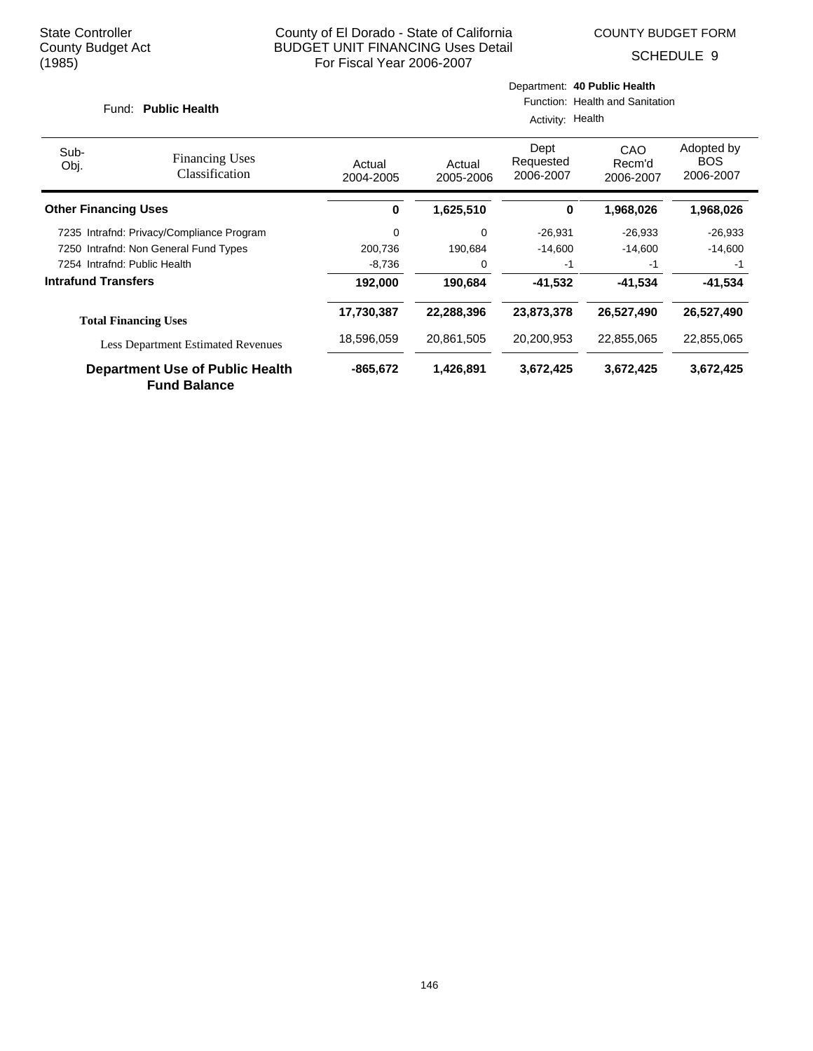SCHEDULE 9

# Fund: Public Health

# Department: **40 Public Health**

Function: Health and Sanitation

| Activity: Health |  |
|------------------|--|
|------------------|--|

| Sub-<br>Obj.                 | <b>Financing Uses</b><br>Classification                       | Actual<br>2004-2005 | Actual<br>2005-2006 | Dept<br>Requested<br>2006-2007 | CAO<br>Recm'd<br>2006-2007 | Adopted by<br><b>BOS</b><br>2006-2007 |
|------------------------------|---------------------------------------------------------------|---------------------|---------------------|--------------------------------|----------------------------|---------------------------------------|
| <b>Other Financing Uses</b>  |                                                               | 0                   | 1,625,510           | 0                              | 1,968,026                  | 1,968,026                             |
|                              | 7235 Intrafnd: Privacy/Compliance Program                     | $\Omega$            | 0                   | $-26.931$                      | $-26,933$                  | $-26,933$                             |
|                              | 7250 Intrafnd: Non General Fund Types                         | 200,736             | 190.684             | $-14,600$                      | $-14.600$                  | $-14,600$                             |
| 7254 Intrafnd: Public Health |                                                               | $-8,736$            | $\Omega$            | -1                             | $-1$                       | -1                                    |
| <b>Intrafund Transfers</b>   |                                                               | 192,000             | 190.684             | -41.532                        | $-41.534$                  | $-41.534$                             |
|                              | <b>Total Financing Uses</b>                                   | 17,730,387          | 22,288,396          | 23,873,378                     | 26,527,490                 | 26,527,490                            |
|                              | <b>Less Department Estimated Revenues</b>                     | 18,596,059          | 20,861,505          | 20,200,953                     | 22,855,065                 | 22,855,065                            |
|                              | <b>Department Use of Public Health</b><br><b>Fund Balance</b> | $-865,672$          | 1,426,891           | 3,672,425                      | 3,672,425                  | 3,672,425                             |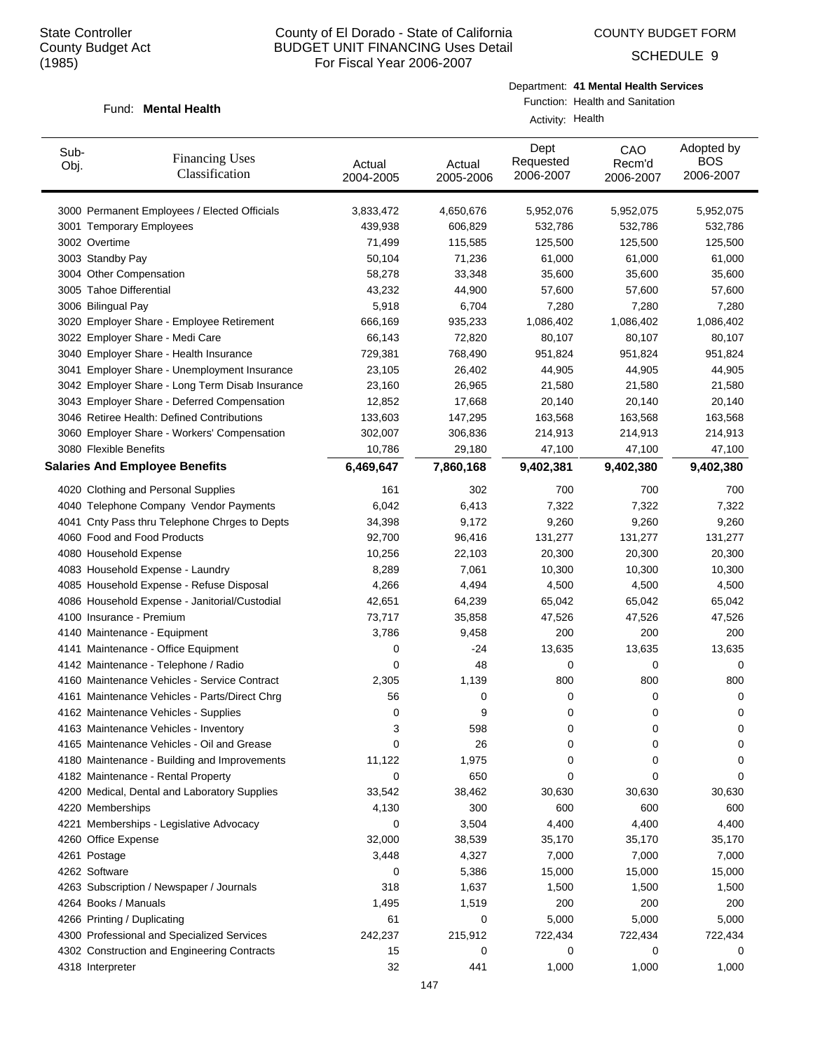COUNTY BUDGET FORM

SCHEDULE 9

#### Fund: Mental Health

Department: **41 Mental Health Services**

Function: Health and Sanitation Activity: Health

| Sub-<br>Obj. | <b>Financing Uses</b><br>Classification         | Actual<br>2004-2005 | Actual<br>2005-2006 | Dept<br>Requested<br>2006-2007 | CAO<br>Recm'd<br>2006-2007 | Adopted by<br><b>BOS</b><br>2006-2007 |
|--------------|-------------------------------------------------|---------------------|---------------------|--------------------------------|----------------------------|---------------------------------------|
|              | 3000 Permanent Employees / Elected Officials    | 3,833,472           | 4,650,676           | 5,952,076                      | 5,952,075                  | 5,952,075                             |
|              | 3001 Temporary Employees                        | 439,938             | 606,829             | 532,786                        | 532,786                    | 532,786                               |
|              | 3002 Overtime                                   | 71,499              | 115,585             | 125,500                        | 125,500                    | 125,500                               |
|              | 3003 Standby Pay                                | 50,104              | 71,236              | 61,000                         | 61,000                     | 61,000                                |
|              | 3004 Other Compensation                         | 58,278              | 33,348              | 35,600                         | 35,600                     | 35,600                                |
|              | 3005 Tahoe Differential                         | 43,232              | 44,900              | 57,600                         | 57,600                     | 57,600                                |
|              | 3006 Bilingual Pay                              | 5,918               | 6,704               | 7,280                          | 7,280                      | 7,280                                 |
|              | 3020 Employer Share - Employee Retirement       | 666,169             | 935,233             | 1,086,402                      | 1,086,402                  | 1,086,402                             |
|              | 3022 Employer Share - Medi Care                 | 66,143              | 72,820              | 80,107                         | 80,107                     | 80,107                                |
|              | 3040 Employer Share - Health Insurance          | 729,381             | 768,490             | 951,824                        | 951,824                    | 951,824                               |
|              | 3041 Employer Share - Unemployment Insurance    | 23,105              | 26,402              | 44,905                         | 44,905                     | 44,905                                |
|              | 3042 Employer Share - Long Term Disab Insurance | 23,160              | 26,965              | 21,580                         | 21,580                     | 21,580                                |
|              | 3043 Employer Share - Deferred Compensation     | 12,852              | 17,668              | 20,140                         | 20,140                     | 20,140                                |
|              | 3046 Retiree Health: Defined Contributions      | 133,603             | 147,295             | 163,568                        | 163,568                    | 163,568                               |
|              | 3060 Employer Share - Workers' Compensation     | 302,007             | 306,836             | 214,913                        | 214,913                    | 214,913                               |
|              | 3080 Flexible Benefits                          | 10,786              | 29,180              | 47,100                         | 47,100                     | 47,100                                |
|              | <b>Salaries And Employee Benefits</b>           | 6,469,647           | 7,860,168           | 9,402,381                      | 9,402,380                  | 9,402,380                             |
|              | 4020 Clothing and Personal Supplies             | 161                 | 302                 | 700                            | 700                        | 700                                   |
|              | 4040 Telephone Company Vendor Payments          | 6,042               | 6,413               | 7,322                          | 7,322                      | 7,322                                 |
|              | 4041 Cnty Pass thru Telephone Chrges to Depts   | 34,398              | 9,172               | 9,260                          | 9,260                      | 9,260                                 |
|              | 4060 Food and Food Products                     | 92,700              | 96,416              | 131,277                        | 131,277                    | 131,277                               |
|              | 4080 Household Expense                          | 10,256              | 22,103              | 20,300                         | 20,300                     | 20,300                                |
|              | 4083 Household Expense - Laundry                | 8,289               | 7,061               | 10,300                         | 10,300                     | 10,300                                |
|              | 4085 Household Expense - Refuse Disposal        | 4,266               | 4,494               | 4,500                          | 4,500                      | 4,500                                 |
|              | 4086 Household Expense - Janitorial/Custodial   | 42,651              | 64,239              | 65,042                         | 65,042                     | 65,042                                |
|              | 4100 Insurance - Premium                        | 73,717              | 35,858              | 47,526                         | 47,526                     | 47,526                                |
|              | 4140 Maintenance - Equipment                    | 3,786               | 9,458               | 200                            | 200                        | 200                                   |
|              | 4141 Maintenance - Office Equipment             | 0                   | -24                 | 13,635                         | 13,635                     | 13,635                                |
|              | 4142 Maintenance - Telephone / Radio            | 0                   | 48                  | 0                              | 0                          | 0                                     |
|              | 4160 Maintenance Vehicles - Service Contract    | 2,305               | 1,139               | 800                            | 800                        | 800                                   |
|              | 4161 Maintenance Vehicles - Parts/Direct Chrg   | 56                  | 0                   | 0                              | 0                          | 0                                     |
|              | 4162 Maintenance Vehicles - Supplies            | 0                   | 9                   | 0                              | 0                          | 0                                     |
|              | 4163 Maintenance Vehicles - Inventory           | 3                   | 598                 | 0                              | 0                          | 0                                     |
|              | 4165 Maintenance Vehicles - Oil and Grease      | 0                   | 26                  | 0                              | 0                          | 0                                     |
|              | 4180 Maintenance - Building and Improvements    | 11,122              | 1,975               | 0                              | 0                          | 0                                     |
|              | 4182 Maintenance - Rental Property              | 0                   | 650                 | 0                              | 0                          | 0                                     |
|              | 4200 Medical, Dental and Laboratory Supplies    | 33,542              | 38,462              | 30,630                         | 30,630                     | 30,630                                |
|              | 4220 Memberships                                | 4,130               | 300                 | 600                            | 600                        | 600                                   |
|              |                                                 | 0                   |                     | 4,400                          |                            | 4,400                                 |
|              | 4221 Memberships - Legislative Advocacy         |                     | 3,504               |                                | 4,400                      |                                       |
|              | 4260 Office Expense                             | 32,000              | 38,539              | 35,170                         | 35,170                     | 35,170                                |
|              | 4261 Postage                                    | 3,448               | 4,327               | 7,000                          | 7,000                      | 7,000                                 |
|              | 4262 Software                                   | 0                   | 5,386               | 15,000                         | 15,000                     | 15,000                                |
|              | 4263 Subscription / Newspaper / Journals        | 318                 | 1,637               | 1,500                          | 1,500                      | 1,500                                 |
|              | 4264 Books / Manuals                            | 1,495               | 1,519               | 200                            | 200                        | 200                                   |
|              | 4266 Printing / Duplicating                     | 61                  | 0                   | 5,000                          | 5,000                      | 5,000                                 |
|              | 4300 Professional and Specialized Services      | 242,237             | 215,912             | 722,434                        | 722,434                    | 722,434                               |
|              | 4302 Construction and Engineering Contracts     | 15                  | 0                   | 0                              | 0                          | 0                                     |
|              | 4318 Interpreter                                | 32                  | 441                 | 1,000                          | 1,000                      | 1,000                                 |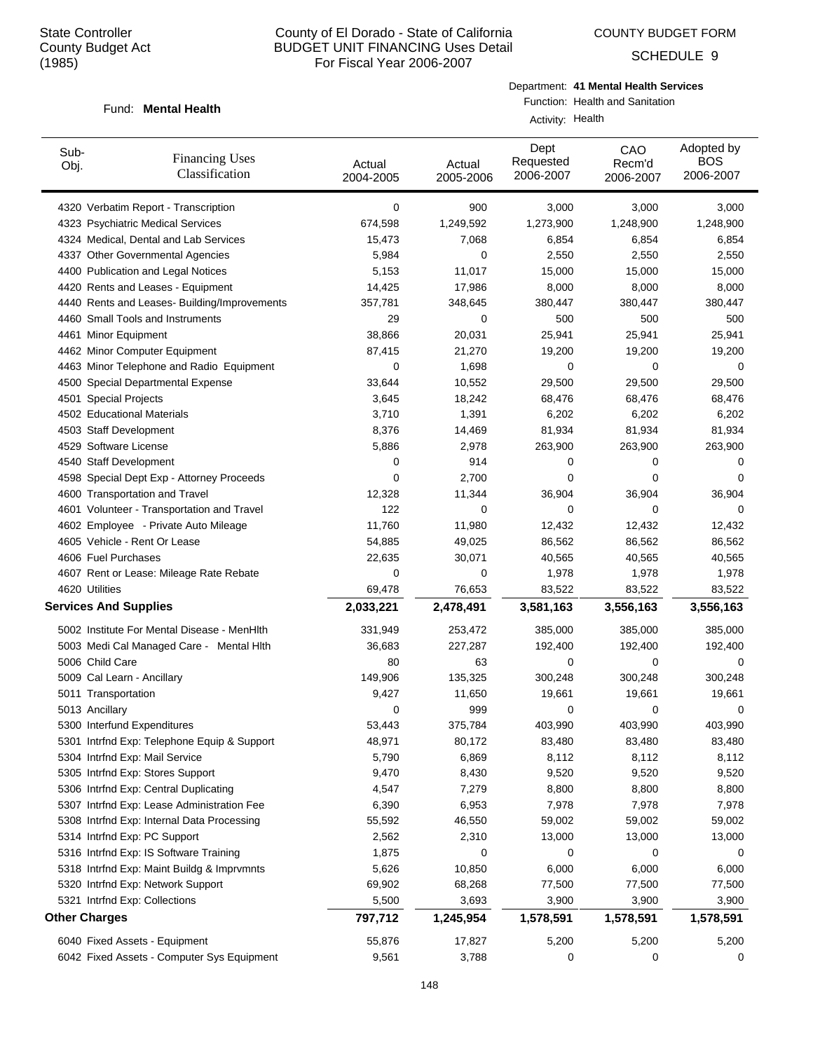COUNTY BUDGET FORM

SCHEDULE 9

#### Fund: Mental Health

Department: **41 Mental Health Services**

Function: Health and Sanitation Activity: Health

| Sub-<br>Obj. | <b>Financing Uses</b><br>Classification               | Actual<br>2004-2005 | Actual<br>2005-2006 | Dept<br>Requested<br>2006-2007 | CAO<br>Recm'd<br>2006-2007 | Adopted by<br><b>BOS</b><br>2006-2007 |
|--------------|-------------------------------------------------------|---------------------|---------------------|--------------------------------|----------------------------|---------------------------------------|
|              | 4320 Verbatim Report - Transcription                  | 0                   | 900                 | 3,000                          | 3,000                      | 3,000                                 |
|              | 4323 Psychiatric Medical Services                     | 674,598             | 1,249,592           | 1,273,900                      | 1,248,900                  | 1,248,900                             |
|              | 4324 Medical, Dental and Lab Services                 | 15,473              | 7,068               | 6,854                          | 6,854                      | 6,854                                 |
|              | 4337 Other Governmental Agencies                      | 5,984               | 0                   | 2,550                          | 2,550                      | 2,550                                 |
|              | 4400 Publication and Legal Notices                    | 5,153               | 11,017              | 15,000                         | 15,000                     | 15,000                                |
|              | 4420 Rents and Leases - Equipment                     | 14,425              | 17,986              | 8,000                          | 8,000                      | 8,000                                 |
|              | 4440 Rents and Leases- Building/Improvements          | 357,781             | 348,645             | 380,447                        | 380,447                    | 380,447                               |
|              | 4460 Small Tools and Instruments                      | 29                  | 0                   | 500                            | 500                        | 500                                   |
|              | 4461 Minor Equipment                                  | 38,866              | 20,031              | 25,941                         | 25,941                     | 25,941                                |
|              | 4462 Minor Computer Equipment                         | 87,415              | 21,270              | 19,200                         | 19,200                     | 19,200                                |
|              | 4463 Minor Telephone and Radio Equipment              | 0                   | 1,698               | 0                              | 0                          | 0                                     |
|              | 4500 Special Departmental Expense                     | 33,644              | 10,552              | 29,500                         | 29,500                     | 29,500                                |
|              | 4501 Special Projects                                 | 3,645               | 18,242              | 68,476                         | 68,476                     | 68,476                                |
|              | 4502 Educational Materials                            | 3,710               | 1,391               | 6,202                          | 6,202                      | 6,202                                 |
|              | 4503 Staff Development                                | 8,376               | 14,469              | 81,934                         | 81,934                     | 81,934                                |
|              | 4529 Software License                                 | 5,886               | 2,978               | 263,900                        | 263,900                    | 263,900                               |
|              | 4540 Staff Development                                | 0                   | 914                 | 0                              | 0                          | 0                                     |
|              | 4598 Special Dept Exp - Attorney Proceeds             | 0                   | 2,700               | 0                              | 0                          | 0                                     |
|              | 4600 Transportation and Travel                        | 12,328              | 11,344              | 36,904                         | 36,904                     | 36,904                                |
|              | 4601 Volunteer - Transportation and Travel            | 122                 | 0                   | 0                              | 0                          | 0                                     |
|              | 4602 Employee - Private Auto Mileage                  | 11,760              | 11,980              | 12,432                         | 12,432                     | 12,432                                |
|              | 4605 Vehicle - Rent Or Lease                          | 54,885              | 49,025              | 86,562                         | 86,562                     | 86,562                                |
|              | 4606 Fuel Purchases                                   | 22,635              | 30,071              | 40,565                         | 40,565                     | 40,565                                |
|              | 4607 Rent or Lease: Mileage Rate Rebate               | 0                   | 0                   | 1,978                          | 1,978                      | 1,978                                 |
|              | 4620 Utilities                                        | 69,478              | 76,653              | 83,522                         | 83,522                     | 83,522                                |
|              | <b>Services And Supplies</b>                          | 2,033,221           | 2,478,491           | 3,581,163                      | 3,556,163                  | 3,556,163                             |
|              | 5002 Institute For Mental Disease - MenHlth           | 331,949             | 253,472             | 385,000                        | 385,000                    | 385,000                               |
|              | 5003 Medi Cal Managed Care - Mental Hlth              | 36,683              | 227,287             | 192,400                        | 192,400                    | 192,400                               |
|              | 5006 Child Care                                       | 80                  | 63                  | 0                              | 0                          | 0                                     |
|              | 5009 Cal Learn - Ancillary                            | 149,906             | 135,325             | 300,248                        | 300,248                    | 300,248                               |
|              | 5011 Transportation                                   | 9,427               | 11,650              | 19,661                         | 19,661                     | 19,661                                |
|              | 5013 Ancillary                                        | 0                   | 999                 | 0                              | 0                          | 0                                     |
|              | 5300 Interfund Expenditures                           | 53,443              | 375,784             | 403,990                        | 403,990                    | 403,990                               |
|              | 5301 Intrind Exp: Telephone Equip & Support           | 48,971              | 80,172              | 83,480                         | 83,480                     | 83,480                                |
|              | 5304 Intrfnd Exp: Mail Service                        | 5,790               | 6,869               | 8,112                          | 8,112                      | 8,112                                 |
|              | 5305 Intrfnd Exp: Stores Support                      | 9,470               | 8,430               | 9,520                          | 9,520                      | 9,520                                 |
|              | 5306 Intrfnd Exp: Central Duplicating                 | 4,547               | 7,279               | 8,800                          | 8,800                      | 8,800                                 |
|              | 5307 Intrfnd Exp: Lease Administration Fee            | 6,390               | 6,953               | 7,978                          | 7,978                      | 7,978                                 |
|              | 5308 Intrfnd Exp: Internal Data Processing            | 55,592              | 46,550              | 59,002                         | 59,002                     | 59,002                                |
|              | 5314 Intrfnd Exp: PC Support                          | 2,562               | 2,310               | 13,000                         | 13,000                     | 13,000                                |
|              | 5316 Intrfnd Exp: IS Software Training                | 1,875               | 0                   | 0                              | 0                          | 0                                     |
|              |                                                       |                     |                     |                                | 6,000                      | 6,000                                 |
|              | 5318 Intrfnd Exp: Maint Buildg & Imprvmnts            | 5,626               | 10,850              | 6,000                          |                            |                                       |
|              | 5320 Intrfnd Exp: Network Support                     | 69,902              | 68,268              | 77,500                         | 77,500                     | 77,500                                |
|              | 5321 Intrfnd Exp: Collections<br><b>Other Charges</b> | 5,500               | 3,693               | 3,900                          | 3,900                      | 3,900                                 |
|              |                                                       | 797,712             | 1,245,954           | 1,578,591                      | 1,578,591                  | 1,578,591                             |
|              | 6040 Fixed Assets - Equipment                         | 55,876              | 17,827              | 5,200                          | 5,200                      | 5,200                                 |
|              | 6042 Fixed Assets - Computer Sys Equipment            | 9,561               | 3,788               | 0                              | 0                          | 0                                     |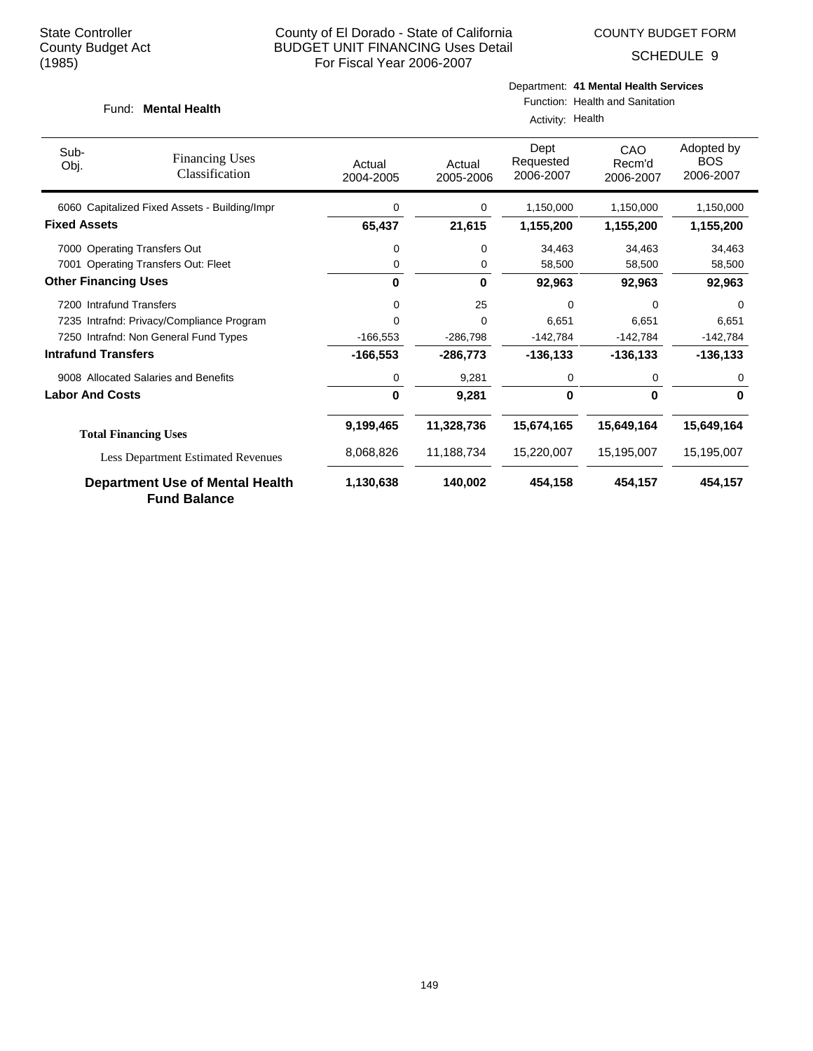SCHEDULE 9

#### Fund: Mental Health

# Department: **41 Mental Health Services**

Function: Health and Sanitation Activity: Health

| Sub-<br>Obj.                | <b>Financing Uses</b><br>Classification                       | Actual<br>2004-2005 | Actual<br>2005-2006 | Dept<br>Requested<br>2006-2007 | <b>CAO</b><br>Recm'd<br>2006-2007 | Adopted by<br><b>BOS</b><br>2006-2007 |
|-----------------------------|---------------------------------------------------------------|---------------------|---------------------|--------------------------------|-----------------------------------|---------------------------------------|
|                             | 6060 Capitalized Fixed Assets - Building/Impr                 | 0                   | 0                   | 1,150,000                      | 1,150,000                         | 1,150,000                             |
| <b>Fixed Assets</b>         |                                                               | 65,437              | 21,615              | 1,155,200                      | 1,155,200                         | 1,155,200                             |
|                             | 7000 Operating Transfers Out                                  | 0                   | 0                   | 34,463                         | 34,463                            | 34,463                                |
| 7001                        | <b>Operating Transfers Out: Fleet</b>                         | 0                   | 0                   | 58,500                         | 58,500                            | 58,500                                |
| <b>Other Financing Uses</b> |                                                               | 0                   | 0                   | 92,963                         | 92,963                            | 92,963                                |
| 7200 Intrafund Transfers    |                                                               | 0                   | 25                  | 0                              | 0                                 | $\Omega$                              |
|                             | 7235 Intrafnd: Privacy/Compliance Program                     | 0                   | 0                   | 6.651                          | 6.651                             | 6,651                                 |
|                             | 7250 Intrafnd: Non General Fund Types                         | $-166,553$          | $-286,798$          | -142,784                       | $-142,784$                        | $-142,784$                            |
| <b>Intrafund Transfers</b>  |                                                               | $-166,553$          | $-286,773$          | $-136, 133$                    | $-136, 133$                       | $-136,133$                            |
|                             | 9008 Allocated Salaries and Benefits                          | 0                   | 9,281               | 0                              | 0                                 | 0                                     |
| <b>Labor And Costs</b>      |                                                               | 0                   | 9,281               | 0                              | $\bf{0}$                          | 0                                     |
|                             | <b>Total Financing Uses</b>                                   | 9,199,465           | 11,328,736          | 15,674,165                     | 15,649,164                        | 15,649,164                            |
|                             | <b>Less Department Estimated Revenues</b>                     | 8,068,826           | 11,188,734          | 15,220,007                     | 15,195,007                        | 15,195,007                            |
|                             | <b>Department Use of Mental Health</b><br><b>Fund Balance</b> | 1,130,638           | 140,002             | 454,158                        | 454,157                           | 454,157                               |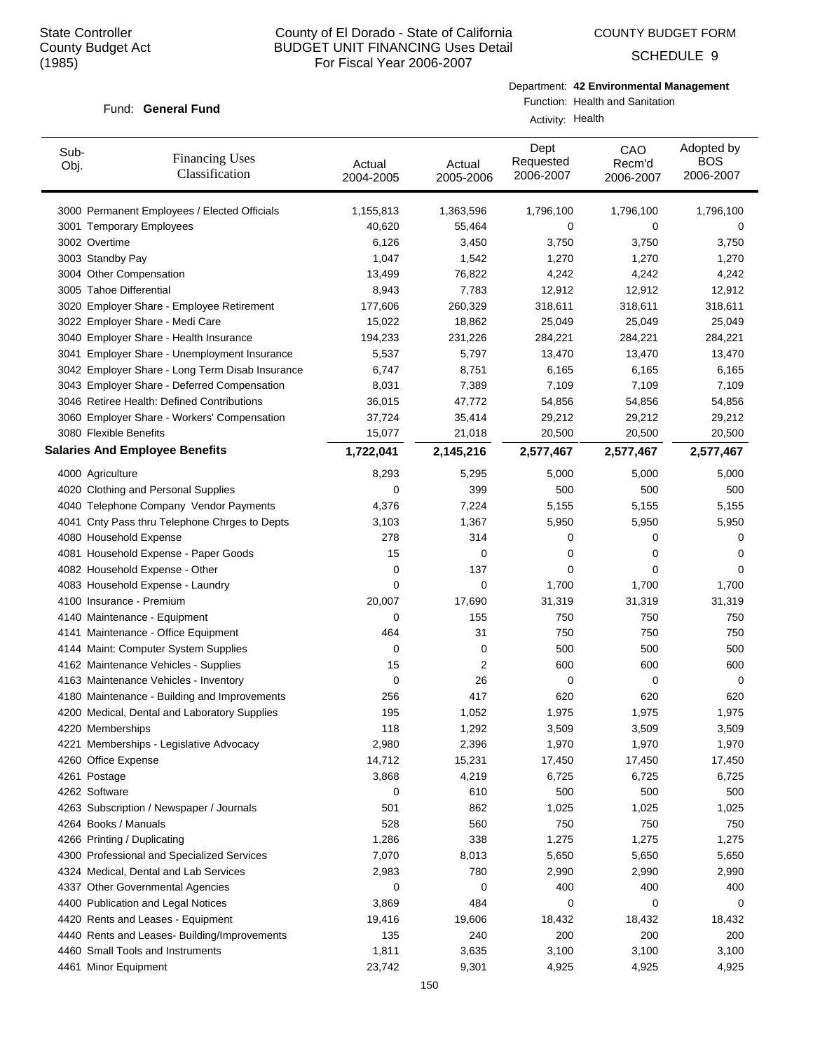COUNTY BUDGET FORM

SCHEDULE 9

#### Fund: General Fund

Department: **42 Environmental Management**

Function: Health and Sanitation

Activity: Health

| Sub-<br>Obj. | <b>Financing Uses</b><br>Classification         | Actual<br>2004-2005 | Actual<br>2005-2006 | Dept<br>Requested<br>2006-2007 | CAO<br>Recm'd<br>2006-2007 | Adopted by<br><b>BOS</b><br>2006-2007 |
|--------------|-------------------------------------------------|---------------------|---------------------|--------------------------------|----------------------------|---------------------------------------|
|              | 3000 Permanent Employees / Elected Officials    | 1,155,813           | 1,363,596           | 1,796,100                      | 1,796,100                  | 1,796,100                             |
|              | 3001 Temporary Employees                        | 40,620              | 55,464              | 0                              | 0                          | 0                                     |
|              | 3002 Overtime                                   | 6,126               | 3,450               | 3,750                          | 3,750                      | 3,750                                 |
|              | 3003 Standby Pay                                | 1,047               | 1,542               | 1,270                          | 1,270                      | 1,270                                 |
|              | 3004 Other Compensation                         | 13,499              | 76,822              | 4,242                          | 4,242                      | 4,242                                 |
|              | 3005 Tahoe Differential                         | 8,943               | 7,783               | 12,912                         | 12,912                     | 12,912                                |
|              | 3020 Employer Share - Employee Retirement       | 177,606             | 260,329             | 318,611                        | 318,611                    | 318,611                               |
|              | 3022 Employer Share - Medi Care                 | 15,022              | 18,862              | 25,049                         | 25,049                     | 25,049                                |
|              | 3040 Employer Share - Health Insurance          | 194,233             | 231,226             | 284,221                        | 284,221                    | 284,221                               |
|              | 3041 Employer Share - Unemployment Insurance    | 5,537               | 5,797               | 13,470                         | 13,470                     | 13,470                                |
|              | 3042 Employer Share - Long Term Disab Insurance | 6,747               | 8,751               | 6,165                          | 6,165                      | 6,165                                 |
|              | 3043 Employer Share - Deferred Compensation     | 8,031               | 7,389               | 7,109                          | 7,109                      | 7,109                                 |
|              | 3046 Retiree Health: Defined Contributions      | 36,015              | 47,772              | 54,856                         | 54,856                     | 54,856                                |
|              | 3060 Employer Share - Workers' Compensation     | 37,724              | 35,414              | 29,212                         | 29,212                     | 29,212                                |
|              | 3080 Flexible Benefits                          | 15,077              | 21,018              | 20,500                         | 20,500                     | 20,500                                |
|              | <b>Salaries And Employee Benefits</b>           | 1,722,041           | 2,145,216           | 2,577,467                      | 2,577,467                  | 2,577,467                             |
|              | 4000 Agriculture                                | 8,293               | 5,295               | 5,000                          | 5,000                      | 5,000                                 |
|              | 4020 Clothing and Personal Supplies             | 0                   | 399                 | 500                            | 500                        | 500                                   |
|              | 4040 Telephone Company Vendor Payments          | 4,376               | 7,224               | 5,155                          | 5,155                      | 5,155                                 |
|              | 4041 Cnty Pass thru Telephone Chrges to Depts   | 3,103               | 1,367               | 5,950                          | 5,950                      | 5,950                                 |
|              | 4080 Household Expense                          | 278                 | 314                 | 0                              | 0                          | 0                                     |
|              | 4081 Household Expense - Paper Goods            | 15                  | 0                   | 0                              | 0                          | 0                                     |
|              | 4082 Household Expense - Other                  | 0                   | 137                 | 0                              | 0                          | 0                                     |
|              | 4083 Household Expense - Laundry                | 0                   | 0                   | 1,700                          | 1,700                      | 1,700                                 |
|              | 4100 Insurance - Premium                        | 20,007              | 17,690              | 31,319                         | 31,319                     | 31,319                                |
|              | 4140 Maintenance - Equipment                    | 0                   | 155                 | 750                            | 750                        | 750                                   |
|              | 4141 Maintenance - Office Equipment             | 464                 | 31                  | 750                            | 750                        | 750                                   |
|              | 4144 Maint: Computer System Supplies            | 0                   | 0                   | 500                            | 500                        | 500                                   |
|              | 4162 Maintenance Vehicles - Supplies            | 15                  | 2                   | 600                            | 600                        | 600                                   |
|              | 4163 Maintenance Vehicles - Inventory           | 0                   | 26                  | 0                              | 0                          | 0                                     |
|              | 4180 Maintenance - Building and Improvements    | 256                 | 417                 | 620                            | 620                        | 620                                   |
|              | 4200 Medical, Dental and Laboratory Supplies    | 195                 | 1,052               | 1,975                          | 1,975                      | 1,975                                 |
|              | 4220 Memberships                                | 118                 | 1,292               | 3,509                          | 3,509                      | 3,509                                 |
|              | 4221 Memberships - Legislative Advocacy         | 2,980               | 2,396               | 1,970                          | 1,970                      | 1,970                                 |
|              | 4260 Office Expense                             | 14,712              | 15,231              | 17,450                         | 17,450                     | 17,450                                |
|              | 4261 Postage                                    | 3,868               | 4,219               | 6,725                          | 6,725                      | 6,725                                 |
|              | 4262 Software                                   | 0                   | 610                 | 500                            | 500                        | 500                                   |
|              | 4263 Subscription / Newspaper / Journals        | 501                 | 862                 | 1,025                          | 1,025                      | 1,025                                 |
|              | 4264 Books / Manuals                            | 528                 | 560                 | 750                            | 750                        | 750                                   |
|              | 4266 Printing / Duplicating                     | 1,286               | 338                 | 1,275                          | 1,275                      | 1,275                                 |
|              | 4300 Professional and Specialized Services      | 7,070               | 8,013               | 5,650                          | 5,650                      | 5,650                                 |
|              | 4324 Medical, Dental and Lab Services           | 2,983               | 780                 | 2,990                          | 2,990                      | 2,990                                 |
|              | 4337 Other Governmental Agencies                | 0                   | 0                   | 400                            | 400                        | 400                                   |
|              | 4400 Publication and Legal Notices              | 3,869               | 484                 | 0                              | 0                          | 0                                     |
|              | 4420 Rents and Leases - Equipment               | 19,416              | 19,606              | 18,432                         | 18,432                     | 18,432                                |
|              | 4440 Rents and Leases- Building/Improvements    | 135                 | 240                 | 200                            | 200                        | 200                                   |
|              | 4460 Small Tools and Instruments                | 1,811               | 3,635               | 3,100                          | 3,100                      | 3,100                                 |
|              | 4461 Minor Equipment                            | 23,742              | 9,301               | 4,925                          | 4,925                      | 4,925                                 |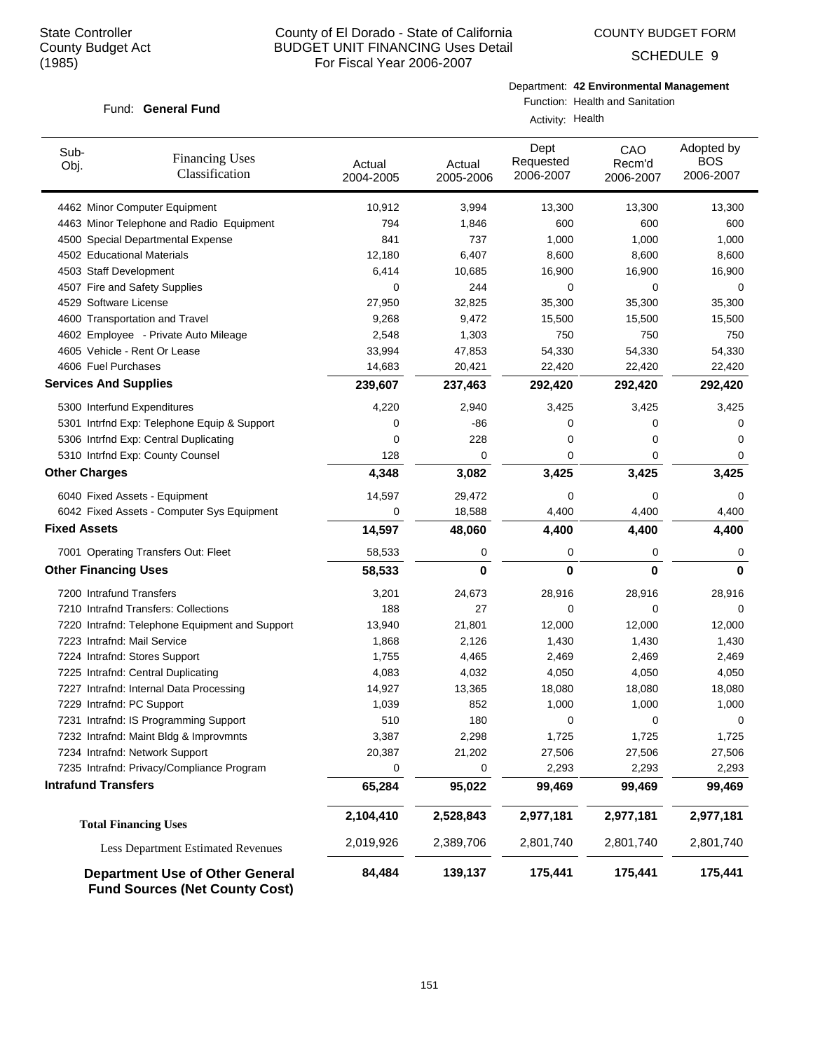Fund: General Fund

# County of El Dorado - State of California BUDGET UNIT FINANCING Uses Detail For Fiscal Year 2006-2007

COUNTY BUDGET FORM

SCHEDULE 9

#### Department: **42 Environmental Management**

# Function: Health and Sanitation

Activity: Health

| Sub-<br><b>Financing Uses</b><br>Obj.<br>Classification | Actual<br>2004-2005 | Actual<br>2005-2006 | Dept<br>Requested<br>2006-2007 | CAO<br>Recm'd<br>2006-2007 | Adopted by<br><b>BOS</b><br>2006-2007 |
|---------------------------------------------------------|---------------------|---------------------|--------------------------------|----------------------------|---------------------------------------|
| 4462 Minor Computer Equipment                           | 10,912              | 3,994               | 13,300                         | 13,300                     | 13,300                                |
| 4463 Minor Telephone and Radio Equipment                | 794                 | 1,846               | 600                            | 600                        | 600                                   |
| 4500 Special Departmental Expense                       | 841                 | 737                 | 1,000                          | 1,000                      | 1,000                                 |
| 4502 Educational Materials                              | 12,180              | 6,407               | 8,600                          | 8,600                      | 8,600                                 |
| 4503 Staff Development                                  | 6,414               | 10,685              | 16,900                         | 16,900                     | 16,900                                |
| 4507 Fire and Safety Supplies                           | 0                   | 244                 | 0                              | 0                          | 0                                     |
| 4529 Software License                                   | 27,950              | 32,825              | 35,300                         | 35,300                     | 35,300                                |
| 4600 Transportation and Travel                          | 9,268               | 9,472               | 15,500                         | 15,500                     | 15,500                                |
| 4602 Employee - Private Auto Mileage                    | 2,548               | 1,303               | 750                            | 750                        | 750                                   |
| 4605 Vehicle - Rent Or Lease                            | 33,994              | 47,853              | 54,330                         | 54,330                     | 54,330                                |
| 4606 Fuel Purchases                                     | 14,683              | 20,421              | 22,420                         | 22,420                     | 22,420                                |
| <b>Services And Supplies</b>                            | 239,607             | 237,463             | 292,420                        | 292,420                    | 292,420                               |
| 5300 Interfund Expenditures                             | 4,220               | 2,940               | 3,425                          | 3,425                      | 3,425                                 |
| 5301 Intrfnd Exp: Telephone Equip & Support             | 0                   | $-86$               | 0                              | 0                          | 0                                     |
| 5306 Intrfnd Exp: Central Duplicating                   | 0                   | 228                 | 0                              | 0                          | 0                                     |
| 5310 Intrfnd Exp: County Counsel                        | 128                 | 0                   | 0                              | 0                          | 0                                     |
| <b>Other Charges</b>                                    | 4,348               | 3,082               | 3,425                          | 3,425                      | 3,425                                 |
| 6040 Fixed Assets - Equipment                           | 14,597              | 29,472              | 0                              | 0                          | 0                                     |
| 6042 Fixed Assets - Computer Sys Equipment              | 0                   | 18,588              | 4,400                          | 4,400                      | 4,400                                 |
| <b>Fixed Assets</b>                                     | 14,597              | 48,060              | 4,400                          | 4,400                      | 4,400                                 |
| 7001 Operating Transfers Out: Fleet                     | 58,533              | 0                   | 0                              | 0                          | 0                                     |
| <b>Other Financing Uses</b>                             | 58,533              | 0                   | 0                              | $\bf{0}$                   | 0                                     |
| 7200 Intrafund Transfers                                | 3,201               | 24,673              | 28,916                         | 28,916                     | 28,916                                |
| 7210 Intrafnd Transfers: Collections                    | 188                 | 27                  | 0                              | 0                          | 0                                     |
| 7220 Intrafnd: Telephone Equipment and Support          | 13,940              | 21,801              | 12,000                         | 12,000                     | 12,000                                |
| 7223 Intrafnd: Mail Service                             | 1,868               | 2,126               | 1,430                          | 1,430                      | 1,430                                 |
| 7224 Intrafnd: Stores Support                           | 1,755               | 4,465               | 2,469                          | 2,469                      | 2,469                                 |
| 7225 Intrafnd: Central Duplicating                      | 4,083               | 4,032               | 4,050                          | 4,050                      | 4,050                                 |
| 7227 Intrafnd: Internal Data Processing                 | 14,927              | 13,365              | 18,080                         | 18,080                     | 18,080                                |
| 7229 Intrafnd: PC Support                               | 1,039               | 852                 | 1,000                          | 1,000                      | 1,000                                 |
| 7231 Intrafnd: IS Programming Support                   | 510                 | 180                 | 0                              | 0                          | 0                                     |
| 7232 Intrafnd: Maint Bldg & Improvmnts                  | 3,387               | 2,298               | 1,725                          | 1,725                      | 1,725                                 |
| 7234 Intrafnd: Network Support                          | 20,387              | 21,202              | 27,506                         | 27,506                     | 27,506                                |
| 7235 Intrafnd: Privacy/Compliance Program               | 0                   | 0                   | 2,293                          | 2,293                      | 2,293                                 |
| <b>Intrafund Transfers</b>                              | 65,284              | 95,022              | 99,469                         | 99,469                     | 99,469                                |
| <b>Total Financing Uses</b>                             | 2,104,410           | 2,528,843           | 2,977,181                      | 2,977,181                  | 2,977,181                             |
| <b>Less Department Estimated Revenues</b>               | 2,019,926           | 2,389,706           | 2,801,740                      | 2,801,740                  | 2,801,740                             |
| <b>Department Use of Other General</b>                  | 84,484              | 139,137             | 175,441                        | 175,441                    | 175,441                               |

**Fund Sources (Net County Cost)**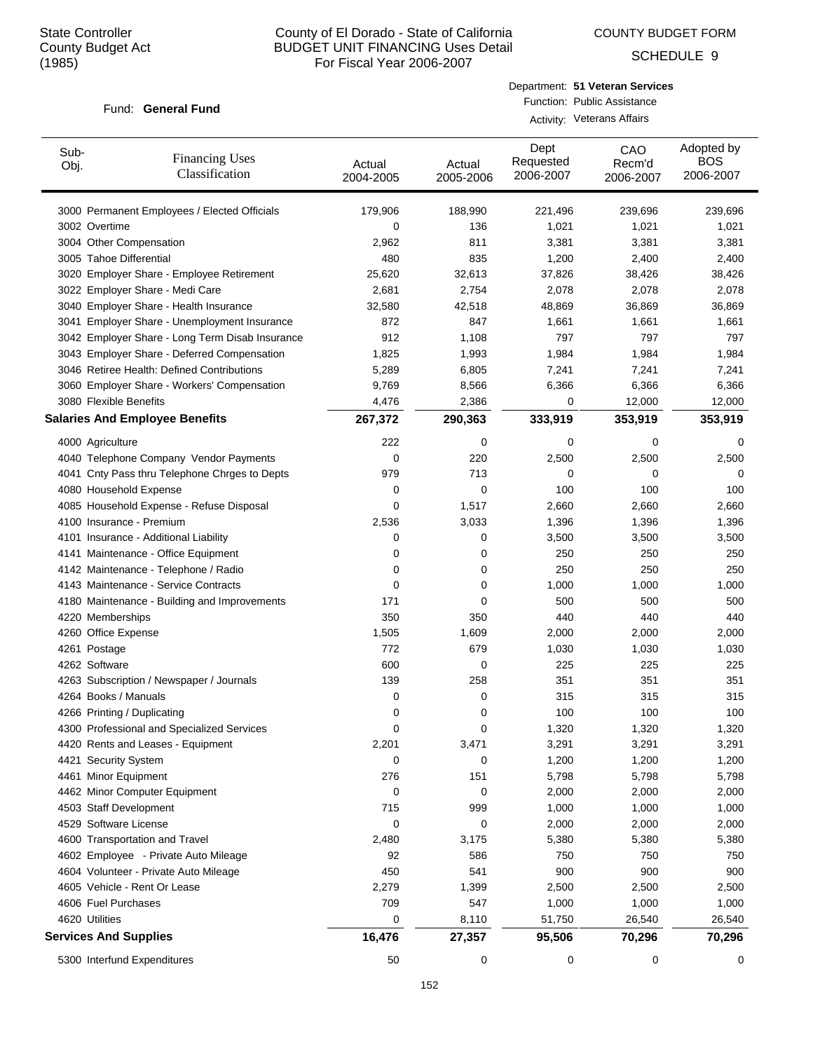COUNTY BUDGET FORM

SCHEDULE 9

#### Fund: General Fund

Department: **51 Veteran Services** Function: Public Assistance Activity: Veterans Affairs

| Sub-<br>Obj. | <b>Financing Uses</b><br>Classification         | Actual<br>2004-2005 | Actual<br>2005-2006 | Dept<br>Requested<br>2006-2007 | CAO<br>Recm'd<br>2006-2007 | Adopted by<br><b>BOS</b><br>2006-2007 |
|--------------|-------------------------------------------------|---------------------|---------------------|--------------------------------|----------------------------|---------------------------------------|
|              | 3000 Permanent Employees / Elected Officials    | 179,906             | 188,990             | 221,496                        | 239,696                    | 239,696                               |
|              | 3002 Overtime                                   | 0                   | 136                 | 1,021                          | 1,021                      | 1,021                                 |
|              | 3004 Other Compensation                         | 2,962               | 811                 | 3,381                          | 3,381                      | 3,381                                 |
|              | 3005 Tahoe Differential                         | 480                 | 835                 | 1,200                          | 2,400                      | 2,400                                 |
|              | 3020 Employer Share - Employee Retirement       | 25,620              | 32,613              | 37,826                         | 38,426                     | 38,426                                |
|              | 3022 Employer Share - Medi Care                 | 2,681               | 2,754               | 2,078                          | 2,078                      | 2,078                                 |
|              | 3040 Employer Share - Health Insurance          | 32,580              | 42,518              | 48,869                         | 36,869                     | 36,869                                |
|              | 3041 Employer Share - Unemployment Insurance    | 872                 | 847                 | 1,661                          | 1,661                      | 1,661                                 |
|              | 3042 Employer Share - Long Term Disab Insurance | 912                 | 1,108               | 797                            | 797                        | 797                                   |
|              | 3043 Employer Share - Deferred Compensation     | 1,825               | 1,993               | 1,984                          | 1,984                      | 1,984                                 |
|              | 3046 Retiree Health: Defined Contributions      | 5,289               | 6,805               | 7,241                          | 7,241                      | 7,241                                 |
|              | 3060 Employer Share - Workers' Compensation     | 9,769               | 8,566               | 6,366                          | 6,366                      | 6,366                                 |
|              | 3080 Flexible Benefits                          | 4,476               | 2,386               | 0                              | 12,000                     | 12,000                                |
|              | <b>Salaries And Employee Benefits</b>           | 267,372             | 290,363             | 333,919                        | 353,919                    | 353,919                               |
|              | 4000 Agriculture                                | 222                 | 0                   | 0                              | $\mathbf 0$                | 0                                     |
|              | 4040 Telephone Company Vendor Payments          | 0                   | 220                 | 2,500                          | 2,500                      | 2,500                                 |
|              | 4041 Cnty Pass thru Telephone Chrges to Depts   | 979                 | 713                 | 0                              | 0                          | 0                                     |
|              | 4080 Household Expense                          | 0                   | 0                   | 100                            | 100                        | 100                                   |
|              | 4085 Household Expense - Refuse Disposal        | 0                   | 1,517               | 2,660                          | 2,660                      | 2,660                                 |
|              | 4100 Insurance - Premium                        | 2,536               | 3,033               | 1,396                          | 1,396                      | 1,396                                 |
|              | 4101 Insurance - Additional Liability           | 0                   | 0                   | 3,500                          | 3,500                      | 3,500                                 |
|              | 4141 Maintenance - Office Equipment             | 0                   | 0                   | 250                            | 250                        | 250                                   |
|              | 4142 Maintenance - Telephone / Radio            | 0                   | 0                   | 250                            | 250                        | 250                                   |
|              | 4143 Maintenance - Service Contracts            | 0                   | 0                   | 1,000                          | 1,000                      | 1,000                                 |
|              | 4180 Maintenance - Building and Improvements    | 171                 | 0                   | 500                            | 500                        | 500                                   |
|              | 4220 Memberships                                | 350                 | 350                 | 440                            | 440                        | 440                                   |
|              | 4260 Office Expense                             | 1,505               | 1,609               | 2,000                          | 2,000                      | 2,000                                 |
|              | 4261 Postage                                    | 772                 | 679                 | 1,030                          | 1,030                      | 1,030                                 |
|              | 4262 Software                                   | 600                 | 0                   | 225                            | 225                        | 225                                   |
|              | 4263 Subscription / Newspaper / Journals        | 139                 | 258                 | 351                            | 351                        | 351                                   |
|              | 4264 Books / Manuals                            | 0                   | 0                   | 315                            | 315                        | 315                                   |
|              | 4266 Printing / Duplicating                     | 0                   | 0                   | 100                            | 100                        | 100                                   |
|              | 4300 Professional and Specialized Services      | 0                   | O                   | 1,320                          | 1,320                      | 1,320                                 |
|              | 4420 Rents and Leases - Equipment               | 2,201               | 3,471               | 3,291                          | 3,291                      | 3,291                                 |
|              | 4421 Security System                            | 0                   | 0                   | 1,200                          | 1,200                      | 1,200                                 |
|              | 4461 Minor Equipment                            | 276                 | 151                 | 5,798                          | 5,798                      | 5,798                                 |
|              | 4462 Minor Computer Equipment                   | 0                   | 0                   | 2,000                          | 2,000                      | 2,000                                 |
|              | 4503 Staff Development                          | 715                 | 999                 | 1,000                          | 1,000                      | 1,000                                 |
|              | 4529 Software License                           | 0                   | 0                   | 2,000                          | 2,000                      | 2,000                                 |
|              | 4600 Transportation and Travel                  | 2,480               | 3,175               | 5,380                          | 5,380                      | 5,380                                 |
|              | 4602 Employee - Private Auto Mileage            | 92                  | 586                 | 750                            | 750                        | 750                                   |
|              | 4604 Volunteer - Private Auto Mileage           | 450                 | 541                 | 900                            | 900                        | 900                                   |
|              | 4605 Vehicle - Rent Or Lease                    | 2,279               | 1,399               | 2,500                          | 2,500                      | 2,500                                 |
|              | 4606 Fuel Purchases                             | 709                 | 547                 | 1,000                          | 1,000                      | 1,000                                 |
|              | 4620 Utilities                                  | 0                   | 8,110               | 51,750                         | 26,540                     | 26,540                                |
|              | <b>Services And Supplies</b>                    | 16,476              | 27,357              | 95,506                         | 70,296                     | 70,296                                |
|              | 5300 Interfund Expenditures                     | 50                  | 0                   | 0                              | 0                          | 0                                     |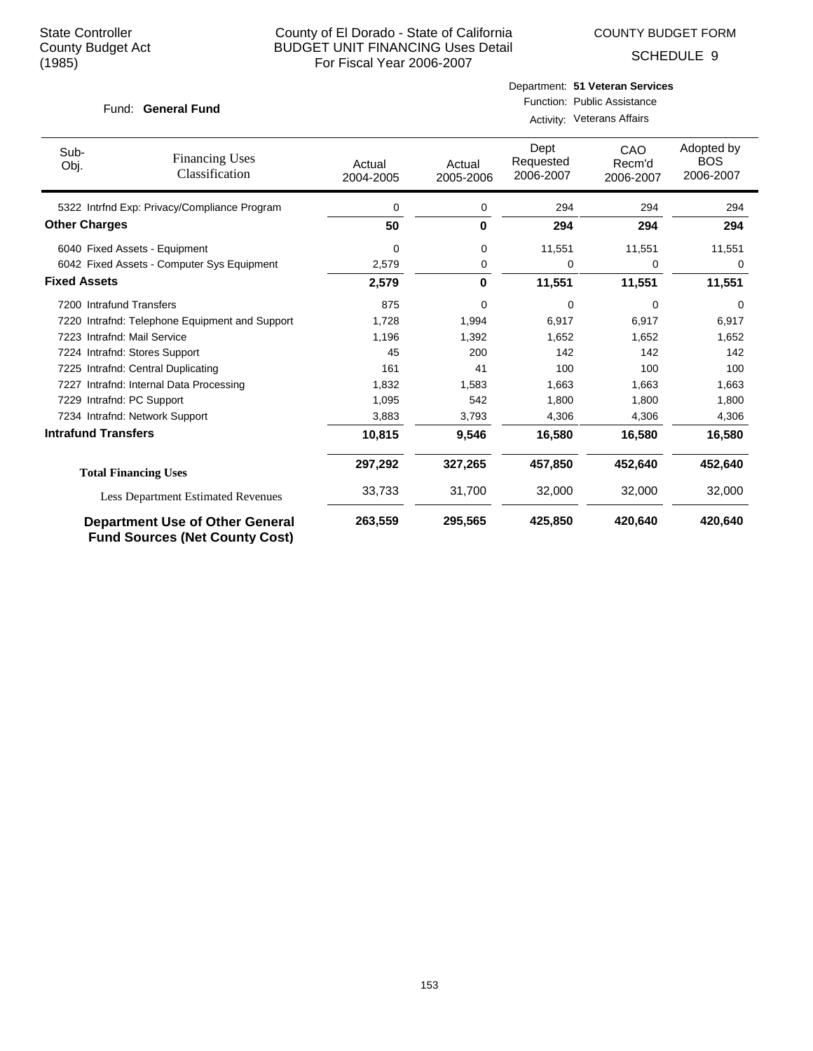COUNTY BUDGET FORM

SCHEDULE 9

#### Fund: General Fund

# Department: **51 Veteran Services** Function: Public Assistance

Activity: Veterans Affairs

| Sub-<br>Obj.               | <b>Financing Uses</b><br>Classification                                         | Actual<br>2004-2005 | Actual<br>2005-2006 | Dept<br>Requested<br>2006-2007 | CAO<br>Recm'd<br>2006-2007 | Adopted by<br><b>BOS</b><br>2006-2007 |
|----------------------------|---------------------------------------------------------------------------------|---------------------|---------------------|--------------------------------|----------------------------|---------------------------------------|
|                            | 5322 Intrfnd Exp: Privacy/Compliance Program                                    | 0                   | 0                   | 294                            | 294                        | 294                                   |
| <b>Other Charges</b>       |                                                                                 | 50                  | $\bf{0}$            | 294                            | 294                        | 294                                   |
|                            | 6040 Fixed Assets - Equipment                                                   | 0                   | 0                   | 11,551                         | 11,551                     | 11,551                                |
|                            | 6042 Fixed Assets - Computer Sys Equipment                                      | 2,579               | 0                   | 0                              | 0                          | 0                                     |
| <b>Fixed Assets</b>        |                                                                                 | 2,579               | 0                   | 11,551                         | 11,551                     | 11,551                                |
|                            | 7200 Intrafund Transfers                                                        | 875                 | 0                   | 0                              | 0                          | $\Omega$                              |
|                            | 7220 Intrafnd: Telephone Equipment and Support                                  | 1,728               | 1,994               | 6,917                          | 6,917                      | 6,917                                 |
|                            | 7223 Intrafnd: Mail Service                                                     | 1,196               | 1,392               | 1,652                          | 1,652                      | 1,652                                 |
|                            | 7224 Intrafnd: Stores Support                                                   | 45                  | 200                 | 142                            | 142                        | 142                                   |
|                            | 7225 Intrafnd: Central Duplicating                                              | 161                 | 41                  | 100                            | 100                        | 100                                   |
| 7227                       | Intrafnd: Internal Data Processing                                              | 1,832               | 1,583               | 1,663                          | 1,663                      | 1,663                                 |
|                            | 7229 Intrafnd: PC Support                                                       | 1,095               | 542                 | 1,800                          | 1,800                      | 1,800                                 |
|                            | 7234 Intrafnd: Network Support                                                  | 3,883               | 3,793               | 4,306                          | 4,306                      | 4,306                                 |
| <b>Intrafund Transfers</b> |                                                                                 | 10,815              | 9,546               | 16,580                         | 16,580                     | 16,580                                |
|                            | <b>Total Financing Uses</b>                                                     | 297,292             | 327,265             | 457,850                        | 452,640                    | 452,640                               |
|                            | <b>Less Department Estimated Revenues</b>                                       | 33,733              | 31,700              | 32,000                         | 32,000                     | 32,000                                |
|                            | <b>Department Use of Other General</b><br><b>Fund Sources (Net County Cost)</b> | 263,559             | 295,565             | 425,850                        | 420,640                    | 420,640                               |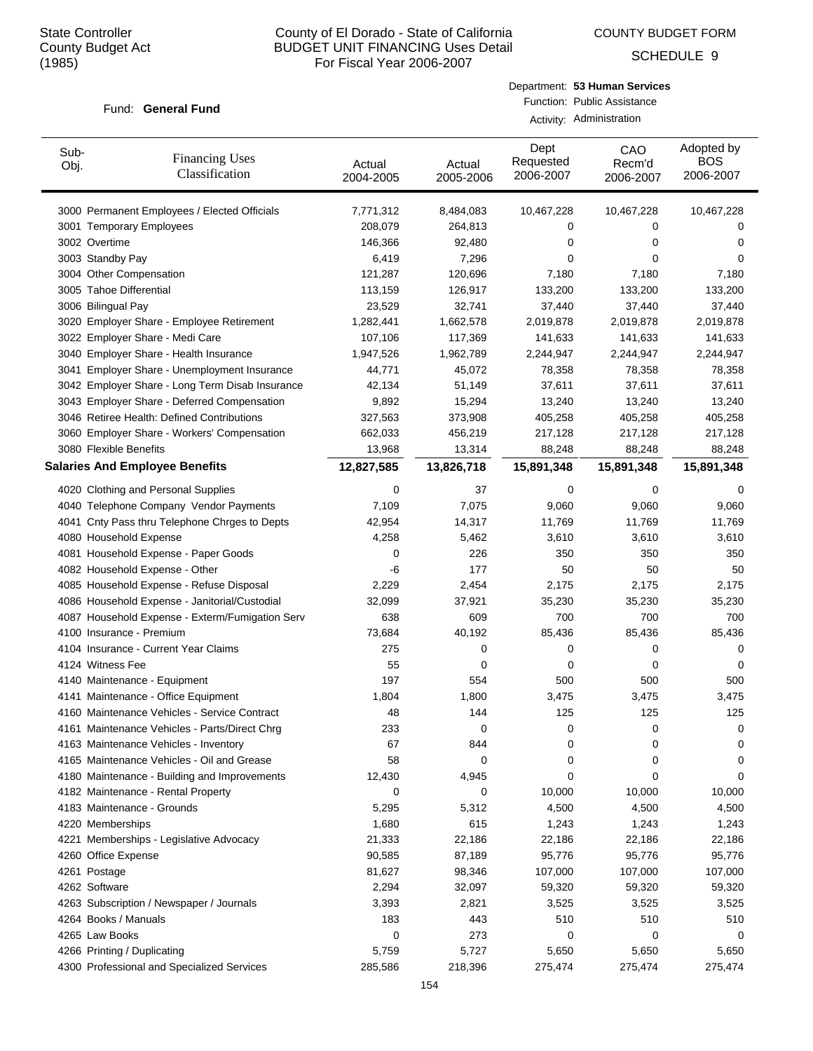COUNTY BUDGET FORM

SCHEDULE 9

#### Fund: General Fund

| Department: 53 Human Services |
|-------------------------------|
| Function: Public Assistance   |
| Activity: Administration      |

| Sub-<br>Obj. | <b>Financing Uses</b><br>Classification         | Actual<br>2004-2005 | Actual<br>2005-2006 | Dept<br>Requested<br>2006-2007 | CAO<br>Recm'd<br>2006-2007 | Adopted by<br><b>BOS</b><br>2006-2007 |
|--------------|-------------------------------------------------|---------------------|---------------------|--------------------------------|----------------------------|---------------------------------------|
|              | 3000 Permanent Employees / Elected Officials    | 7,771,312           | 8,484,083           | 10,467,228                     | 10,467,228                 | 10,467,228                            |
|              | 3001 Temporary Employees                        | 208,079             | 264,813             | 0                              | 0                          | 0                                     |
|              | 3002 Overtime                                   | 146,366             | 92,480              | 0                              | 0                          | 0                                     |
|              | 3003 Standby Pay                                | 6,419               | 7,296               | 0                              | 0                          | 0                                     |
|              | 3004 Other Compensation                         | 121,287             | 120,696             | 7,180                          | 7,180                      | 7,180                                 |
|              | 3005 Tahoe Differential                         | 113,159             | 126,917             | 133,200                        | 133,200                    | 133,200                               |
|              | 3006 Bilingual Pay                              | 23,529              | 32,741              | 37,440                         | 37,440                     | 37,440                                |
|              | 3020 Employer Share - Employee Retirement       | 1,282,441           | 1,662,578           | 2,019,878                      | 2,019,878                  | 2,019,878                             |
|              | 3022 Employer Share - Medi Care                 | 107,106             | 117,369             | 141,633                        | 141,633                    | 141,633                               |
|              | 3040 Employer Share - Health Insurance          | 1,947,526           | 1,962,789           | 2,244,947                      | 2,244,947                  | 2,244,947                             |
|              | 3041 Employer Share - Unemployment Insurance    | 44,771              | 45,072              | 78,358                         | 78,358                     | 78,358                                |
|              | 3042 Employer Share - Long Term Disab Insurance | 42,134              | 51,149              | 37,611                         | 37,611                     | 37,611                                |
|              | 3043 Employer Share - Deferred Compensation     | 9,892               | 15,294              | 13,240                         | 13,240                     | 13,240                                |
|              | 3046 Retiree Health: Defined Contributions      | 327,563             | 373,908             | 405,258                        | 405,258                    | 405,258                               |
|              | 3060 Employer Share - Workers' Compensation     | 662,033             | 456,219             | 217,128                        | 217,128                    | 217,128                               |
|              | 3080 Flexible Benefits                          | 13,968              | 13,314              | 88,248                         | 88,248                     | 88,248                                |
|              | <b>Salaries And Employee Benefits</b>           | 12,827,585          | 13,826,718          | 15,891,348                     | 15,891,348                 | 15,891,348                            |
|              | 4020 Clothing and Personal Supplies             | 0                   | 37                  | 0                              | 0                          | 0                                     |
|              | 4040 Telephone Company Vendor Payments          | 7,109               | 7,075               | 9,060                          | 9,060                      | 9,060                                 |
|              | 4041 Cnty Pass thru Telephone Chrges to Depts   | 42,954              | 14,317              | 11,769                         | 11,769                     | 11,769                                |
|              | 4080 Household Expense                          | 4,258               | 5,462               | 3,610                          | 3,610                      | 3,610                                 |
|              | 4081 Household Expense - Paper Goods            | 0                   | 226                 | 350                            | 350                        | 350                                   |
|              | 4082 Household Expense - Other                  | -6                  | 177                 | 50                             | 50                         | 50                                    |
|              | 4085 Household Expense - Refuse Disposal        | 2,229               | 2,454               | 2,175                          | 2,175                      | 2,175                                 |
|              | 4086 Household Expense - Janitorial/Custodial   | 32,099              | 37,921              | 35,230                         | 35,230                     | 35,230                                |
|              | 4087 Household Expense - Exterm/Fumigation Serv | 638                 | 609                 | 700                            | 700                        | 700                                   |
|              | 4100 Insurance - Premium                        | 73,684              | 40,192              | 85,436                         | 85,436                     | 85,436                                |
|              | 4104 Insurance - Current Year Claims            | 275                 | 0                   | 0                              | 0                          | 0                                     |
|              | 4124 Witness Fee                                | 55                  | 0                   | 0                              | 0                          | 0                                     |
|              | 4140 Maintenance - Equipment                    | 197                 | 554                 | 500                            | 500                        | 500                                   |
|              | 4141 Maintenance - Office Equipment             | 1,804               | 1,800               | 3,475                          | 3,475                      | 3,475                                 |
|              | 4160 Maintenance Vehicles - Service Contract    | 48                  | 144                 | 125                            | 125                        | 125                                   |
|              | 4161 Maintenance Vehicles - Parts/Direct Chrg   | 233                 | 0                   | O                              | 0                          | 0                                     |
|              | 4163 Maintenance Vehicles - Inventory           | 67                  | 844                 | 0                              | 0                          | 0                                     |
|              | 4165 Maintenance Vehicles - Oil and Grease      | 58                  | 0                   | 0                              | 0                          | 0                                     |
|              | 4180 Maintenance - Building and Improvements    | 12,430              | 4,945               | 0                              | 0                          | 0                                     |
|              | 4182 Maintenance - Rental Property              | 0                   | 0                   | 10,000                         | 10,000                     | 10,000                                |
|              | 4183 Maintenance - Grounds                      | 5,295               | 5,312               | 4,500                          | 4,500                      | 4,500                                 |
|              | 4220 Memberships                                | 1,680               | 615                 | 1,243                          | 1,243                      | 1,243                                 |
|              | 4221 Memberships - Legislative Advocacy         | 21,333              | 22,186              | 22,186                         | 22,186                     | 22,186                                |
|              | 4260 Office Expense                             | 90,585              | 87,189              | 95,776                         | 95,776                     | 95,776                                |
|              | 4261 Postage                                    | 81,627              | 98,346              | 107,000                        | 107,000                    | 107,000                               |
|              | 4262 Software                                   | 2,294               | 32,097              | 59,320                         | 59,320                     | 59,320                                |
|              | 4263 Subscription / Newspaper / Journals        | 3,393               | 2,821               | 3,525                          | 3,525                      | 3,525                                 |
|              | 4264 Books / Manuals                            | 183                 | 443                 | 510                            | 510                        | 510                                   |
|              | 4265 Law Books                                  | 0                   | 273                 | 0                              | 0                          | 0                                     |
|              | 4266 Printing / Duplicating                     | 5,759               | 5,727               | 5,650                          | 5,650                      | 5,650                                 |
|              | 4300 Professional and Specialized Services      | 285,586             | 218,396             | 275,474                        | 275,474                    | 275,474                               |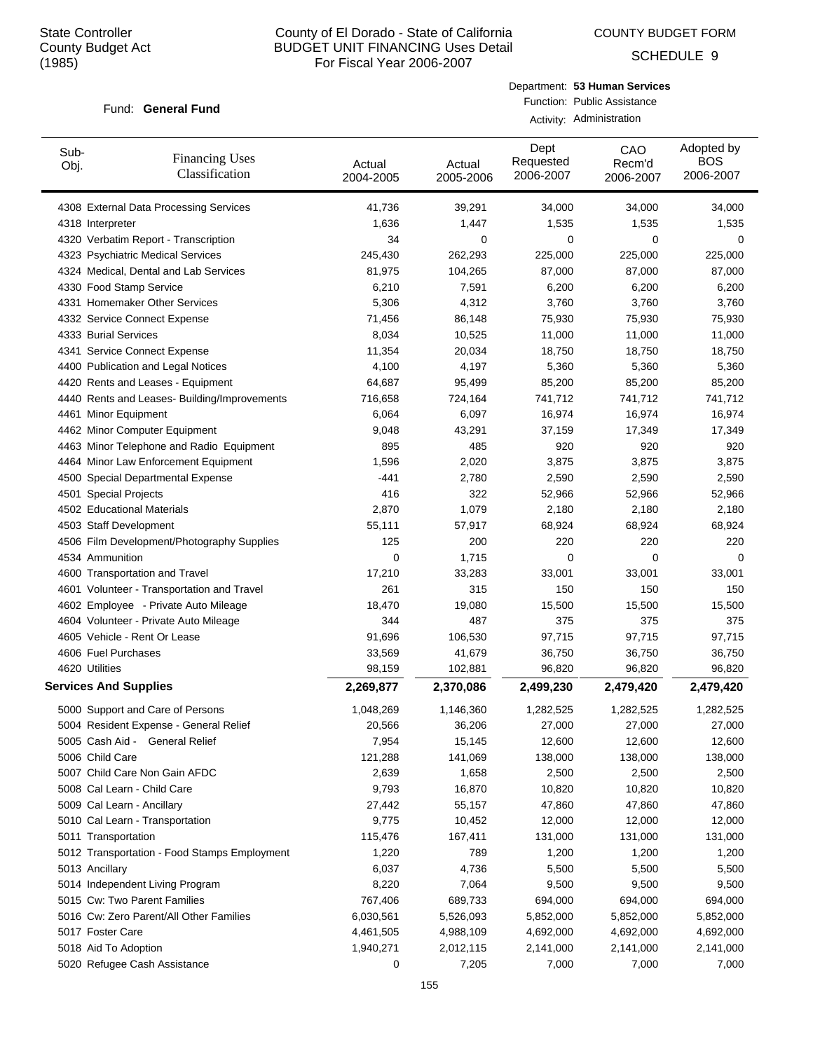COUNTY BUDGET FORM

SCHEDULE 9

#### Fund: General Fund

Department: **53 Human Services** Function: Public Assistance Activity: Administration

| Sub-<br>Obj.     | <b>Financing Uses</b><br>Classification      | Actual<br>2004-2005 | Actual<br>2005-2006 | Dept<br>Requested<br>2006-2007 | CAO<br>Recm'd<br>2006-2007 | Adopted by<br><b>BOS</b><br>2006-2007 |
|------------------|----------------------------------------------|---------------------|---------------------|--------------------------------|----------------------------|---------------------------------------|
|                  | 4308 External Data Processing Services       | 41,736              | 39,291              | 34,000                         | 34,000                     | 34,000                                |
| 4318 Interpreter |                                              | 1,636               | 1,447               | 1,535                          | 1,535                      | 1,535                                 |
|                  | 4320 Verbatim Report - Transcription         | 34                  | 0                   | 0                              | $\mathbf 0$                | 0                                     |
|                  | 4323 Psychiatric Medical Services            | 245,430             | 262,293             | 225,000                        | 225,000                    | 225,000                               |
|                  | 4324 Medical, Dental and Lab Services        | 81,975              | 104,265             | 87,000                         | 87,000                     | 87,000                                |
|                  | 4330 Food Stamp Service                      | 6,210               | 7,591               | 6,200                          | 6,200                      | 6,200                                 |
|                  | 4331 Homemaker Other Services                | 5,306               | 4,312               | 3,760                          | 3,760                      | 3,760                                 |
|                  | 4332 Service Connect Expense                 | 71,456              | 86,148              | 75,930                         | 75,930                     | 75,930                                |
|                  | 4333 Burial Services                         | 8,034               | 10,525              | 11,000                         | 11,000                     | 11,000                                |
|                  | 4341 Service Connect Expense                 | 11,354              | 20,034              | 18,750                         | 18,750                     | 18,750                                |
|                  | 4400 Publication and Legal Notices           | 4,100               | 4,197               | 5,360                          | 5,360                      | 5,360                                 |
|                  | 4420 Rents and Leases - Equipment            | 64,687              | 95,499              | 85,200                         | 85,200                     | 85,200                                |
|                  | 4440 Rents and Leases- Building/Improvements | 716,658             | 724,164             | 741,712                        | 741,712                    | 741,712                               |
|                  | 4461 Minor Equipment                         | 6,064               | 6,097               | 16,974                         | 16,974                     | 16,974                                |
|                  | 4462 Minor Computer Equipment                | 9,048               | 43,291              | 37,159                         | 17,349                     | 17,349                                |
|                  | 4463 Minor Telephone and Radio Equipment     | 895                 | 485                 | 920                            | 920                        | 920                                   |
|                  | 4464 Minor Law Enforcement Equipment         | 1,596               | 2,020               | 3,875                          | 3,875                      | 3,875                                 |
|                  | 4500 Special Departmental Expense            | -441                | 2,780               | 2,590                          | 2,590                      | 2,590                                 |
|                  | 4501 Special Projects                        | 416                 | 322                 | 52,966                         | 52,966                     | 52,966                                |
|                  | 4502 Educational Materials                   | 2,870               | 1,079               | 2,180                          | 2,180                      | 2,180                                 |
|                  | 4503 Staff Development                       | 55,111              | 57,917              | 68,924                         | 68,924                     | 68,924                                |
|                  | 4506 Film Development/Photography Supplies   | 125                 | 200                 | 220                            | 220                        | 220                                   |
| 4534 Ammunition  |                                              | 0                   | 1,715               | 0                              | $\mathbf 0$                | 0                                     |
|                  | 4600 Transportation and Travel               | 17,210              | 33,283              | 33,001                         | 33,001                     | 33,001                                |
|                  | 4601 Volunteer - Transportation and Travel   | 261                 | 315                 | 150                            | 150                        | 150                                   |
|                  | 4602 Employee - Private Auto Mileage         | 18,470              | 19,080              | 15,500                         | 15,500                     | 15,500                                |
|                  | 4604 Volunteer - Private Auto Mileage        | 344                 | 487                 | 375                            | 375                        | 375                                   |
|                  | 4605 Vehicle - Rent Or Lease                 | 91,696              | 106,530             | 97,715                         | 97,715                     | 97,715                                |
|                  | 4606 Fuel Purchases                          | 33,569              | 41,679              | 36,750                         | 36,750                     | 36,750                                |
| 4620 Utilities   |                                              | 98,159              | 102,881             | 96,820                         | 96,820                     | 96,820                                |
|                  | <b>Services And Supplies</b>                 | 2,269,877           | 2,370,086           | 2,499,230                      | 2,479,420                  | 2,479,420                             |
|                  | 5000 Support and Care of Persons             | 1,048,269           | 1,146,360           | 1,282,525                      | 1,282,525                  | 1,282,525                             |
|                  | 5004 Resident Expense - General Relief       | 20,566              | 36,206              | 27,000                         | 27,000                     | 27,000                                |
|                  | 5005 Cash Aid - General Relief               | 7,954               | 15,145              | 12,600                         | 12,600                     | 12,600                                |
| 5006 Child Care  |                                              | 121,288             | 141,069             | 138,000                        | 138,000                    | 138,000                               |
|                  | 5007 Child Care Non Gain AFDC                | 2,639               | 1,658               | 2,500                          | 2,500                      | 2,500                                 |
|                  | 5008 Cal Learn - Child Care                  | 9,793               | 16,870              | 10,820                         | 10,820                     | 10,820                                |
|                  | 5009 Cal Learn - Ancillary                   | 27,442              | 55,157              | 47,860                         | 47,860                     | 47,860                                |
|                  | 5010 Cal Learn - Transportation              | 9,775               | 10,452              | 12,000                         | 12,000                     | 12,000                                |
|                  | 5011 Transportation                          | 115,476             | 167,411             | 131,000                        | 131,000                    | 131,000                               |
|                  | 5012 Transportation - Food Stamps Employment | 1,220               | 789                 | 1,200                          | 1,200                      | 1,200                                 |
| 5013 Ancillary   |                                              | 6,037               | 4,736               | 5,500                          | 5,500                      | 5,500                                 |
|                  | 5014 Independent Living Program              | 8,220               | 7,064               | 9,500                          | 9,500                      | 9,500                                 |
|                  | 5015 Cw: Two Parent Families                 | 767,406             | 689,733             | 694,000                        | 694,000                    | 694,000                               |
|                  | 5016 Cw: Zero Parent/All Other Families      | 6,030,561           | 5,526,093           | 5,852,000                      | 5,852,000                  | 5,852,000                             |
| 5017 Foster Care |                                              | 4,461,505           | 4,988,109           | 4,692,000                      | 4,692,000                  | 4,692,000                             |
|                  | 5018 Aid To Adoption                         | 1,940,271           | 2,012,115           | 2,141,000                      | 2,141,000                  | 2,141,000                             |
|                  | 5020 Refugee Cash Assistance                 | 0                   | 7,205               | 7,000                          | 7,000                      | 7,000                                 |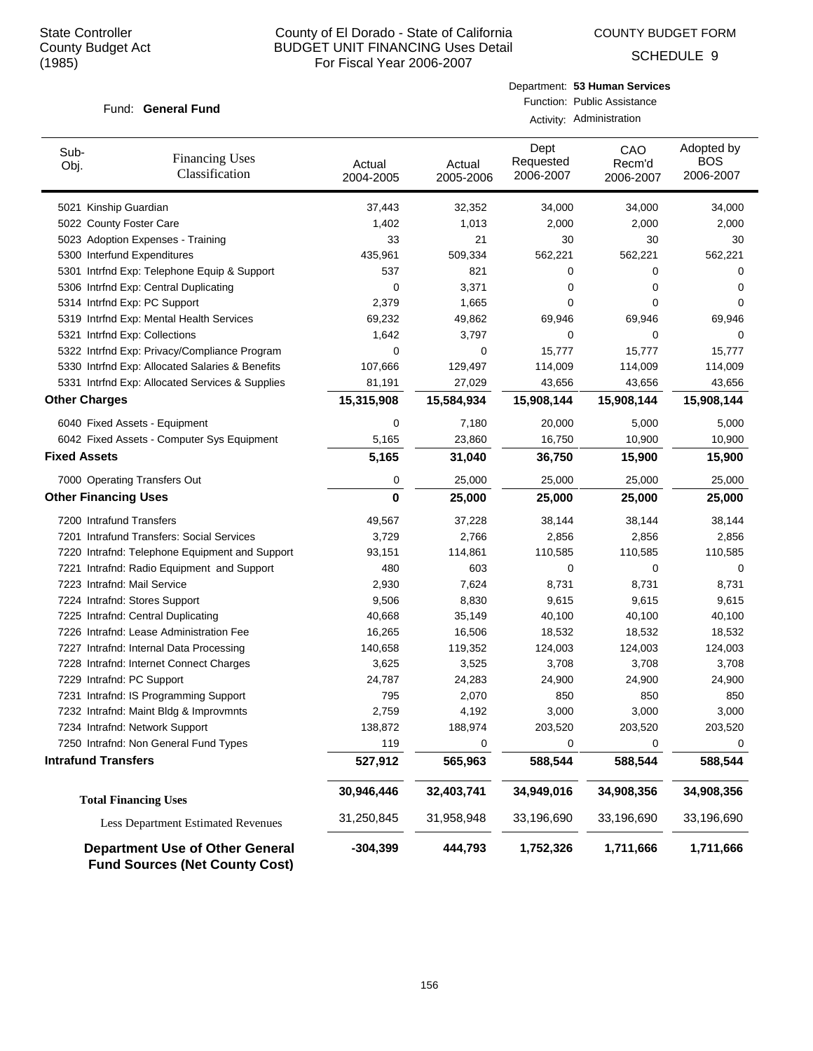COUNTY BUDGET FORM

SCHEDULE 9

#### Fund: General Fund

Department: **53 Human Services** Function: Public Assistance

|                                    |                                                 |                     |                     |                                | Activity: Administration   |                                       |
|------------------------------------|-------------------------------------------------|---------------------|---------------------|--------------------------------|----------------------------|---------------------------------------|
| Sub-<br>Obj.                       | <b>Financing Uses</b><br>Classification         | Actual<br>2004-2005 | Actual<br>2005-2006 | Dept<br>Requested<br>2006-2007 | CAO<br>Recm'd<br>2006-2007 | Adopted by<br><b>BOS</b><br>2006-2007 |
| 5021 Kinship Guardian              |                                                 | 37,443              | 32,352              | 34,000                         | 34,000                     | 34,000                                |
| 5022 County Foster Care            |                                                 | 1,402               | 1,013               | 2,000                          | 2,000                      | 2,000                                 |
|                                    | 5023 Adoption Expenses - Training               | 33                  | 21                  | 30                             | 30                         | 30                                    |
| 5300 Interfund Expenditures        |                                                 | 435,961             | 509,334             | 562,221                        | 562,221                    | 562,221                               |
|                                    | 5301 Intrind Exp: Telephone Equip & Support     | 537                 | 821                 | 0                              | $\mathbf 0$                | 0                                     |
|                                    | 5306 Intrfnd Exp: Central Duplicating           | 0                   | 3,371               | 0                              | $\mathbf 0$                | $\mathbf 0$                           |
| 5314 Intrfnd Exp: PC Support       |                                                 | 2,379               | 1,665               | 0                              | $\mathbf 0$                | 0                                     |
|                                    | 5319 Intrfnd Exp: Mental Health Services        | 69,232              | 49,862              | 69,946                         | 69,946                     | 69,946                                |
| 5321 Intrfnd Exp: Collections      |                                                 | 1,642               | 3,797               | 0                              | $\mathbf 0$                | 0                                     |
|                                    | 5322 Intrfnd Exp: Privacy/Compliance Program    | $\mathbf 0$         | $\mathbf 0$         | 15,777                         | 15,777                     | 15,777                                |
|                                    | 5330 Intrfnd Exp: Allocated Salaries & Benefits | 107,666             | 129,497             | 114,009                        | 114,009                    | 114,009                               |
|                                    | 5331 Intrind Exp: Allocated Services & Supplies | 81,191              | 27,029              | 43,656                         | 43,656                     | 43,656                                |
| <b>Other Charges</b>               |                                                 | 15,315,908          | 15,584,934          | 15,908,144                     | 15,908,144                 | 15,908,144                            |
| 6040 Fixed Assets - Equipment      |                                                 | 0                   | 7,180               | 20,000                         | 5,000                      | 5,000                                 |
|                                    | 6042 Fixed Assets - Computer Sys Equipment      | 5,165               | 23,860              | 16,750                         | 10,900                     | 10,900                                |
| <b>Fixed Assets</b>                |                                                 | 5,165               | 31,040              | 36,750                         | 15,900                     | 15,900                                |
| 7000 Operating Transfers Out       |                                                 | 0                   | 25,000              | 25,000                         | 25,000                     | 25,000                                |
| <b>Other Financing Uses</b>        |                                                 | $\mathbf 0$         | 25,000              | 25,000                         | 25,000                     | 25,000                                |
| 7200 Intrafund Transfers           |                                                 | 49,567              | 37,228              | 38,144                         | 38,144                     | 38,144                                |
|                                    | 7201 Intrafund Transfers: Social Services       | 3,729               | 2,766               | 2,856                          | 2,856                      | 2,856                                 |
|                                    | 7220 Intrafnd: Telephone Equipment and Support  | 93,151              | 114,861             | 110,585                        | 110,585                    | 110,585                               |
|                                    | 7221 Intrafnd: Radio Equipment and Support      | 480                 | 603                 | 0                              | $\mathbf 0$                | $\mathbf 0$                           |
| 7223 Intrafnd: Mail Service        |                                                 | 2,930               | 7,624               | 8,731                          | 8,731                      | 8,731                                 |
| 7224 Intrafnd: Stores Support      |                                                 | 9,506               | 8,830               | 9,615                          | 9,615                      | 9,615                                 |
| 7225 Intrafnd: Central Duplicating |                                                 | 40,668              | 35,149              | 40,100                         | 40,100                     | 40,100                                |
|                                    | 7226 Intrafnd: Lease Administration Fee         | 16,265              | 16,506              | 18,532                         | 18,532                     | 18,532                                |
|                                    | 7227 Intrafnd: Internal Data Processing         | 140,658             | 119,352             | 124,003                        | 124,003                    | 124,003                               |
|                                    | 7228 Intrafnd: Internet Connect Charges         | 3,625               | 3,525               | 3,708                          | 3,708                      | 3,708                                 |
| 7229 Intrafnd: PC Support          |                                                 | 24,787              | 24,283              | 24,900                         | 24,900                     | 24,900                                |
|                                    | 7231 Intrafnd: IS Programming Support           | 795                 | 2,070               | 850                            | 850                        | 850                                   |
|                                    | 7232 Intrafnd: Maint Bldg & Improvmnts          | 2,759               | 4,192               | 3,000                          | 3,000                      | 3,000                                 |
| 7234 Intrafnd: Network Support     |                                                 | 138,872             | 188,974             | 203,520                        | 203,520                    | 203,520                               |
|                                    | 7250 Intrafnd: Non General Fund Types           | 119                 | $\mathbf 0$         | 0                              | $\mathbf 0$                | 0                                     |
| <b>Intrafund Transfers</b>         |                                                 | 527,912             | 565,963             | 588,544                        | 588,544                    | 588,544                               |
|                                    |                                                 |                     |                     |                                |                            |                                       |

**30,946,446 32,403,741 34,949,016 34,908,356 34,908,356 Total Financing Uses** Less Department Estimated Revenues 31,250,845 31,958,948 33,196,690 33,196,690 33,196,690 **Department Use of Other General -304,399 444,793 1,752,326 1,711,666 1,711,666 Fund Sources (Net County Cost)**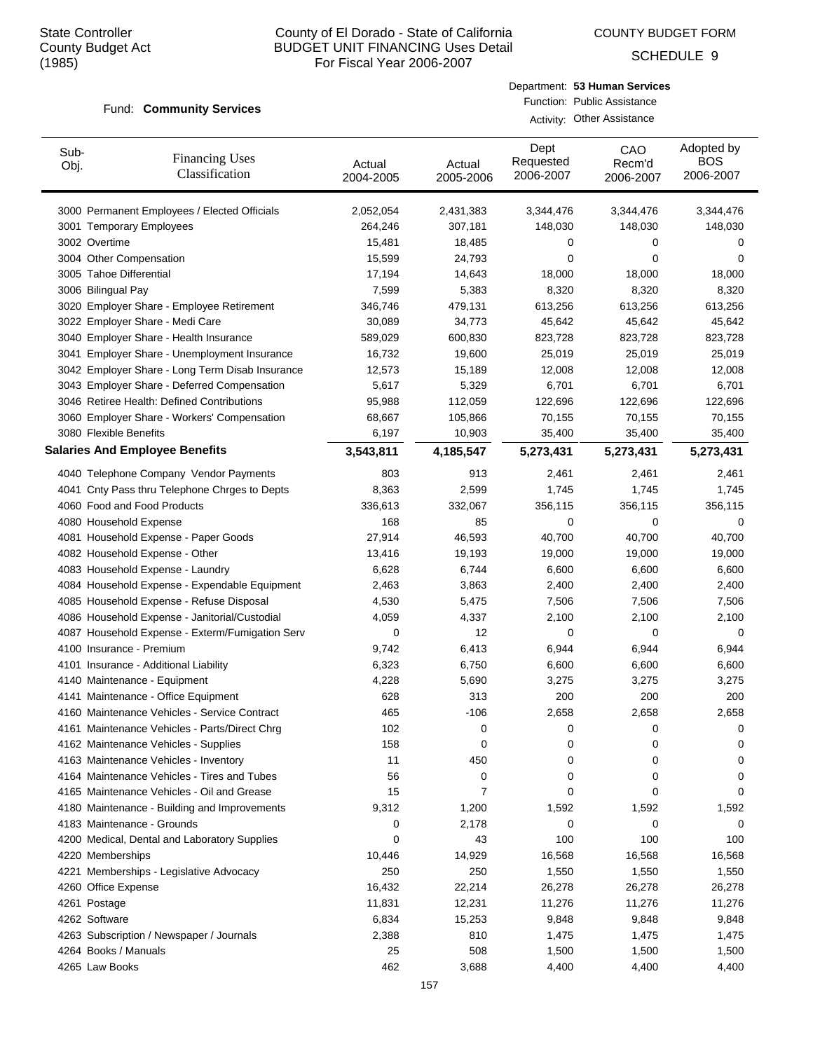COUNTY BUDGET FORM

SCHEDULE 9

#### **Community Services** Fund:

| Department: 53 Human Services |
|-------------------------------|
| Function: Public Assistance   |
| Activity: Other Assistance    |
|                               |

| Sub-<br>Obj. | <b>Financing Uses</b><br>Classification         | Actual<br>2004-2005 | Actual<br>2005-2006 | Dept<br>Requested<br>2006-2007 | CAO<br>Recm'd<br>2006-2007 | Adopted by<br><b>BOS</b><br>2006-2007 |
|--------------|-------------------------------------------------|---------------------|---------------------|--------------------------------|----------------------------|---------------------------------------|
|              | 3000 Permanent Employees / Elected Officials    | 2,052,054           | 2,431,383           | 3,344,476                      | 3,344,476                  | 3,344,476                             |
|              | 3001 Temporary Employees                        | 264,246             | 307,181             | 148,030                        | 148,030                    | 148,030                               |
|              | 3002 Overtime                                   | 15,481              | 18,485              | 0                              | 0                          | 0                                     |
|              | 3004 Other Compensation                         | 15,599              | 24,793              | $\mathbf 0$                    | $\mathbf 0$                | 0                                     |
|              | 3005 Tahoe Differential                         | 17,194              | 14,643              | 18,000                         | 18,000                     | 18,000                                |
|              | 3006 Bilingual Pay                              | 7,599               | 5,383               | 8,320                          | 8,320                      | 8,320                                 |
|              | 3020 Employer Share - Employee Retirement       | 346,746             | 479,131             | 613,256                        | 613,256                    | 613,256                               |
|              | 3022 Employer Share - Medi Care                 | 30,089              | 34,773              | 45,642                         | 45,642                     | 45,642                                |
|              | 3040 Employer Share - Health Insurance          | 589,029             | 600,830             | 823,728                        | 823,728                    | 823,728                               |
|              | 3041 Employer Share - Unemployment Insurance    | 16,732              | 19,600              | 25,019                         | 25,019                     | 25,019                                |
|              | 3042 Employer Share - Long Term Disab Insurance | 12,573              | 15,189              | 12,008                         | 12,008                     | 12,008                                |
|              | 3043 Employer Share - Deferred Compensation     | 5,617               | 5,329               | 6,701                          | 6,701                      | 6,701                                 |
|              | 3046 Retiree Health: Defined Contributions      | 95,988              | 112,059             | 122,696                        | 122,696                    | 122,696                               |
|              | 3060 Employer Share - Workers' Compensation     | 68,667              | 105,866             | 70,155                         | 70,155                     | 70,155                                |
|              | 3080 Flexible Benefits                          | 6,197               | 10,903              | 35,400                         | 35,400                     | 35,400                                |
|              | <b>Salaries And Employee Benefits</b>           | 3,543,811           | 4,185,547           | 5,273,431                      | 5,273,431                  | 5,273,431                             |
|              | 4040 Telephone Company Vendor Payments          | 803                 | 913                 | 2,461                          | 2,461                      | 2,461                                 |
|              | 4041 Cnty Pass thru Telephone Chrges to Depts   | 8,363               | 2,599               | 1,745                          | 1,745                      | 1,745                                 |
|              | 4060 Food and Food Products                     | 336,613             | 332,067             | 356,115                        | 356,115                    | 356,115                               |
|              | 4080 Household Expense                          | 168                 | 85                  | 0                              | $\mathbf 0$                | 0                                     |
|              | 4081 Household Expense - Paper Goods            | 27,914              | 46,593              | 40,700                         | 40,700                     | 40,700                                |
|              | 4082 Household Expense - Other                  | 13,416              | 19,193              | 19,000                         | 19,000                     | 19,000                                |
|              | 4083 Household Expense - Laundry                | 6,628               | 6,744               | 6,600                          | 6,600                      | 6,600                                 |
|              | 4084 Household Expense - Expendable Equipment   | 2,463               | 3,863               | 2,400                          | 2,400                      | 2,400                                 |
|              | 4085 Household Expense - Refuse Disposal        | 4,530               | 5,475               | 7,506                          | 7,506                      | 7,506                                 |
|              | 4086 Household Expense - Janitorial/Custodial   | 4,059               | 4,337               | 2,100                          | 2,100                      | 2,100                                 |
|              | 4087 Household Expense - Exterm/Fumigation Serv | 0                   | 12                  | 0                              | 0                          | 0                                     |
|              | 4100 Insurance - Premium                        | 9,742               | 6,413               | 6,944                          | 6,944                      | 6,944                                 |
|              | 4101 Insurance - Additional Liability           | 6,323               | 6,750               | 6,600                          | 6,600                      | 6,600                                 |
|              | 4140 Maintenance - Equipment                    | 4,228               | 5,690               | 3,275                          | 3,275                      | 3,275                                 |
|              | 4141 Maintenance - Office Equipment             | 628                 | 313                 | 200                            | 200                        | 200                                   |
|              | 4160 Maintenance Vehicles - Service Contract    | 465                 | $-106$              | 2,658                          | 2,658                      | 2,658                                 |
|              | 4161 Maintenance Vehicles - Parts/Direct Chrg   | 102                 | 0                   | 0                              | 0                          | 0                                     |
|              | 4162 Maintenance Vehicles - Supplies            | 158                 | 0                   | 0                              | 0                          | 0                                     |
|              | 4163 Maintenance Vehicles - Inventory           | 11                  | 450                 | 0                              | 0                          | 0                                     |
|              | 4164 Maintenance Vehicles - Tires and Tubes     | 56                  | 0                   | 0                              | 0                          | 0                                     |
|              | 4165 Maintenance Vehicles - Oil and Grease      | 15                  | 7                   | 0                              | 0                          | 0                                     |
|              | 4180 Maintenance - Building and Improvements    | 9,312               | 1,200               | 1,592                          | 1,592                      | 1,592                                 |
|              | 4183 Maintenance - Grounds                      | 0                   | 2,178               | 0                              | $\mathbf 0$                | 0                                     |
|              | 4200 Medical, Dental and Laboratory Supplies    | 0                   | 43                  | 100                            | 100                        | 100                                   |
|              | 4220 Memberships                                | 10,446              | 14,929              | 16,568                         | 16,568                     | 16,568                                |
|              | 4221 Memberships - Legislative Advocacy         | 250                 | 250                 | 1,550                          | 1,550                      | 1,550                                 |
|              | 4260 Office Expense                             | 16,432              | 22,214              | 26,278                         | 26,278                     | 26,278                                |
|              | 4261 Postage                                    | 11,831              | 12,231              | 11,276                         | 11,276                     | 11,276                                |
|              | 4262 Software                                   | 6,834               | 15,253              | 9,848                          | 9,848                      | 9,848                                 |
|              | 4263 Subscription / Newspaper / Journals        | 2,388               | 810                 | 1,475                          | 1,475                      | 1,475                                 |
|              | 4264 Books / Manuals                            | 25                  | 508                 | 1,500                          | 1,500                      | 1,500                                 |
|              | 4265 Law Books                                  | 462                 | 3,688               | 4,400                          | 4,400                      | 4,400                                 |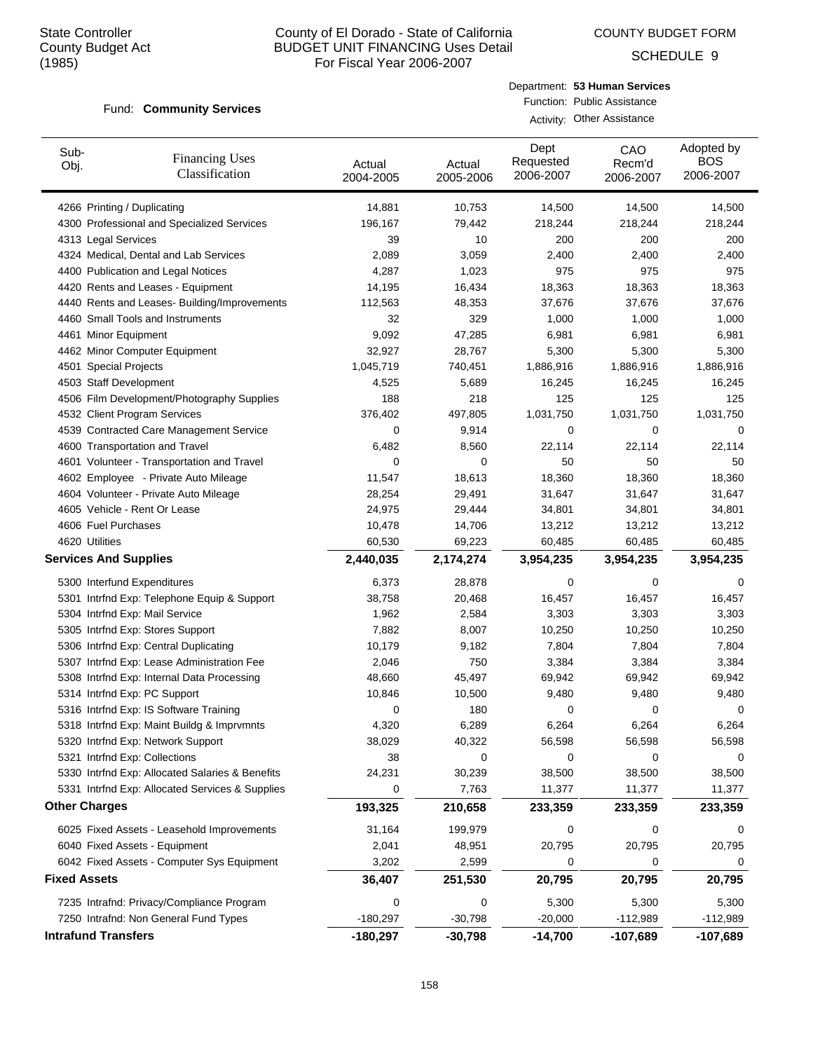COUNTY BUDGET FORM

SCHEDULE 9

#### **Community Services** Fund:

| Department: 53 Human Services |
|-------------------------------|
| Function: Public Assistance   |
| Activity: Other Assistance    |

| Sub-<br>Obj.        | <b>Financing Uses</b><br>Classification         | Actual<br>2004-2005 | Actual<br>2005-2006 | Dept<br>Requested<br>2006-2007 | CAO<br>Recm'd<br>2006-2007 | Adopted by<br><b>BOS</b><br>2006-2007 |
|---------------------|-------------------------------------------------|---------------------|---------------------|--------------------------------|----------------------------|---------------------------------------|
|                     | 4266 Printing / Duplicating                     | 14,881              | 10,753              | 14,500                         | 14,500                     | 14,500                                |
|                     | 4300 Professional and Specialized Services      | 196,167             | 79,442              | 218,244                        | 218,244                    | 218,244                               |
|                     | 4313 Legal Services                             | 39                  | 10                  | 200                            | 200                        | 200                                   |
|                     | 4324 Medical, Dental and Lab Services           | 2,089               | 3,059               | 2,400                          | 2,400                      | 2,400                                 |
|                     | 4400 Publication and Legal Notices              | 4,287               | 1,023               | 975                            | 975                        | 975                                   |
|                     | 4420 Rents and Leases - Equipment               | 14,195              | 16,434              | 18,363                         | 18,363                     | 18,363                                |
|                     | 4440 Rents and Leases- Building/Improvements    | 112,563             | 48,353              | 37,676                         | 37,676                     | 37,676                                |
|                     | 4460 Small Tools and Instruments                | 32                  | 329                 | 1,000                          | 1,000                      | 1,000                                 |
|                     | 4461 Minor Equipment                            | 9,092               | 47,285              | 6,981                          | 6,981                      | 6,981                                 |
|                     | 4462 Minor Computer Equipment                   | 32,927              | 28,767              | 5,300                          | 5,300                      | 5,300                                 |
|                     | 4501 Special Projects                           | 1,045,719           | 740,451             | 1,886,916                      | 1,886,916                  | 1,886,916                             |
|                     | 4503 Staff Development                          | 4,525               | 5,689               | 16,245                         | 16,245                     | 16,245                                |
|                     | 4506 Film Development/Photography Supplies      | 188                 | 218                 | 125                            | 125                        | 125                                   |
|                     | 4532 Client Program Services                    | 376,402             | 497,805             | 1,031,750                      | 1,031,750                  | 1,031,750                             |
|                     | 4539 Contracted Care Management Service         | 0                   | 9,914               | 0                              | 0                          | 0                                     |
|                     | 4600 Transportation and Travel                  | 6,482               | 8,560               | 22,114                         | 22,114                     | 22,114                                |
|                     | 4601 Volunteer - Transportation and Travel      | 0                   | $\mathbf 0$         | 50                             | 50                         | 50                                    |
|                     | 4602 Employee - Private Auto Mileage            | 11,547              | 18,613              | 18,360                         | 18,360                     | 18,360                                |
|                     | 4604 Volunteer - Private Auto Mileage           | 28,254              | 29,491              | 31,647                         | 31,647                     | 31,647                                |
|                     | 4605 Vehicle - Rent Or Lease                    | 24,975              | 29,444              | 34,801                         | 34,801                     | 34,801                                |
|                     | 4606 Fuel Purchases                             | 10,478              | 14,706              | 13,212                         | 13,212                     | 13,212                                |
|                     | 4620 Utilities                                  | 60,530              | 69,223              | 60,485                         | 60,485                     | 60,485                                |
|                     | <b>Services And Supplies</b>                    | 2,440,035           | 2,174,274           | 3,954,235                      | 3,954,235                  | 3,954,235                             |
|                     | 5300 Interfund Expenditures                     | 6,373               | 28,878              | 0                              | 0                          | 0                                     |
|                     | 5301 Intrfnd Exp: Telephone Equip & Support     | 38,758              | 20,468              | 16,457                         | 16,457                     | 16,457                                |
|                     | 5304 Intrfnd Exp: Mail Service                  | 1,962               | 2,584               | 3,303                          | 3,303                      | 3,303                                 |
|                     | 5305 Intrfnd Exp: Stores Support                | 7,882               | 8,007               | 10,250                         | 10,250                     | 10,250                                |
|                     | 5306 Intrfnd Exp: Central Duplicating           | 10,179              | 9,182               | 7,804                          | 7,804                      | 7,804                                 |
|                     | 5307 Intrind Exp: Lease Administration Fee      | 2,046               | 750                 | 3,384                          | 3,384                      | 3,384                                 |
|                     | 5308 Intrfnd Exp: Internal Data Processing      | 48,660              | 45,497              | 69,942                         | 69,942                     | 69,942                                |
|                     | 5314 Intrfnd Exp: PC Support                    | 10,846              | 10,500              | 9,480                          | 9,480                      | 9,480                                 |
|                     | 5316 Intrfnd Exp: IS Software Training          | 0                   | 180                 | 0                              | 0                          | 0                                     |
|                     | 5318 Intrfnd Exp: Maint Buildg & Imprvmnts      | 4,320               | 6,289               | 6,264                          | 6,264                      | 6,264                                 |
|                     | 5320 Intrfnd Exp: Network Support               | 38,029              | 40,322              | 56,598                         | 56,598                     | 56,598                                |
|                     | 5321 Intrfnd Exp: Collections                   | 38                  | 0                   | 0                              | 0                          | 0                                     |
|                     | 5330 Intrfnd Exp: Allocated Salaries & Benefits | 24,231              | 30,239              | 38,500                         | 38,500                     | 38,500                                |
|                     | 5331 Intrfnd Exp: Allocated Services & Supplies | 0                   | 7,763               | 11,377                         | 11,377                     | 11,377                                |
|                     | <b>Other Charges</b>                            | 193,325             | 210,658             | 233,359                        | 233,359                    | 233,359                               |
|                     | 6025 Fixed Assets - Leasehold Improvements      | 31,164              | 199,979             | 0                              | 0                          | 0                                     |
|                     | 6040 Fixed Assets - Equipment                   | 2,041               | 48,951              | 20,795                         | 20,795                     | 20,795                                |
|                     | 6042 Fixed Assets - Computer Sys Equipment      | 3,202               | 2,599               | 0                              | 0                          | 0                                     |
| <b>Fixed Assets</b> |                                                 | 36,407              | 251,530             | 20,795                         | 20,795                     | 20,795                                |
|                     | 7235 Intrafnd: Privacy/Compliance Program       | 0                   | 0                   | 5,300                          | 5,300                      | 5,300                                 |
|                     | 7250 Intrafnd: Non General Fund Types           | $-180,297$          | $-30,798$           | $-20,000$                      | $-112,989$                 | $-112,989$                            |
|                     | <b>Intrafund Transfers</b>                      | $-180,297$          | $-30,798$           | $-14,700$                      | $-107,689$                 | $-107,689$                            |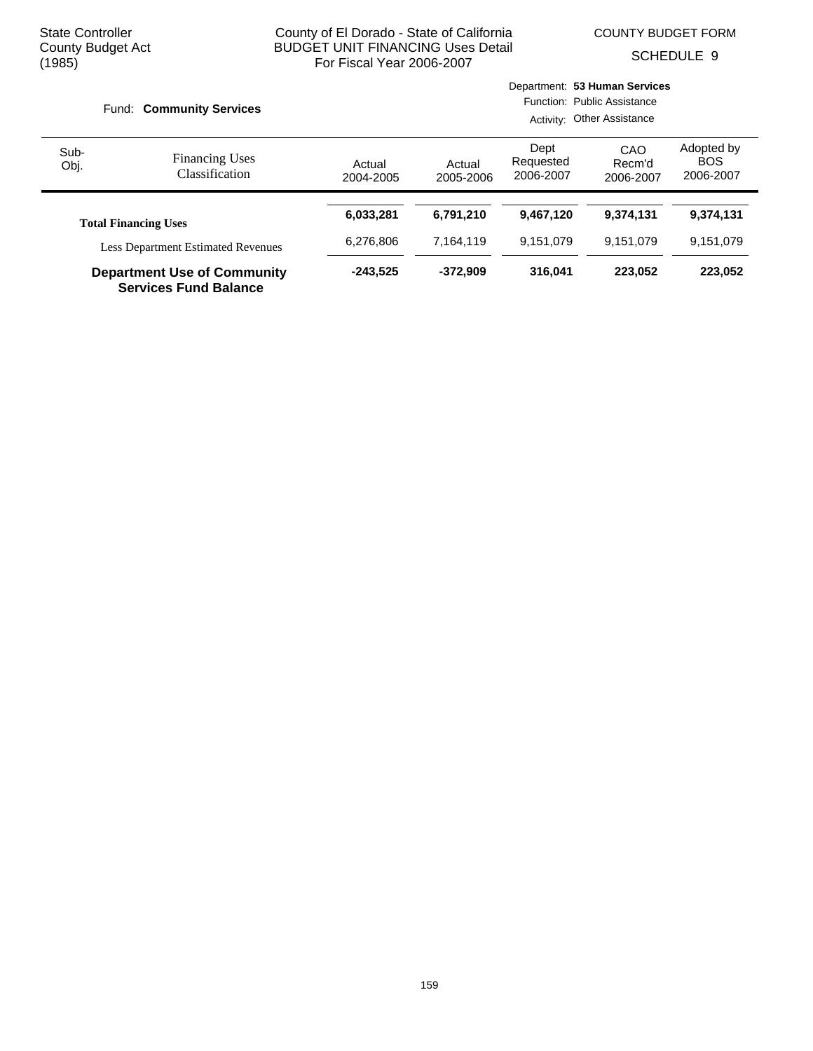COUNTY BUDGET FORM

SCHEDULE 9

|              | Fund: Community Services                                           |                     |                     |                                | Department: 53 Human Services<br>Function: Public Assistance<br>Activity: Other Assistance |                                       |
|--------------|--------------------------------------------------------------------|---------------------|---------------------|--------------------------------|--------------------------------------------------------------------------------------------|---------------------------------------|
| Sub-<br>Obj. | <b>Financing Uses</b><br>Classification                            | Actual<br>2004-2005 | Actual<br>2005-2006 | Dept<br>Requested<br>2006-2007 | CAO<br>Recm'd<br>2006-2007                                                                 | Adopted by<br><b>BOS</b><br>2006-2007 |
|              | <b>Total Financing Uses</b>                                        | 6,033,281           | 6,791,210           | 9,467,120                      | 9.374.131                                                                                  | 9,374,131                             |
|              | <b>Less Department Estimated Revenues</b>                          | 6,276,806           | 7.164.119           | 9,151,079                      | 9.151.079                                                                                  | 9,151,079                             |
|              | <b>Department Use of Community</b><br><b>Services Fund Balance</b> | $-243,525$          | $-372.909$          | 316.041                        | 223,052                                                                                    | 223,052                               |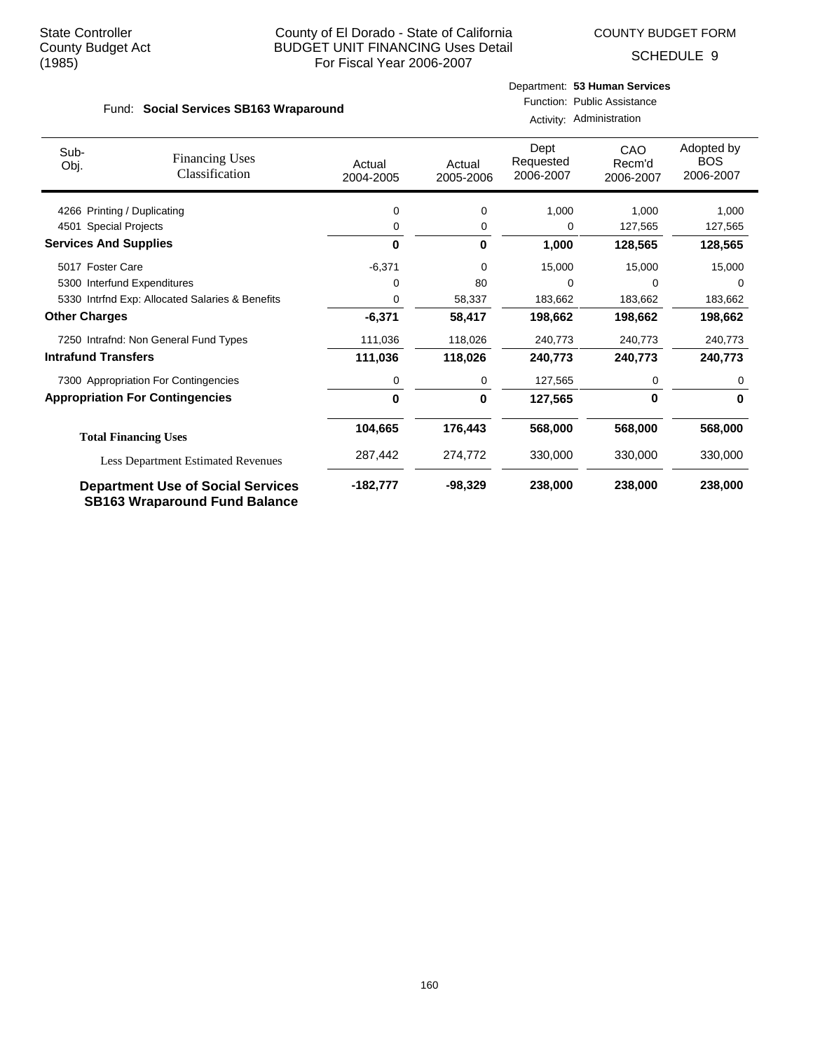COUNTY BUDGET FORM

SCHEDULE 9

#### Fund: Social Services SB163 Wraparound

#### Department: **53 Human Services** Function: Public Assistance

Activity: Administration

| Sub-<br>Obj.                 | <b>Financing Uses</b><br>Classification                                          | Actual<br>2004-2005 | Actual<br>2005-2006 | Dept<br>Requested<br>2006-2007 | CAO<br>Recm'd<br>2006-2007 | Adopted by<br><b>BOS</b><br>2006-2007 |
|------------------------------|----------------------------------------------------------------------------------|---------------------|---------------------|--------------------------------|----------------------------|---------------------------------------|
| 4266 Printing / Duplicating  |                                                                                  | 0                   | 0                   | 1,000                          | 1,000                      | 1,000                                 |
| 4501 Special Projects        |                                                                                  | 0                   | 0                   | 0                              | 127,565                    | 127,565                               |
| <b>Services And Supplies</b> |                                                                                  | 0                   | $\mathbf 0$         | 1,000                          | 128,565                    | 128,565                               |
| 5017 Foster Care             |                                                                                  | $-6,371$            | 0                   | 15,000                         | 15,000                     | 15,000                                |
|                              | 5300 Interfund Expenditures                                                      | 0                   | 80                  | 0                              | 0                          | $\Omega$                              |
|                              | 5330 Intrfnd Exp: Allocated Salaries & Benefits                                  | 0                   | 58,337              | 183,662                        | 183,662                    | 183,662                               |
| <b>Other Charges</b>         |                                                                                  | $-6,371$            | 58,417              | 198,662                        | 198,662                    | 198,662                               |
|                              | 7250 Intrafnd: Non General Fund Types                                            | 111,036             | 118,026             | 240,773                        | 240,773                    | 240,773                               |
| <b>Intrafund Transfers</b>   |                                                                                  | 111,036             | 118,026             | 240,773                        | 240,773                    | 240,773                               |
|                              | 7300 Appropriation For Contingencies                                             | 0                   | 0                   | 127,565                        | 0                          | 0                                     |
|                              | <b>Appropriation For Contingencies</b>                                           | 0                   | $\mathbf 0$         | 127,565                        | $\bf{0}$                   | 0                                     |
|                              | <b>Total Financing Uses</b>                                                      | 104,665             | 176,443             | 568,000                        | 568,000                    | 568,000                               |
|                              | <b>Less Department Estimated Revenues</b>                                        | 287,442             | 274,772             | 330,000                        | 330,000                    | 330,000                               |
|                              | <b>Department Use of Social Services</b><br><b>SB163 Wraparound Fund Balance</b> | $-182,777$          | $-98,329$           | 238,000                        | 238,000                    | 238,000                               |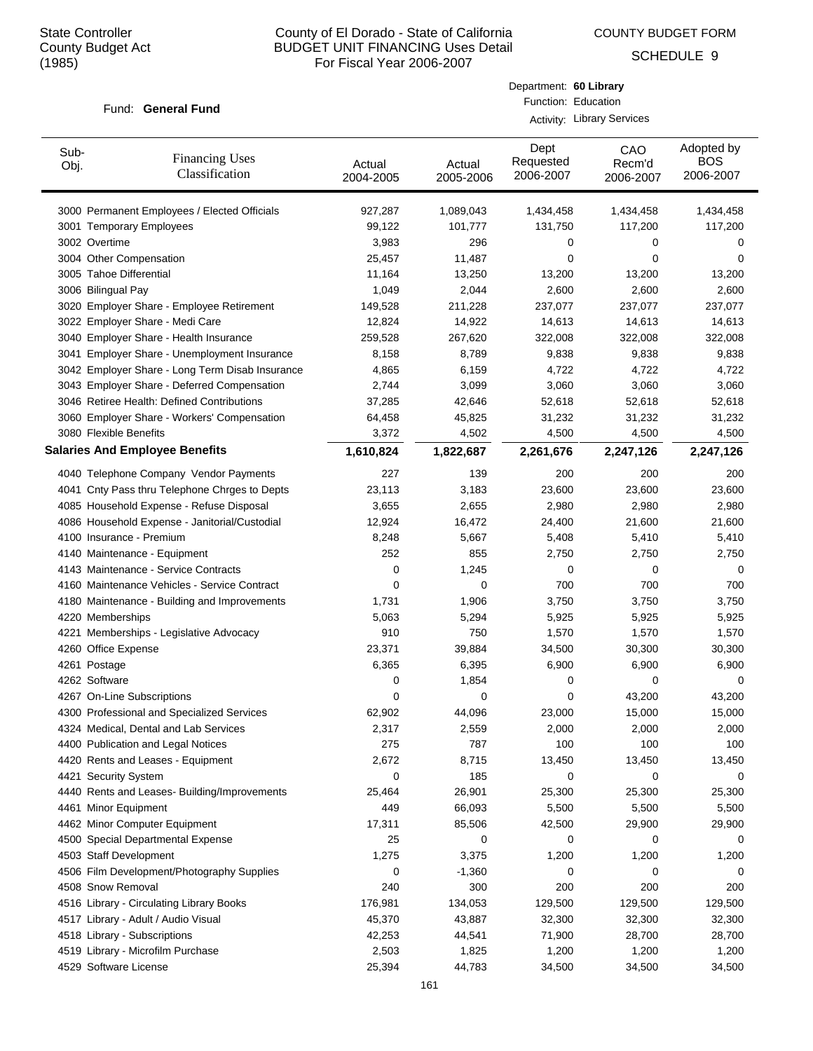COUNTY BUDGET FORM

Department: **60 Library** Function: Education

SCHEDULE 9

#### Fund: General Fund

|              |                                                 |                     |                     |                                | <b>Activity: Library Services</b> |                                       |
|--------------|-------------------------------------------------|---------------------|---------------------|--------------------------------|-----------------------------------|---------------------------------------|
| Sub-<br>Obj. | <b>Financing Uses</b><br>Classification         | Actual<br>2004-2005 | Actual<br>2005-2006 | Dept<br>Requested<br>2006-2007 | CAO<br>Recm'd<br>2006-2007        | Adopted by<br><b>BOS</b><br>2006-2007 |
|              | 3000 Permanent Employees / Elected Officials    | 927,287             | 1,089,043           | 1,434,458                      | 1,434,458                         | 1,434,458                             |
|              | 3001 Temporary Employees                        | 99,122              | 101,777             | 131,750                        | 117,200                           | 117,200                               |
|              | 3002 Overtime                                   | 3,983               | 296                 | 0                              | 0                                 | 0                                     |
|              | 3004 Other Compensation                         | 25,457              | 11,487              | 0                              | 0                                 | 0                                     |
|              | 3005 Tahoe Differential                         | 11,164              | 13,250              | 13,200                         | 13,200                            | 13,200                                |
|              | 3006 Bilingual Pay                              | 1,049               | 2,044               | 2,600                          | 2,600                             | 2,600                                 |
|              | 3020 Employer Share - Employee Retirement       | 149,528             | 211,228             | 237,077                        | 237,077                           | 237,077                               |
|              | 3022 Employer Share - Medi Care                 | 12,824              | 14,922              | 14,613                         | 14,613                            | 14,613                                |
|              | 3040 Employer Share - Health Insurance          | 259,528             | 267,620             | 322,008                        | 322,008                           | 322,008                               |
|              | 3041 Employer Share - Unemployment Insurance    | 8,158               | 8,789               | 9,838                          | 9,838                             | 9,838                                 |
|              | 3042 Employer Share - Long Term Disab Insurance | 4,865               | 6,159               | 4,722                          | 4,722                             | 4,722                                 |
|              | 3043 Employer Share - Deferred Compensation     | 2,744               | 3,099               | 3,060                          | 3,060                             | 3,060                                 |
|              | 3046 Retiree Health: Defined Contributions      | 37,285              | 42,646              | 52,618                         | 52,618                            | 52,618                                |
|              | 3060 Employer Share - Workers' Compensation     | 64,458              | 45,825              | 31,232                         | 31,232                            | 31,232                                |
|              | 3080 Flexible Benefits                          | 3,372               | 4,502               | 4,500                          | 4,500                             | 4,500                                 |
|              | <b>Salaries And Employee Benefits</b>           | 1,610,824           | 1,822,687           | 2,261,676                      | 2,247,126                         | 2,247,126                             |
|              | 4040 Telephone Company Vendor Payments          | 227                 | 139                 | 200                            | 200                               | 200                                   |
|              | 4041 Cnty Pass thru Telephone Chrges to Depts   | 23,113              | 3,183               | 23,600                         | 23,600                            | 23,600                                |
|              | 4085 Household Expense - Refuse Disposal        | 3,655               | 2,655               | 2,980                          | 2,980                             | 2,980                                 |
|              | 4086 Household Expense - Janitorial/Custodial   | 12,924              | 16,472              | 24,400                         | 21,600                            | 21,600                                |
|              | 4100 Insurance - Premium                        | 8,248               | 5,667               | 5,408                          | 5,410                             | 5,410                                 |
|              | 4140 Maintenance - Equipment                    | 252                 | 855                 | 2,750                          | 2,750                             | 2,750                                 |
|              | 4143 Maintenance - Service Contracts            | 0                   | 1,245               | 0                              | 0                                 | 0                                     |
|              | 4160 Maintenance Vehicles - Service Contract    | 0                   | 0                   | 700                            | 700                               | 700                                   |
|              | 4180 Maintenance - Building and Improvements    | 1,731               | 1,906               | 3,750                          | 3,750                             | 3,750                                 |
|              | 4220 Memberships                                | 5,063               | 5,294               | 5,925                          | 5,925                             | 5,925                                 |
|              | 4221 Memberships - Legislative Advocacy         | 910                 | 750                 | 1,570                          | 1,570                             | 1,570                                 |
|              | 4260 Office Expense                             | 23,371              | 39,884              | 34,500                         | 30,300                            | 30,300                                |
|              | 4261 Postage                                    | 6,365               | 6,395               | 6,900                          | 6,900                             | 6,900                                 |
|              | 4262 Software                                   | $\mathbf 0$         | 1,854               | 0                              | 0                                 | 0                                     |
|              | 4267 On-Line Subscriptions                      | 0                   | 0                   | 0                              | 43,200                            | 43,200                                |
|              | 4300 Professional and Specialized Services      | 62,902              | 44,096              | 23,000                         | 15,000                            | 15,000                                |
|              | 4324 Medical, Dental and Lab Services           | 2,317               | 2,559               | 2,000                          | 2,000                             | 2,000                                 |
|              | 4400 Publication and Legal Notices              | 275                 | 787                 | 100                            | 100                               | 100                                   |
|              | 4420 Rents and Leases - Equipment               | 2,672               | 8,715               | 13,450                         | 13,450                            | 13,450                                |
|              | 4421 Security System                            | 0                   | 185                 | 0                              | 0                                 | 0                                     |
|              | 4440 Rents and Leases- Building/Improvements    | 25,464              | 26,901              | 25,300                         | 25,300                            | 25,300                                |
|              | 4461 Minor Equipment                            | 449                 | 66,093              | 5,500                          | 5,500                             | 5,500                                 |
|              | 4462 Minor Computer Equipment                   | 17,311              | 85,506              | 42,500                         | 29,900                            | 29,900                                |
|              | 4500 Special Departmental Expense               | 25                  | 0                   | 0                              | 0                                 | 0                                     |
|              | 4503 Staff Development                          | 1,275               | 3,375               | 1,200                          | 1,200                             | 1,200                                 |
|              | 4506 Film Development/Photography Supplies      | 0                   | $-1,360$            | 0                              | 0                                 | 0                                     |
|              | 4508 Snow Removal                               | 240                 | 300                 | 200                            | 200                               | 200                                   |
|              | 4516 Library - Circulating Library Books        | 176,981             | 134,053             | 129,500                        | 129,500                           | 129,500                               |
|              | 4517 Library - Adult / Audio Visual             | 45,370              | 43,887              | 32,300                         | 32,300                            | 32,300                                |
|              | 4518 Library - Subscriptions                    | 42,253              | 44,541              | 71,900                         | 28,700                            | 28,700                                |
|              | 4519 Library - Microfilm Purchase               | 2,503               | 1,825               | 1,200                          | 1,200                             | 1,200                                 |
|              | 4529 Software License                           | 25,394              | 44,783              | 34,500                         | 34,500                            | 34,500                                |
|              |                                                 |                     |                     |                                |                                   |                                       |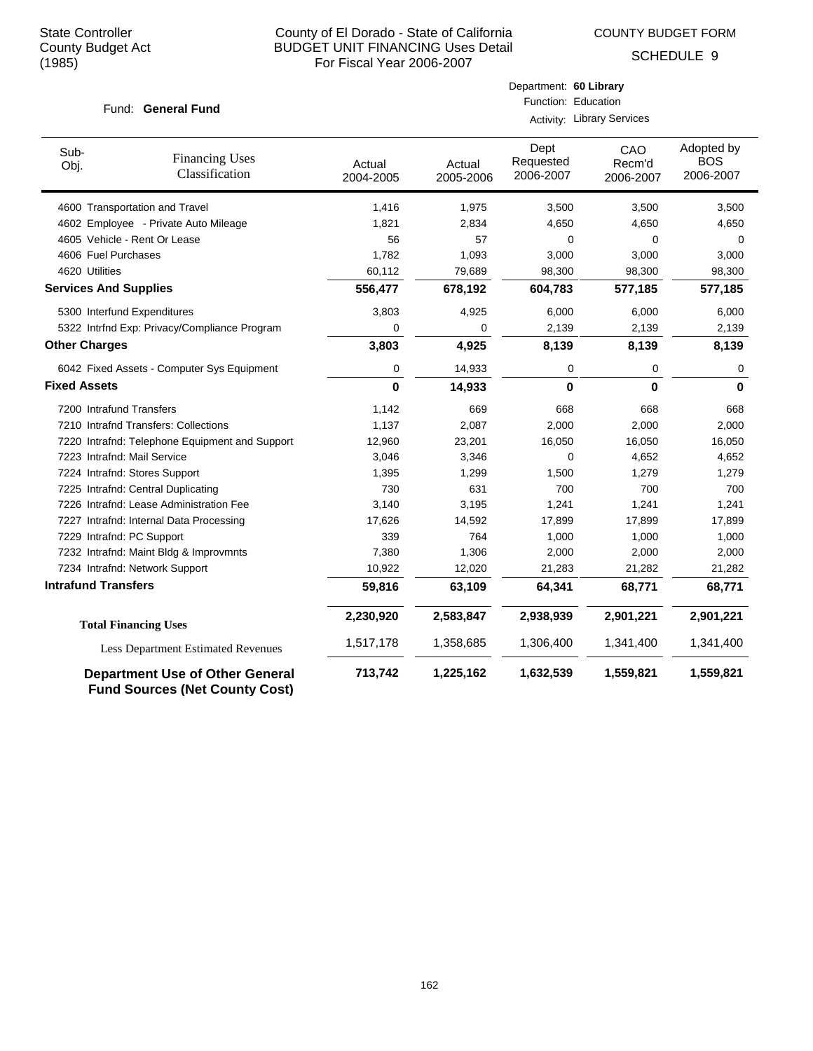COUNTY BUDGET FORM

Department: **60 Library**

SCHEDULE 9

| Fund: General Fund           |                                              | Function: Education<br>Activity: Library Services |                     |                                |                                   |                                       |  |  |
|------------------------------|----------------------------------------------|---------------------------------------------------|---------------------|--------------------------------|-----------------------------------|---------------------------------------|--|--|
| Sub-<br>Obj.                 | <b>Financing Uses</b><br>Classification      | Actual<br>2004-2005                               | Actual<br>2005-2006 | Dept<br>Requested<br>2006-2007 | <b>CAO</b><br>Recm'd<br>2006-2007 | Adopted by<br><b>BOS</b><br>2006-2007 |  |  |
|                              | 4600 Transportation and Travel               | 1,416                                             | 1,975               | 3,500                          | 3,500                             | 3,500                                 |  |  |
|                              | 4602 Employee - Private Auto Mileage         | 1,821                                             | 2,834               | 4,650                          | 4,650                             | 4,650                                 |  |  |
|                              | 4605 Vehicle - Rent Or Lease                 | 56                                                | 57                  | 0                              | 0                                 | 0                                     |  |  |
| 4606 Fuel Purchases          |                                              | 1,782                                             | 1,093               | 3,000                          | 3,000                             | 3,000                                 |  |  |
| 4620 Utilities               |                                              | 60,112                                            | 79,689              | 98,300                         | 98,300                            | 98,300                                |  |  |
| <b>Services And Supplies</b> |                                              | 556,477                                           | 678,192             | 604,783                        | 577,185                           | 577,185                               |  |  |
|                              | 5300 Interfund Expenditures                  | 3,803                                             | 4,925               | 6,000                          | 6,000                             | 6,000                                 |  |  |
|                              | 5322 Intrfnd Exp: Privacy/Compliance Program | 0                                                 | 0                   | 2,139                          | 2,139                             | 2,139                                 |  |  |
| <b>Other Charges</b>         |                                              | 3,803                                             | 4,925               | 8,139                          | 8,139                             | 8,139                                 |  |  |
|                              | 6042 Fixed Assets - Computer Sys Equipment   | 0                                                 | 14,933              | 0                              | 0                                 | 0                                     |  |  |
| <b>Fixed Assets</b>          |                                              | 0                                                 | 14,933              | $\bf{0}$                       | $\bf{0}$                          | 0                                     |  |  |
| $7000 - 1 + 1 = 0 = 1$       |                                              | $\overline{1}$                                    | $\sim$              | $\sim$                         | $\sim$                            | $\sim$                                |  |  |

| <b>Fixed Assets</b>                                                             | 0         | 14,933    | 0         | 0         | 0         |
|---------------------------------------------------------------------------------|-----------|-----------|-----------|-----------|-----------|
| 7200 Intrafund Transfers                                                        | 1,142     | 669       | 668       | 668       | 668       |
| 7210 Intrafnd Transfers: Collections                                            | 1,137     | 2,087     | 2,000     | 2,000     | 2,000     |
| 7220 Intrafnd: Telephone Equipment and Support                                  | 12,960    | 23,201    | 16,050    | 16,050    | 16,050    |
| 7223 Intrafnd: Mail Service                                                     | 3,046     | 3,346     | $\Omega$  | 4,652     | 4,652     |
| 7224 Intrafnd: Stores Support                                                   | 1,395     | 1,299     | 1,500     | 1,279     | 1,279     |
| 7225 Intrafnd: Central Duplicating                                              | 730       | 631       | 700       | 700       | 700       |
| 7226 Intrafnd: Lease Administration Fee                                         | 3,140     | 3,195     | 1,241     | 1,241     | 1,241     |
| Intrafnd: Internal Data Processing<br>7227                                      | 17,626    | 14,592    | 17,899    | 17,899    | 17,899    |
| Intrafnd: PC Support<br>7229                                                    | 339       | 764       | 1,000     | 1,000     | 1,000     |
| 7232 Intrafnd: Maint Bldg & Improvmnts                                          | 7,380     | 1,306     | 2,000     | 2,000     | 2,000     |
| 7234 Intrafnd: Network Support                                                  | 10,922    | 12,020    | 21,283    | 21,282    | 21,282    |
| Intrafund Transfers                                                             | 59,816    | 63,109    | 64,341    | 68,771    | 68,771    |
| <b>Total Financing Uses</b>                                                     | 2,230,920 | 2,583,847 | 2,938,939 | 2,901,221 | 2,901,221 |
| <b>Less Department Estimated Revenues</b>                                       | 1,517,178 | 1,358,685 | 1,306,400 | 1,341,400 | 1,341,400 |
| <b>Department Use of Other General</b><br><b>Fund Sources (Net County Cost)</b> | 713,742   | 1,225,162 | 1,632,539 | 1,559,821 | 1,559,821 |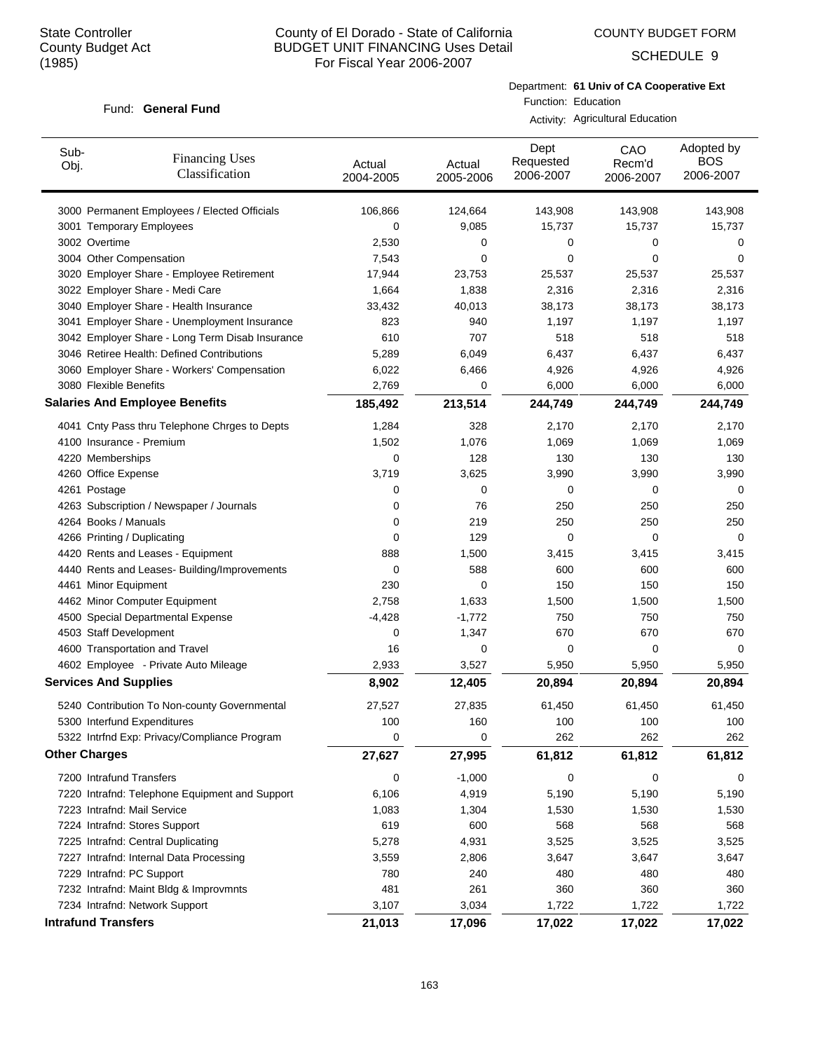COUNTY BUDGET FORM

SCHEDULE 9

#### Fund: General Fund

Department: **61 Univ of CA Cooperative Ext** Function: Education

Activity: Agricultural Education

| Sub-<br>Obj.                 | <b>Financing Uses</b><br>Classification         | Actual<br>2004-2005 | Actual<br>2005-2006 | Dept<br>Requested<br>2006-2007 | CAO<br>Recm'd<br>2006-2007 | Adopted by<br><b>BOS</b><br>2006-2007 |
|------------------------------|-------------------------------------------------|---------------------|---------------------|--------------------------------|----------------------------|---------------------------------------|
|                              | 3000 Permanent Employees / Elected Officials    | 106,866             | 124,664             | 143,908                        | 143,908                    | 143,908                               |
| 3001 Temporary Employees     |                                                 | 0                   | 9,085               | 15,737                         | 15,737                     | 15,737                                |
| 3002 Overtime                |                                                 | 2,530               | 0                   | 0                              | 0                          | 0                                     |
| 3004 Other Compensation      |                                                 | 7,543               | 0                   | 0                              | $\mathbf 0$                | 0                                     |
|                              | 3020 Employer Share - Employee Retirement       | 17,944              | 23,753              | 25,537                         | 25,537                     | 25,537                                |
|                              | 3022 Employer Share - Medi Care                 | 1,664               | 1,838               | 2,316                          | 2,316                      | 2,316                                 |
|                              | 3040 Employer Share - Health Insurance          | 33,432              | 40,013              | 38,173                         | 38,173                     | 38,173                                |
|                              | 3041 Employer Share - Unemployment Insurance    | 823                 | 940                 | 1,197                          | 1,197                      | 1,197                                 |
|                              | 3042 Employer Share - Long Term Disab Insurance | 610                 | 707                 | 518                            | 518                        | 518                                   |
|                              | 3046 Retiree Health: Defined Contributions      | 5,289               | 6,049               | 6,437                          | 6,437                      | 6,437                                 |
|                              | 3060 Employer Share - Workers' Compensation     | 6,022               | 6,466               | 4,926                          | 4,926                      | 4,926                                 |
| 3080 Flexible Benefits       |                                                 | 2,769               | 0                   | 6,000                          | 6,000                      | 6,000                                 |
|                              | <b>Salaries And Employee Benefits</b>           | 185,492             | 213,514             | 244,749                        | 244,749                    | 244,749                               |
|                              | 4041 Cnty Pass thru Telephone Chrges to Depts   | 1,284               | 328                 | 2,170                          | 2,170                      | 2,170                                 |
| 4100 Insurance - Premium     |                                                 | 1,502               | 1,076               | 1,069                          | 1,069                      | 1,069                                 |
| 4220 Memberships             |                                                 | 0                   | 128                 | 130                            | 130                        | 130                                   |
| 4260 Office Expense          |                                                 | 3,719               | 3,625               | 3,990                          | 3,990                      | 3,990                                 |
| 4261 Postage                 |                                                 | 0                   | 0                   | 0                              | 0                          | 0                                     |
|                              | 4263 Subscription / Newspaper / Journals        | 0                   | 76                  | 250                            | 250                        | 250                                   |
| 4264 Books / Manuals         |                                                 | 0                   | 219                 | 250                            | 250                        | 250                                   |
| 4266 Printing / Duplicating  |                                                 | 0                   | 129                 | 0                              | 0                          | 0                                     |
|                              | 4420 Rents and Leases - Equipment               | 888                 | 1,500               | 3,415                          | 3,415                      | 3,415                                 |
|                              | 4440 Rents and Leases- Building/Improvements    | 0                   | 588                 | 600                            | 600                        | 600                                   |
| 4461 Minor Equipment         |                                                 | 230                 | 0                   | 150                            | 150                        | 150                                   |
|                              | 4462 Minor Computer Equipment                   | 2,758               | 1,633               | 1,500                          | 1,500                      | 1,500                                 |
|                              | 4500 Special Departmental Expense               | $-4,428$            | $-1,772$            | 750                            | 750                        | 750                                   |
| 4503 Staff Development       |                                                 | 0                   | 1,347               | 670                            | 670                        | 670                                   |
|                              | 4600 Transportation and Travel                  | 16                  | 0                   | 0                              | $\mathbf 0$                | 0                                     |
|                              | 4602 Employee - Private Auto Mileage            | 2,933               | 3,527               | 5,950                          | 5,950                      | 5,950                                 |
| <b>Services And Supplies</b> |                                                 | 8,902               | 12,405              | 20,894                         | 20,894                     | 20,894                                |
|                              | 5240 Contribution To Non-county Governmental    | 27,527              | 27,835              | 61,450                         | 61,450                     | 61,450                                |
| 5300 Interfund Expenditures  |                                                 | 100                 | 160                 | 100                            | 100                        | 100                                   |
|                              | 5322 Intrfnd Exp: Privacy/Compliance Program    | 0                   | 0                   | 262                            | 262                        | 262                                   |
| <b>Other Charges</b>         |                                                 | 27,627              | 27,995              | 61,812                         | 61,812                     | 61,812                                |
| 7200 Intrafund Transfers     |                                                 | 0                   | $-1,000$            | 0                              | 0                          | 0                                     |
|                              | 7220 Intrafnd: Telephone Equipment and Support  | 6,106               | 4,919               | 5,190                          | 5,190                      | 5,190                                 |
| 7223 Intrafnd: Mail Service  |                                                 | 1,083               | 1,304               | 1,530                          | 1,530                      | 1,530                                 |
|                              | 7224 Intrafnd: Stores Support                   | 619                 | 600                 | 568                            | 568                        | 568                                   |
|                              | 7225 Intrafnd: Central Duplicating              | 5,278               | 4,931               | 3,525                          | 3,525                      | 3,525                                 |
|                              | 7227 Intrafnd: Internal Data Processing         | 3,559               | 2,806               | 3,647                          | 3,647                      | 3,647                                 |
| 7229 Intrafnd: PC Support    |                                                 | 780                 | 240                 | 480                            | 480                        | 480                                   |
|                              | 7232 Intrafnd: Maint Bldg & Improvmnts          | 481                 | 261                 | 360                            | 360                        | 360                                   |
|                              | 7234 Intrafnd: Network Support                  | 3,107               | 3,034               | 1,722                          | 1,722                      | 1,722                                 |
| <b>Intrafund Transfers</b>   |                                                 | 21,013              | 17,096              | 17,022                         | 17,022                     | 17,022                                |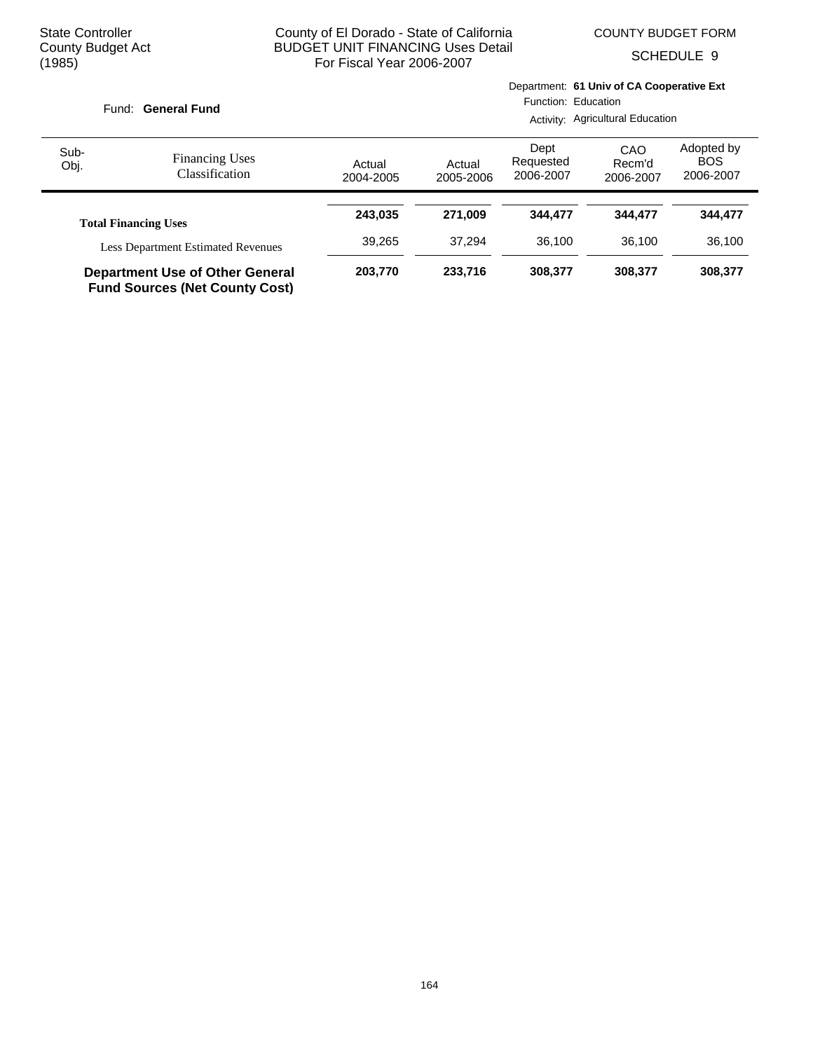Department: **61 Univ of CA Cooperative Ext**

SCHEDULE 9

|              | Fund: General Fund                                                              |                     |                     | Function: Education<br>Activity: Agricultural Education |                            |                                       |  |
|--------------|---------------------------------------------------------------------------------|---------------------|---------------------|---------------------------------------------------------|----------------------------|---------------------------------------|--|
| Sub-<br>Obj. | <b>Financing Uses</b><br>Classification                                         | Actual<br>2004-2005 | Actual<br>2005-2006 | Dept<br>Requested<br>2006-2007                          | CAO<br>Recm'd<br>2006-2007 | Adopted by<br><b>BOS</b><br>2006-2007 |  |
|              |                                                                                 | 243.035             | 271.009             | 344.477                                                 | 344,477                    | 344,477                               |  |
|              | <b>Total Financing Uses</b>                                                     |                     |                     |                                                         |                            |                                       |  |
|              | <b>Less Department Estimated Revenues</b>                                       | 39.265              | 37.294              | 36.100                                                  | 36.100                     | 36,100                                |  |
|              | <b>Department Use of Other General</b><br><b>Fund Sources (Net County Cost)</b> | 203.770             | 233,716             | 308,377                                                 | 308,377                    | 308,377                               |  |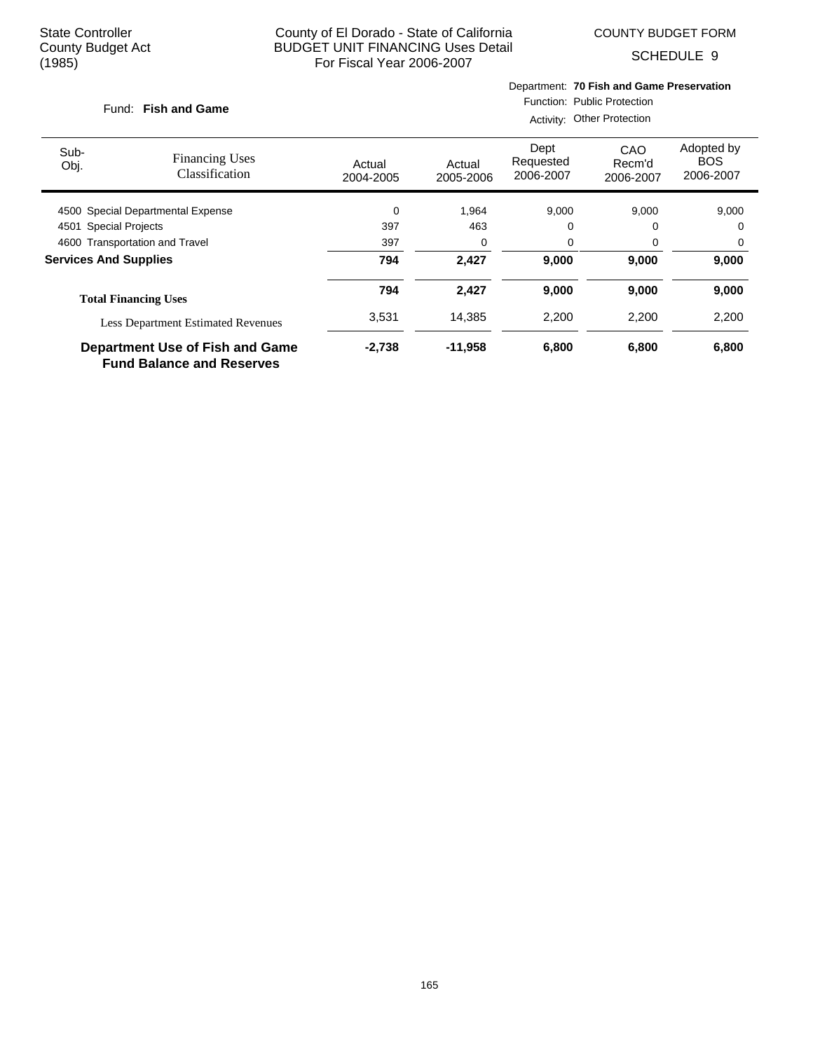COUNTY BUDGET FORM

SCHEDULE 9

#### **Fish and Game** Fund:

# Department: **70 Fish and Game Preservation**

Function: Public Protection

|                                |                                                                            | Activity: Other Protection |                     |                                |                            |                                       |  |  |
|--------------------------------|----------------------------------------------------------------------------|----------------------------|---------------------|--------------------------------|----------------------------|---------------------------------------|--|--|
| Sub-<br>Obj.                   | <b>Financing Uses</b><br>Classification                                    | Actual<br>2004-2005        | Actual<br>2005-2006 | Dept<br>Requested<br>2006-2007 | CAO<br>Recm'd<br>2006-2007 | Adopted by<br><b>BOS</b><br>2006-2007 |  |  |
|                                | 4500 Special Departmental Expense                                          | $\mathbf 0$                | 1,964               | 9,000                          | 9,000                      | 9,000                                 |  |  |
| 4501 Special Projects          |                                                                            | 397                        | 463                 | 0                              |                            | 0                                     |  |  |
| 4600 Transportation and Travel |                                                                            | 397                        | 0                   | 0                              | 0                          | 0                                     |  |  |
| <b>Services And Supplies</b>   |                                                                            | 794                        | 2,427               | 9,000                          | 9,000                      | 9,000                                 |  |  |
|                                | <b>Total Financing Uses</b>                                                | 794                        | 2,427               | 9,000                          | 9,000                      | 9,000                                 |  |  |
|                                | <b>Less Department Estimated Revenues</b>                                  | 3,531                      | 14.385              | 2,200                          | 2,200                      | 2,200                                 |  |  |
|                                | <b>Department Use of Fish and Game</b><br><b>Fund Balance and Reserves</b> | $-2,738$                   | $-11,958$           | 6,800                          | 6,800                      | 6,800                                 |  |  |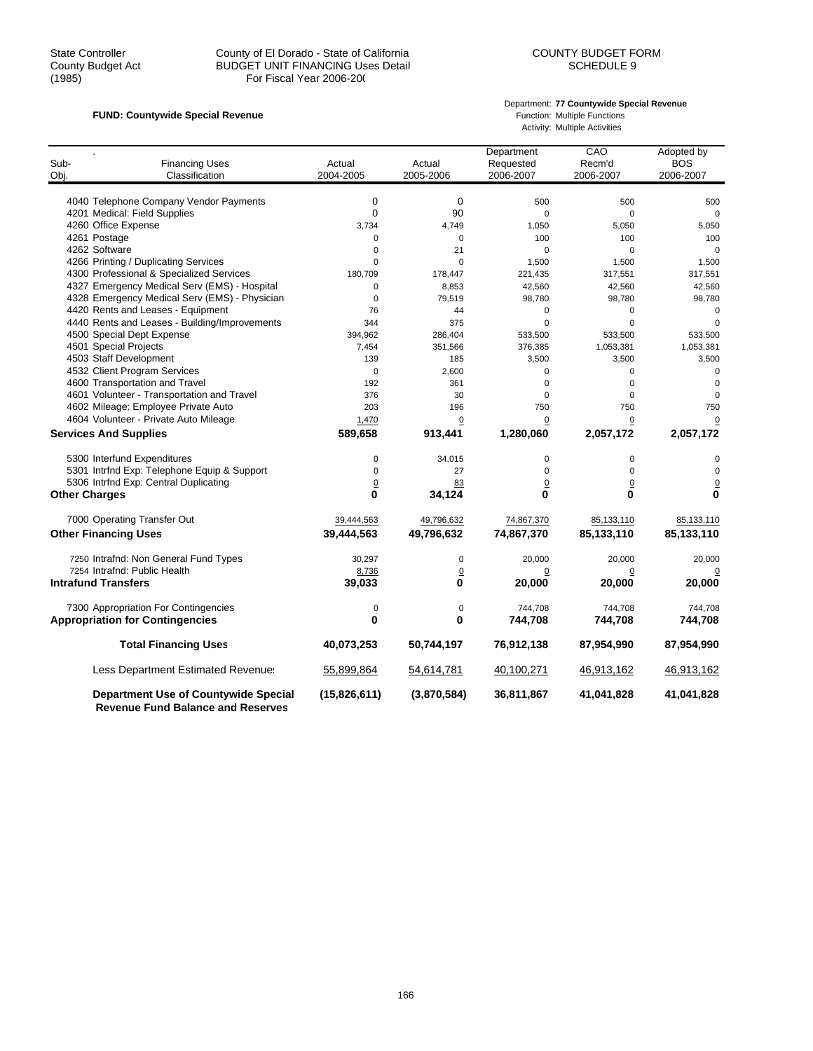#### State Controller 
County County of El Dorado - State of California<br>
COUNTY BUDGET FORM
County Budget Act

BUDGET UNIT FINANCING Uses Detail

COUNTY BUDGET EORM

COUNTY BUDGET LINIT FINANCING USes Detail

COUNTY BUDGET EORM County Budget Act BUDGET UNIT FINANCING Uses Detail<br>(1985) For Fiscal Year 2006-200 For Fiscal Year 2006-200

#### **FUND: Countywide Special Revenue FUND: Countywide Special Revenue Function: Multiple Functions**

# Department: **77 Countywide Special Revenue**

Activity: Multiple Activities

| Sub-<br>Obj.         | <b>Financing Uses</b><br>Classification       | Actual<br>2004-2005 | Actual<br>2005-2006 | Department<br>Requested<br>2006-2007 | CAO<br>Recm'd<br>2006-2007 | Adopted by<br><b>BOS</b><br>2006-2007 |
|----------------------|-----------------------------------------------|---------------------|---------------------|--------------------------------------|----------------------------|---------------------------------------|
|                      |                                               |                     |                     |                                      |                            |                                       |
|                      | 4040 Telephone Company Vendor Payments        | $\mathbf 0$         | 0                   | 500                                  | 500                        | 500                                   |
|                      | 4201 Medical: Field Supplies                  | $\mathbf 0$         | 90                  | 0                                    | 0                          | $\mathbf 0$                           |
|                      | 4260 Office Expense                           | 3,734               | 4.749               | 1,050                                | 5,050                      | 5,050                                 |
|                      | 4261 Postage                                  | 0                   | $\mathbf 0$         | 100                                  | 100                        | 100                                   |
|                      | 4262 Software                                 | $\mathbf 0$         | 21                  | $\mathbf 0$                          | 0                          | $\mathbf 0$                           |
|                      | 4266 Printing / Duplicating Services          | $\Omega$            | $\Omega$            | 1,500                                | 1,500                      | 1,500                                 |
|                      | 4300 Professional & Specialized Services      | 180,709             | 178,447             | 221,435                              | 317,551                    | 317,551                               |
|                      | 4327 Emergency Medical Serv (EMS) - Hospital  | 0                   | 8,853               | 42,560                               | 42,560                     | 42,560                                |
|                      | 4328 Emergency Medical Serv (EMS) - Physician | $\mathbf 0$         | 79,519              | 98,780                               | 98,780                     | 98,780                                |
|                      | 4420 Rents and Leases - Equipment             | 76                  | 44                  | 0                                    | 0                          | $\mathbf 0$                           |
|                      | 4440 Rents and Leases - Building/Improvements | 344                 | 375                 | $\Omega$                             | $\Omega$                   | $\Omega$                              |
|                      | 4500 Special Dept Expense                     | 394,962             | 286,404             | 533,500                              | 533,500                    | 533,500                               |
|                      | 4501 Special Projects                         | 7,454               | 351,566             | 376,385                              | 1,053,381                  | 1,053,381                             |
|                      | 4503 Staff Development                        | 139                 | 185                 | 3,500                                | 3,500                      | 3,500                                 |
|                      | 4532 Client Program Services                  | $\mathbf 0$         | 2,600               | 0                                    | 0                          | $\mathbf 0$                           |
|                      | 4600 Transportation and Travel                | 192                 | 361                 | 0                                    | 0                          | $\Omega$                              |
|                      | 4601 Volunteer - Transportation and Travel    | 376                 | 30                  | 0                                    | 0                          | 0                                     |
|                      | 4602 Mileage: Employee Private Auto           | 203                 | 196                 | 750                                  | 750                        | 750                                   |
|                      | 4604 Volunteer - Private Auto Mileage         | 1,470               | $\mathbf 0$         | 0                                    | 0                          | 0                                     |
|                      | <b>Services And Supplies</b>                  | 589,658             | 913,441             | 1,280,060                            | 2,057,172                  | 2,057,172                             |
|                      | 5300 Interfund Expenditures                   | 0                   | 34,015              | 0                                    | 0                          | 0                                     |
|                      | 5301 Intrfnd Exp: Telephone Equip & Support   | $\mathbf 0$         | 27                  | 0                                    | 0                          | $\mathbf 0$                           |
|                      | 5306 Intrfnd Exp: Central Duplicating         | $\overline{0}$      | 83                  | $\mathbf 0$                          | $\overline{0}$             | $\mathbf 0$                           |
| <b>Other Charges</b> |                                               | 0                   | 34,124              | $\bf{0}$                             | 0                          | 0                                     |
|                      | 7000 Operating Transfer Out                   | 39,444,563          | 49,796,632          | 74,867,370                           | 85,133,110                 | 85,133,110                            |
|                      | <b>Other Financing Uses</b>                   | 39,444,563          | 49,796,632          | 74,867,370                           | 85,133,110                 | 85,133,110                            |
|                      | 7250 Intrafnd: Non General Fund Types         | 30,297              | 0                   | 20,000                               | 20,000                     | 20,000                                |
|                      | 7254 Intrafnd: Public Health                  | 8,736               | $\overline{0}$      | 0                                    | 0                          |                                       |
|                      | <b>Intrafund Transfers</b>                    | 39,033              | 0                   | 20,000                               | 20,000                     | 20,000                                |
|                      | 7300 Appropriation For Contingencies          | 0                   | $\mathbf 0$         | 744.708                              | 744,708                    | 744,708                               |
|                      | <b>Appropriation for Contingencies</b>        | 0                   | 0                   | 744,708                              | 744,708                    | 744,708                               |
|                      | <b>Total Financing Uses</b>                   | 40,073,253          | 50,744,197          | 76,912,138                           | 87,954,990                 | 87,954,990                            |
|                      | Less Department Estimated Revenue:            | 55,899,864          | 54,614,781          | 40,100,271                           | 46,913,162                 | 46,913,162                            |
|                      | <b>Department Use of Countywide Special</b>   | (15,826,611)        | (3,870,584)         | 36,811,867                           | 41,041,828                 | 41,041,828                            |

 **Revenue Fund Balance and Reserves**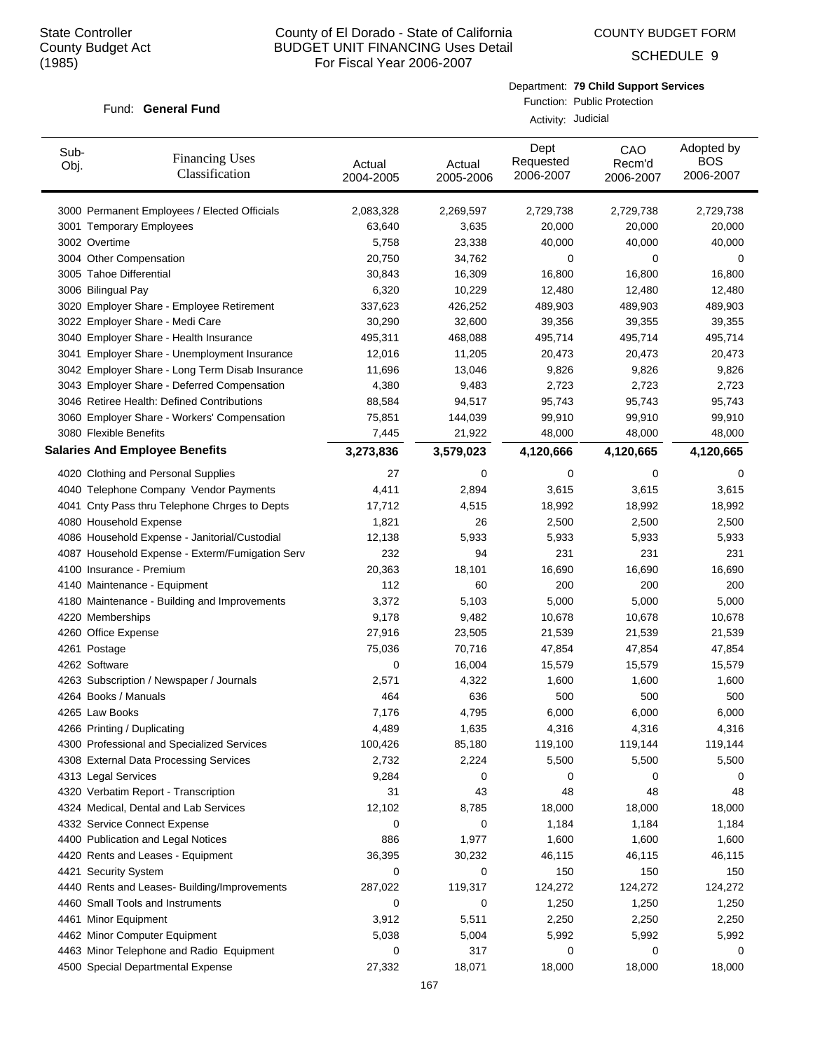COUNTY BUDGET FORM

SCHEDULE 9

#### Fund: General Fund

Department: **79 Child Support Services**

Function: Public Protection Activity: Judicial

| Sub-<br>Obj.  | <b>Financing Uses</b><br>Classification         | Actual<br>2004-2005 | Actual<br>2005-2006 | Dept<br>Requested<br>2006-2007 | CAO<br>Recm'd<br>2006-2007 | Adopted by<br><b>BOS</b><br>2006-2007 |
|---------------|-------------------------------------------------|---------------------|---------------------|--------------------------------|----------------------------|---------------------------------------|
|               | 3000 Permanent Employees / Elected Officials    | 2,083,328           | 2,269,597           | 2,729,738                      | 2,729,738                  | 2,729,738                             |
|               | 3001 Temporary Employees                        | 63,640              | 3,635               | 20,000                         | 20,000                     | 20,000                                |
| 3002 Overtime |                                                 | 5,758               | 23,338              | 40,000                         | 40,000                     | 40,000                                |
|               | 3004 Other Compensation                         | 20,750              | 34,762              | 0                              | 0                          | 0                                     |
|               | 3005 Tahoe Differential                         | 30,843              | 16,309              | 16,800                         | 16,800                     | 16,800                                |
|               | 3006 Bilingual Pay                              | 6,320               | 10,229              | 12,480                         | 12,480                     | 12,480                                |
|               | 3020 Employer Share - Employee Retirement       | 337,623             | 426,252             | 489,903                        | 489,903                    | 489,903                               |
|               | 3022 Employer Share - Medi Care                 | 30,290              | 32,600              | 39,356                         | 39,355                     | 39,355                                |
|               | 3040 Employer Share - Health Insurance          | 495,311             | 468,088             | 495,714                        | 495,714                    | 495,714                               |
|               | 3041 Employer Share - Unemployment Insurance    | 12,016              | 11,205              | 20,473                         | 20,473                     | 20,473                                |
|               | 3042 Employer Share - Long Term Disab Insurance | 11,696              | 13,046              | 9,826                          | 9,826                      | 9,826                                 |
|               | 3043 Employer Share - Deferred Compensation     | 4,380               | 9,483               | 2,723                          | 2,723                      | 2,723                                 |
|               | 3046 Retiree Health: Defined Contributions      | 88,584              | 94,517              | 95,743                         | 95,743                     | 95,743                                |
|               | 3060 Employer Share - Workers' Compensation     | 75,851              | 144,039             | 99,910                         | 99,910                     | 99,910                                |
|               | 3080 Flexible Benefits                          | 7,445               | 21,922              | 48,000                         | 48,000                     | 48,000                                |
|               | <b>Salaries And Employee Benefits</b>           | 3,273,836           | 3,579,023           | 4,120,666                      | 4,120,665                  | 4,120,665                             |
|               | 4020 Clothing and Personal Supplies             | 27                  | 0                   | 0                              | 0                          | 0                                     |
|               | 4040 Telephone Company Vendor Payments          | 4,411               | 2,894               | 3,615                          | 3,615                      | 3,615                                 |
|               | 4041 Cnty Pass thru Telephone Chrges to Depts   | 17,712              | 4,515               | 18,992                         | 18,992                     | 18,992                                |
|               | 4080 Household Expense                          | 1,821               | 26                  | 2,500                          | 2,500                      | 2,500                                 |
|               | 4086 Household Expense - Janitorial/Custodial   | 12,138              | 5,933               | 5,933                          | 5,933                      | 5,933                                 |
|               | 4087 Household Expense - Exterm/Fumigation Serv | 232                 | 94                  | 231                            | 231                        | 231                                   |
|               | 4100 Insurance - Premium                        | 20,363              | 18,101              | 16,690                         | 16,690                     | 16,690                                |
|               | 4140 Maintenance - Equipment                    | 112                 | 60                  | 200                            | 200                        | 200                                   |
|               | 4180 Maintenance - Building and Improvements    | 3,372               | 5,103               | 5,000                          | 5,000                      | 5,000                                 |
|               | 4220 Memberships                                | 9,178               | 9,482               | 10,678                         | 10,678                     | 10,678                                |
|               | 4260 Office Expense                             | 27,916              | 23,505              | 21,539                         | 21,539                     | 21,539                                |
| 4261 Postage  |                                                 | 75,036              | 70,716              | 47,854                         | 47,854                     | 47,854                                |
| 4262 Software |                                                 | 0                   | 16,004              | 15,579                         | 15,579                     | 15,579                                |
|               | 4263 Subscription / Newspaper / Journals        | 2,571               | 4,322               | 1,600                          | 1,600                      | 1,600                                 |
|               | 4264 Books / Manuals                            | 464                 | 636                 | 500                            | 500                        | 500                                   |
|               | 4265 Law Books                                  | 7,176               | 4,795               | 6,000                          | 6,000                      | 6,000                                 |
|               | 4266 Printing / Duplicating                     | 4,489               | 1,635               | 4,316                          | 4,316                      | 4,316                                 |
|               | 4300 Professional and Specialized Services      | 100,426             | 85,180              | 119,100                        | 119,144                    | 119,144                               |
|               | 4308 External Data Processing Services          | 2,732               | 2,224               | 5,500                          | 5,500                      | 5,500                                 |
|               | 4313 Legal Services                             | 9,284               | 0                   | 0                              | 0                          | 0                                     |
|               | 4320 Verbatim Report - Transcription            | 31                  | 43                  | 48                             | 48                         | 48                                    |
|               | 4324 Medical, Dental and Lab Services           | 12,102              | 8,785               | 18,000                         | 18,000                     | 18,000                                |
|               | 4332 Service Connect Expense                    | 0                   | 0                   | 1,184                          | 1,184                      | 1,184                                 |
|               | 4400 Publication and Legal Notices              | 886                 | 1,977               | 1,600                          | 1,600                      | 1,600                                 |
|               | 4420 Rents and Leases - Equipment               | 36,395              | 30,232              | 46,115                         | 46,115                     | 46,115                                |
|               | 4421 Security System                            | 0                   | 0                   | 150                            | 150                        | 150                                   |
|               | 4440 Rents and Leases- Building/Improvements    | 287,022             | 119,317             | 124,272                        | 124,272                    | 124,272                               |
|               | 4460 Small Tools and Instruments                | 0                   | 0                   | 1,250                          | 1,250                      | 1,250                                 |
|               | 4461 Minor Equipment                            | 3,912               | 5,511               | 2,250                          | 2,250                      | 2,250                                 |
|               | 4462 Minor Computer Equipment                   | 5,038               | 5,004               | 5,992                          | 5,992                      | 5,992                                 |
|               | 4463 Minor Telephone and Radio Equipment        | 0                   | 317                 | 0                              | 0                          | 0                                     |
|               | 4500 Special Departmental Expense               | 27,332              | 18,071              | 18,000                         | 18,000                     | 18,000                                |